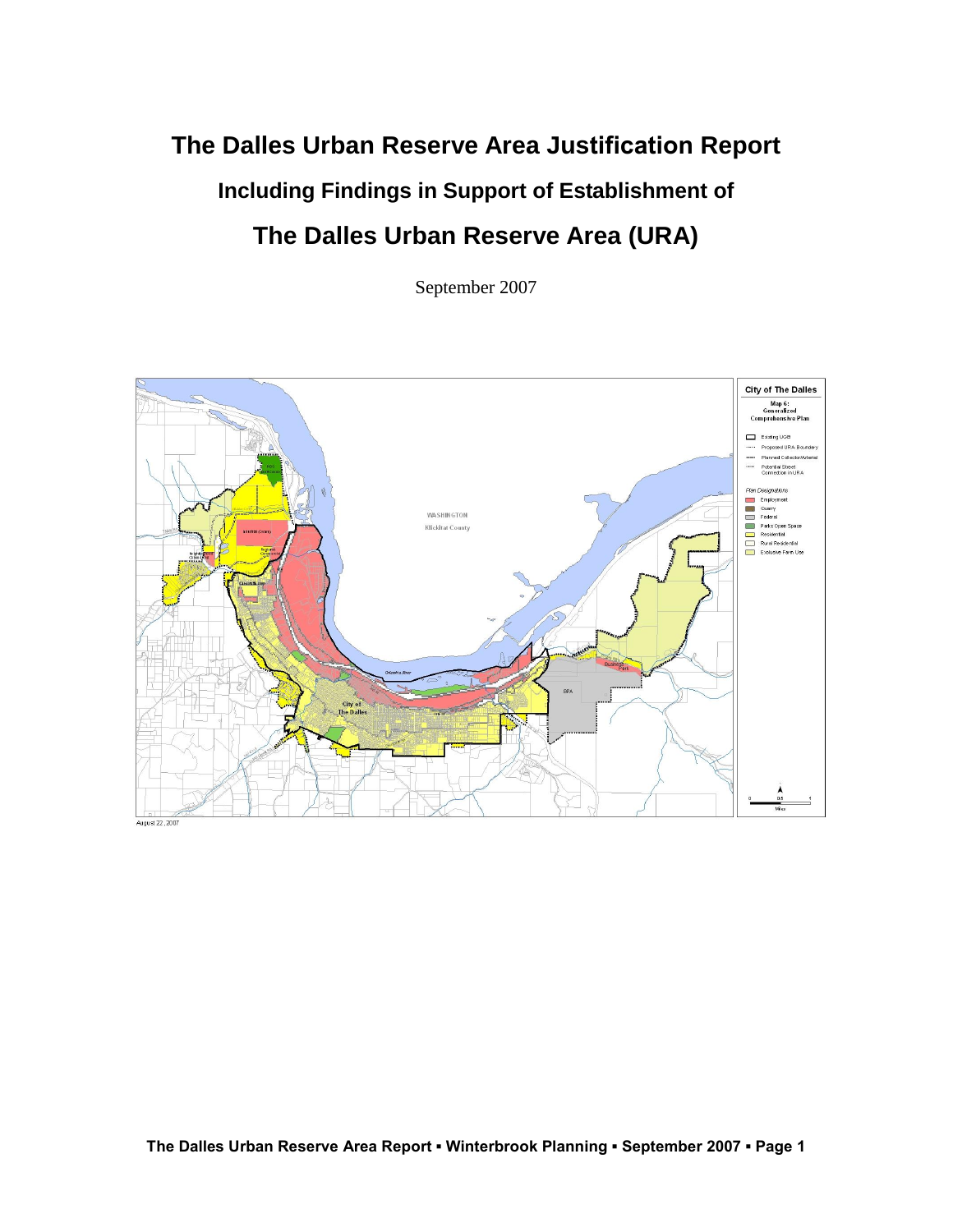# **The Dalles Urban Reserve Area Justification Report Including Findings in Support of Establishment of The Dalles Urban Reserve Area (URA)**

September 2007

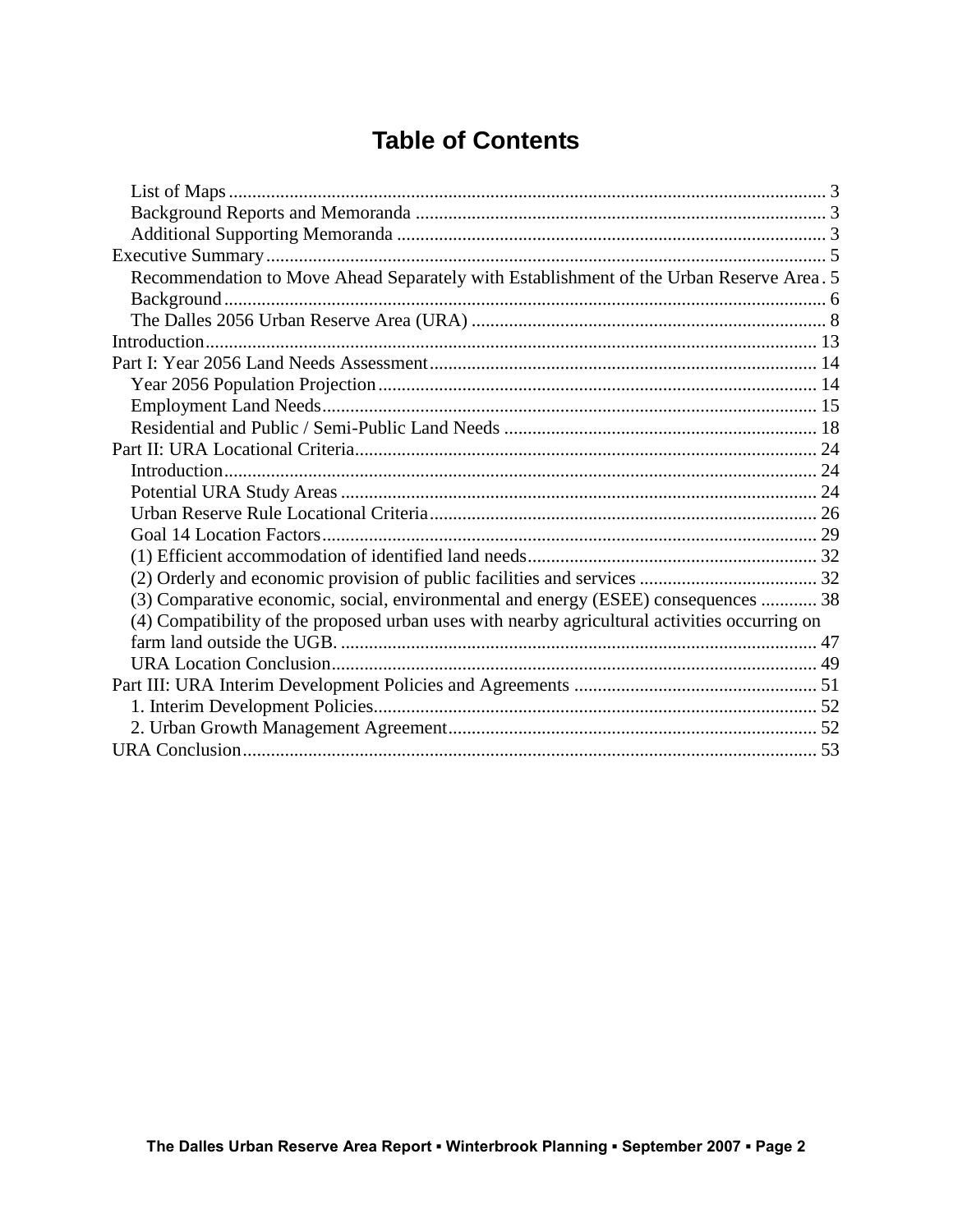## **Table of Contents**

| Recommendation to Move Ahead Separately with Establishment of the Urban Reserve Area. 5       |  |
|-----------------------------------------------------------------------------------------------|--|
|                                                                                               |  |
|                                                                                               |  |
|                                                                                               |  |
|                                                                                               |  |
|                                                                                               |  |
|                                                                                               |  |
|                                                                                               |  |
|                                                                                               |  |
|                                                                                               |  |
|                                                                                               |  |
|                                                                                               |  |
|                                                                                               |  |
|                                                                                               |  |
|                                                                                               |  |
| (3) Comparative economic, social, environmental and energy (ESEE) consequences  38            |  |
| (4) Compatibility of the proposed urban uses with nearby agricultural activities occurring on |  |
|                                                                                               |  |
|                                                                                               |  |
|                                                                                               |  |
|                                                                                               |  |
|                                                                                               |  |
|                                                                                               |  |
|                                                                                               |  |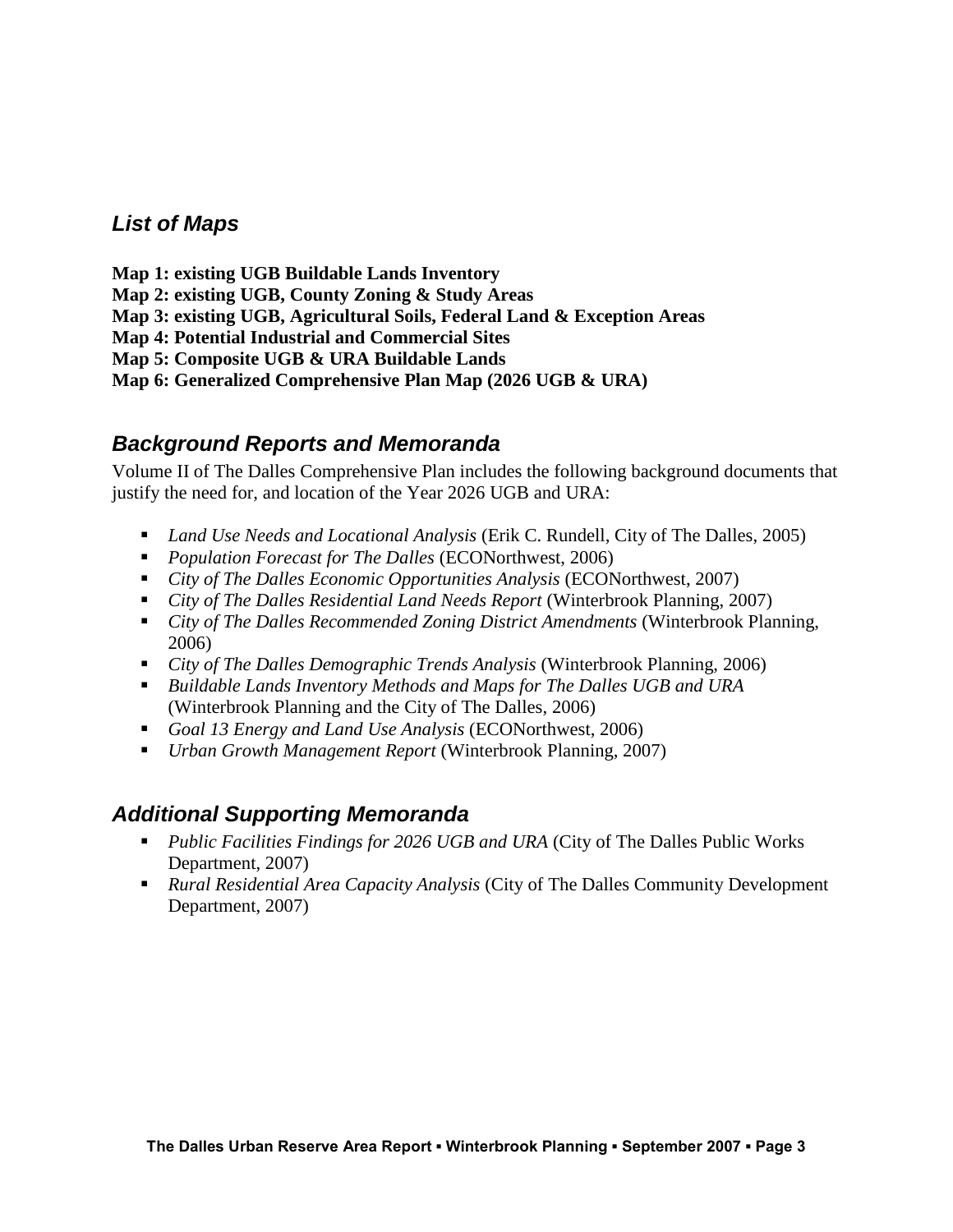### <span id="page-2-0"></span>*List of Maps*

**Map 1: existing UGB Buildable Lands Inventory Map 2: existing UGB, County Zoning & Study Areas Map 3: existing UGB, Agricultural Soils, Federal Land & Exception Areas Map 4: Potential Industrial and Commercial Sites Map 5: Composite UGB & URA Buildable Lands**

**Map 6: Generalized Comprehensive Plan Map (2026 UGB & URA)**

### <span id="page-2-1"></span>*Background Reports and Memoranda*

Volume II of The Dalles Comprehensive Plan includes the following background documents that justify the need for, and location of the Year 2026 UGB and URA:

- *Land Use Needs and Locational Analysis* (Erik C. Rundell, City of The Dalles, 2005)
- *Population Forecast for The Dalles* (ECONorthwest, 2006)
- *City of The Dalles Economic Opportunities Analysis* (ECONorthwest, 2007)
- *City of The Dalles Residential Land Needs Report* (Winterbrook Planning, 2007)
- *City of The Dalles Recommended Zoning District Amendments* (Winterbrook Planning, 2006)
- *City of The Dalles Demographic Trends Analysis* (Winterbrook Planning, 2006)
- *Buildable Lands Inventory Methods and Maps for The Dalles UGB and URA* (Winterbrook Planning and the City of The Dalles, 2006)
- *Goal 13 Energy and Land Use Analysis* (ECONorthwest, 2006)
- *Urban Growth Management Report* (Winterbrook Planning, 2007)

#### <span id="page-2-2"></span>*Additional Supporting Memoranda*

- *Public Facilities Findings for 2026 UGB and URA* (City of The Dalles Public Works Department, 2007)
- *Rural Residential Area Capacity Analysis* (City of The Dalles Community Development Department, 2007)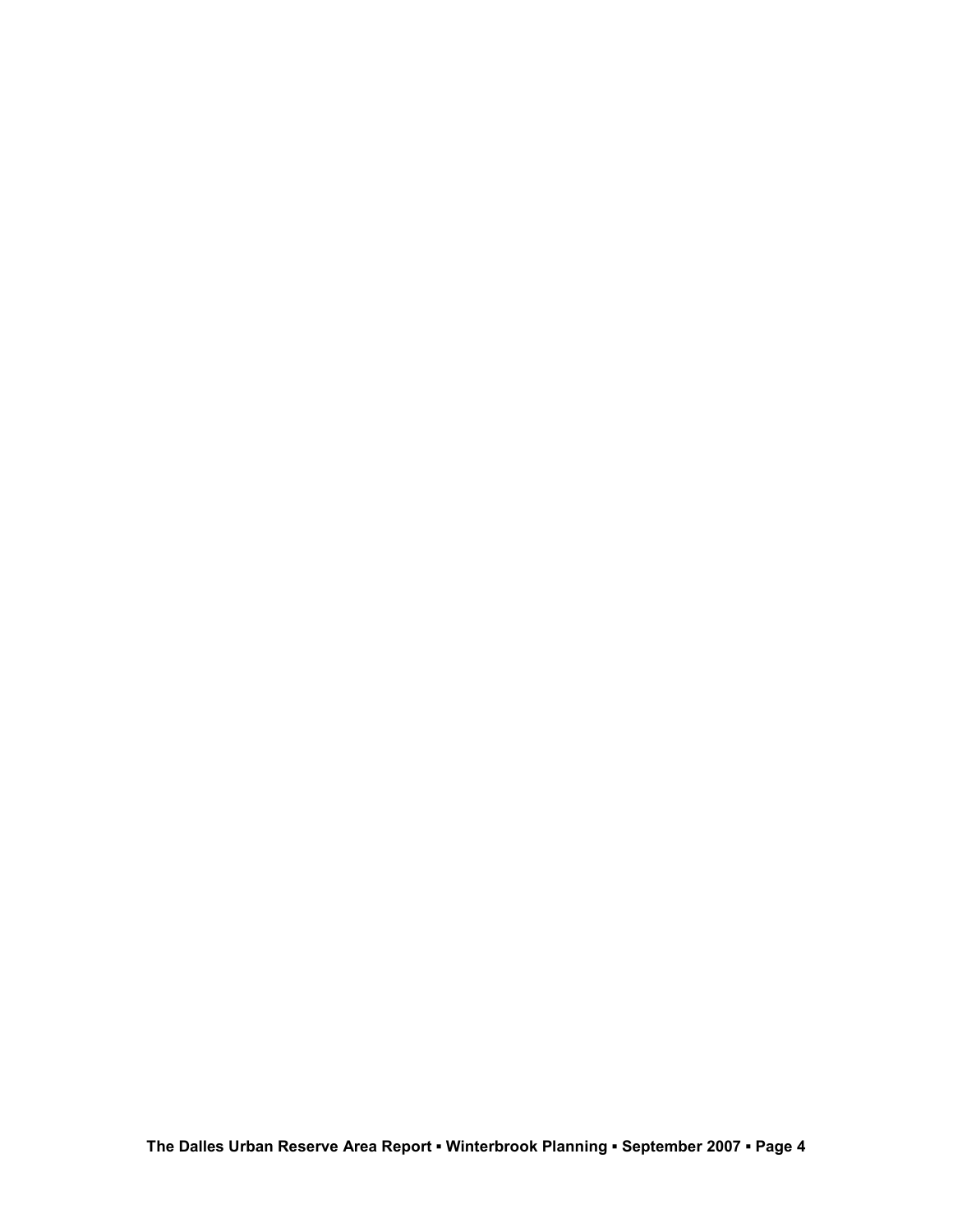**The Dalles Urban Reserve Area Report ▪ Winterbrook Planning ▪ September 2007 ▪ Page 4**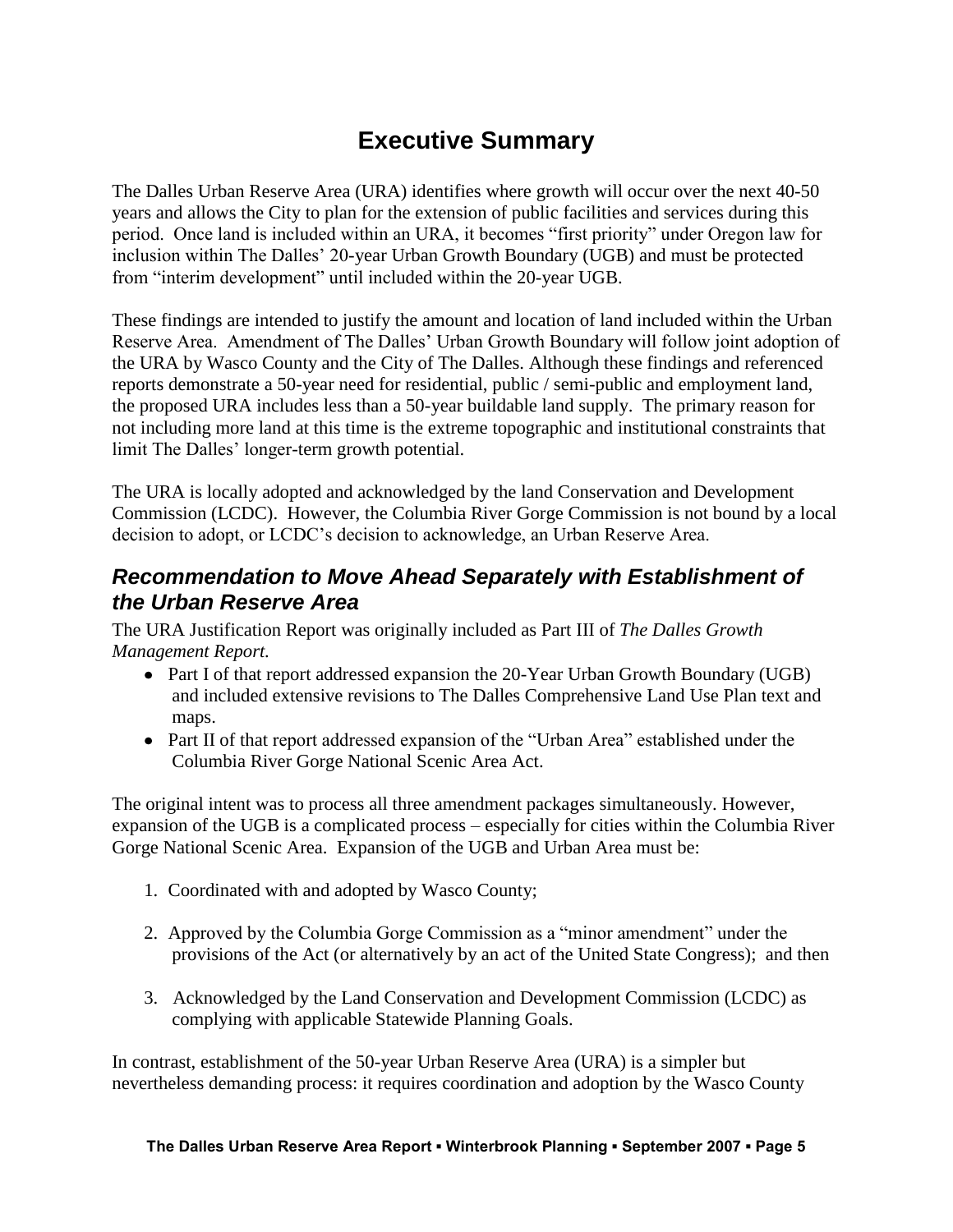## **Executive Summary**

<span id="page-4-0"></span>The Dalles Urban Reserve Area (URA) identifies where growth will occur over the next 40-50 years and allows the City to plan for the extension of public facilities and services during this period. Once land is included within an URA, it becomes "first priority" under Oregon law for inclusion within The Dalles' 20-year Urban Growth Boundary (UGB) and must be protected from "interim development" until included within the 20-year UGB.

These findings are intended to justify the amount and location of land included within the Urban Reserve Area. Amendment of The Dalles' Urban Growth Boundary will follow joint adoption of the URA by Wasco County and the City of The Dalles. Although these findings and referenced reports demonstrate a 50-year need for residential, public / semi-public and employment land, the proposed URA includes less than a 50-year buildable land supply. The primary reason for not including more land at this time is the extreme topographic and institutional constraints that limit The Dalles' longer-term growth potential.

The URA is locally adopted and acknowledged by the land Conservation and Development Commission (LCDC). However, the Columbia River Gorge Commission is not bound by a local decision to adopt, or LCDC's decision to acknowledge, an Urban Reserve Area.

### <span id="page-4-1"></span>*Recommendation to Move Ahead Separately with Establishment of the Urban Reserve Area*

The URA Justification Report was originally included as Part III of *The Dalles Growth Management Report.* 

- Part I of that report addressed expansion the 20-Year Urban Growth Boundary (UGB) and included extensive revisions to The Dalles Comprehensive Land Use Plan text and maps.
- Part II of that report addressed expansion of the "Urban Area" established under the Columbia River Gorge National Scenic Area Act.

The original intent was to process all three amendment packages simultaneously. However, expansion of the UGB is a complicated process – especially for cities within the Columbia River Gorge National Scenic Area. Expansion of the UGB and Urban Area must be:

- 1. Coordinated with and adopted by Wasco County;
- 2. Approved by the Columbia Gorge Commission as a "minor amendment" under the provisions of the Act (or alternatively by an act of the United State Congress); and then
- 3. Acknowledged by the Land Conservation and Development Commission (LCDC) as complying with applicable Statewide Planning Goals.

In contrast, establishment of the 50-year Urban Reserve Area (URA) is a simpler but nevertheless demanding process: it requires coordination and adoption by the Wasco County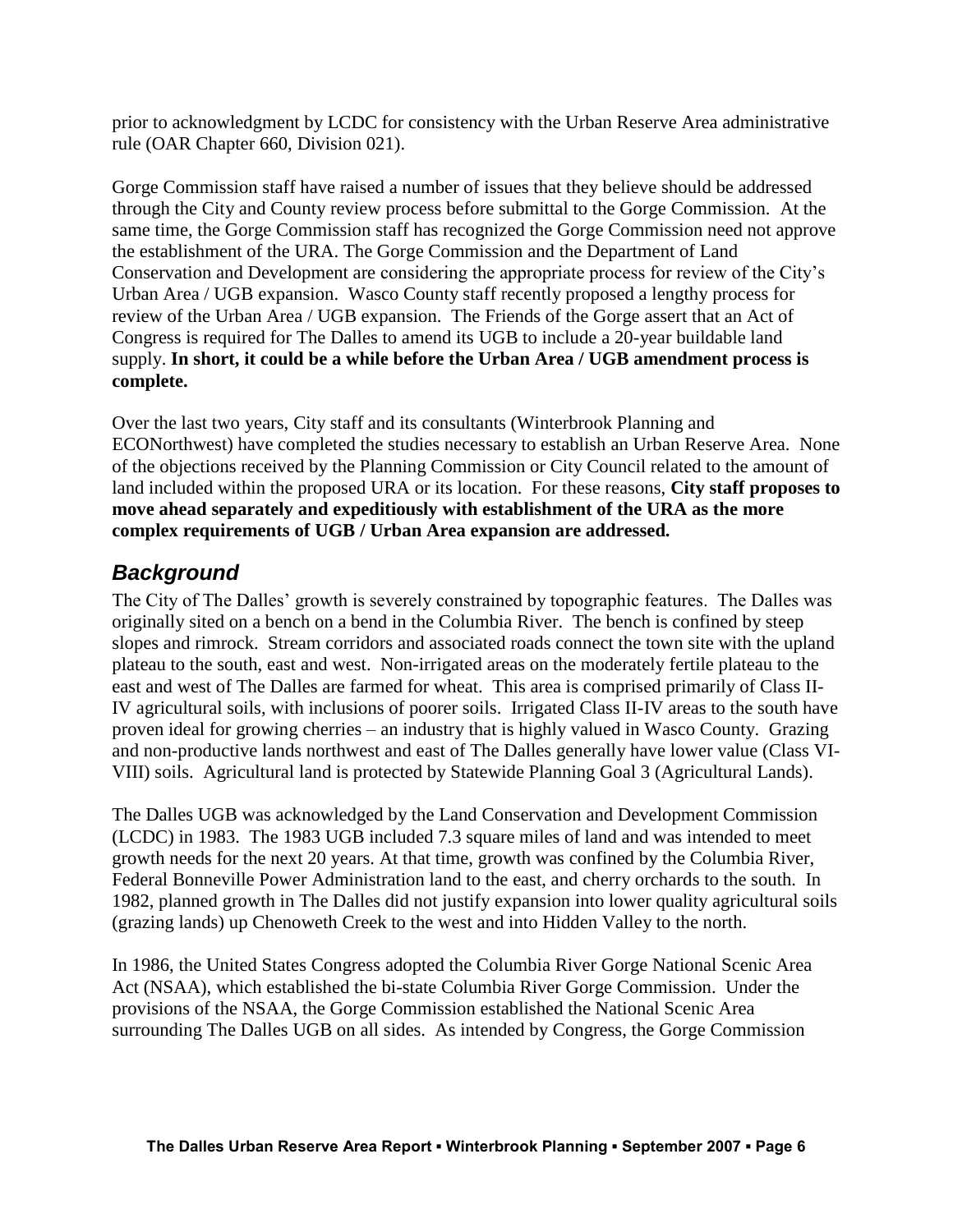prior to acknowledgment by LCDC for consistency with the Urban Reserve Area administrative rule (OAR Chapter 660, Division 021).

Gorge Commission staff have raised a number of issues that they believe should be addressed through the City and County review process before submittal to the Gorge Commission. At the same time, the Gorge Commission staff has recognized the Gorge Commission need not approve the establishment of the URA. The Gorge Commission and the Department of Land Conservation and Development are considering the appropriate process for review of the City's Urban Area / UGB expansion. Wasco County staff recently proposed a lengthy process for review of the Urban Area / UGB expansion. The Friends of the Gorge assert that an Act of Congress is required for The Dalles to amend its UGB to include a 20-year buildable land supply. **In short, it could be a while before the Urban Area / UGB amendment process is complete.**

Over the last two years, City staff and its consultants (Winterbrook Planning and ECONorthwest) have completed the studies necessary to establish an Urban Reserve Area. None of the objections received by the Planning Commission or City Council related to the amount of land included within the proposed URA or its location. For these reasons, **City staff proposes to move ahead separately and expeditiously with establishment of the URA as the more complex requirements of UGB / Urban Area expansion are addressed.**

### <span id="page-5-0"></span>*Background*

The City of The Dalles' growth is severely constrained by topographic features. The Dalles was originally sited on a bench on a bend in the Columbia River. The bench is confined by steep slopes and rimrock. Stream corridors and associated roads connect the town site with the upland plateau to the south, east and west. Non-irrigated areas on the moderately fertile plateau to the east and west of The Dalles are farmed for wheat. This area is comprised primarily of Class II-IV agricultural soils, with inclusions of poorer soils. Irrigated Class II-IV areas to the south have proven ideal for growing cherries – an industry that is highly valued in Wasco County. Grazing and non-productive lands northwest and east of The Dalles generally have lower value (Class VI-VIII) soils. Agricultural land is protected by Statewide Planning Goal 3 (Agricultural Lands).

The Dalles UGB was acknowledged by the Land Conservation and Development Commission (LCDC) in 1983. The 1983 UGB included 7.3 square miles of land and was intended to meet growth needs for the next 20 years. At that time, growth was confined by the Columbia River, Federal Bonneville Power Administration land to the east, and cherry orchards to the south. In 1982, planned growth in The Dalles did not justify expansion into lower quality agricultural soils (grazing lands) up Chenoweth Creek to the west and into Hidden Valley to the north.

In 1986, the United States Congress adopted the Columbia River Gorge National Scenic Area Act (NSAA), which established the bi-state Columbia River Gorge Commission. Under the provisions of the NSAA, the Gorge Commission established the National Scenic Area surrounding The Dalles UGB on all sides. As intended by Congress, the Gorge Commission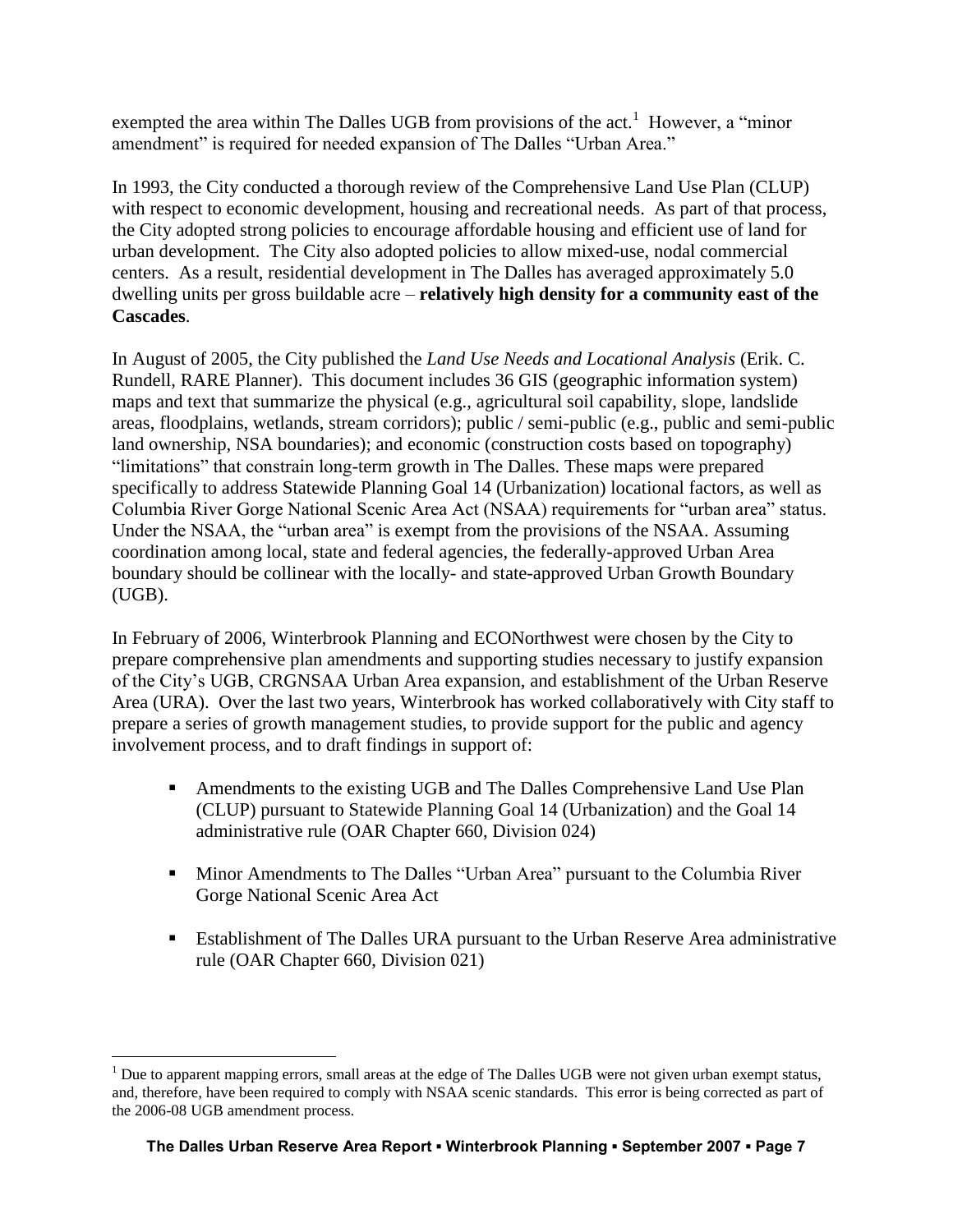exempted the area within The Dalles UGB from provisions of the act.<sup>1</sup> However, a "minor" amendment" is required for needed expansion of The Dalles "Urban Area."

In 1993, the City conducted a thorough review of the Comprehensive Land Use Plan (CLUP) with respect to economic development, housing and recreational needs. As part of that process, the City adopted strong policies to encourage affordable housing and efficient use of land for urban development. The City also adopted policies to allow mixed-use, nodal commercial centers. As a result, residential development in The Dalles has averaged approximately 5.0 dwelling units per gross buildable acre – **relatively high density for a community east of the Cascades**.

In August of 2005, the City published the *Land Use Needs and Locational Analysis* (Erik. C. Rundell, RARE Planner). This document includes 36 GIS (geographic information system) maps and text that summarize the physical (e.g., agricultural soil capability, slope, landslide areas, floodplains, wetlands, stream corridors); public / semi-public (e.g., public and semi-public land ownership, NSA boundaries); and economic (construction costs based on topography) "limitations" that constrain long-term growth in The Dalles. These maps were prepared specifically to address Statewide Planning Goal 14 (Urbanization) locational factors, as well as Columbia River Gorge National Scenic Area Act (NSAA) requirements for "urban area" status. Under the NSAA, the "urban area" is exempt from the provisions of the NSAA. Assuming coordination among local, state and federal agencies, the federally-approved Urban Area boundary should be collinear with the locally- and state-approved Urban Growth Boundary (UGB).

In February of 2006, Winterbrook Planning and ECONorthwest were chosen by the City to prepare comprehensive plan amendments and supporting studies necessary to justify expansion of the City's UGB, CRGNSAA Urban Area expansion, and establishment of the Urban Reserve Area (URA). Over the last two years, Winterbrook has worked collaboratively with City staff to prepare a series of growth management studies, to provide support for the public and agency involvement process, and to draft findings in support of:

- Amendments to the existing UGB and The Dalles Comprehensive Land Use Plan (CLUP) pursuant to Statewide Planning Goal 14 (Urbanization) and the Goal 14 administrative rule (OAR Chapter 660, Division 024)
- Minor Amendments to The Dalles "Urban Area" pursuant to the Columbia River Gorge National Scenic Area Act
- Establishment of The Dalles URA pursuant to the Urban Reserve Area administrative rule (OAR Chapter 660, Division 021)

 $\overline{a}$ 

 $<sup>1</sup>$  Due to apparent mapping errors, small areas at the edge of The Dalles UGB were not given urban exempt status,</sup> and, therefore, have been required to comply with NSAA scenic standards. This error is being corrected as part of the 2006-08 UGB amendment process.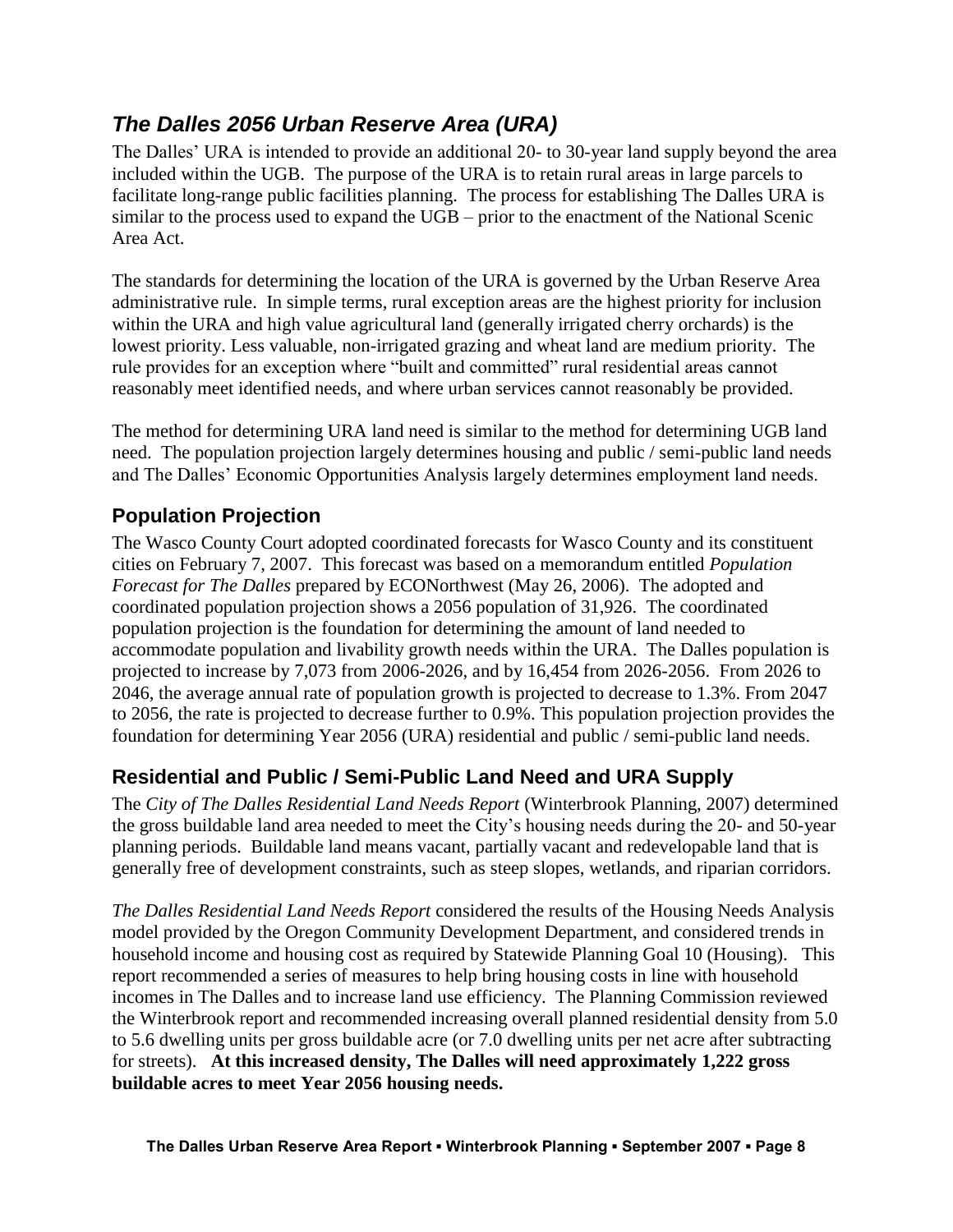### <span id="page-7-0"></span>*The Dalles 2056 Urban Reserve Area (URA)*

The Dalles' URA is intended to provide an additional 20- to 30-year land supply beyond the area included within the UGB. The purpose of the URA is to retain rural areas in large parcels to facilitate long-range public facilities planning. The process for establishing The Dalles URA is similar to the process used to expand the UGB – prior to the enactment of the National Scenic Area Act.

The standards for determining the location of the URA is governed by the Urban Reserve Area administrative rule. In simple terms, rural exception areas are the highest priority for inclusion within the URA and high value agricultural land (generally irrigated cherry orchards) is the lowest priority. Less valuable, non-irrigated grazing and wheat land are medium priority. The rule provides for an exception where "built and committed" rural residential areas cannot reasonably meet identified needs, and where urban services cannot reasonably be provided.

The method for determining URA land need is similar to the method for determining UGB land need. The population projection largely determines housing and public / semi-public land needs and The Dalles' Economic Opportunities Analysis largely determines employment land needs.

### **Population Projection**

The Wasco County Court adopted coordinated forecasts for Wasco County and its constituent cities on February 7, 2007. This forecast was based on a memorandum entitled *Population Forecast for The Dalles* prepared by ECONorthwest (May 26, 2006). The adopted and coordinated population projection shows a 2056 population of 31,926. The coordinated population projection is the foundation for determining the amount of land needed to accommodate population and livability growth needs within the URA. The Dalles population is projected to increase by 7,073 from 2006-2026, and by 16,454 from 2026-2056. From 2026 to 2046, the average annual rate of population growth is projected to decrease to 1.3%. From 2047 to 2056, the rate is projected to decrease further to 0.9%. This population projection provides the foundation for determining Year 2056 (URA) residential and public / semi-public land needs.

### **Residential and Public / Semi-Public Land Need and URA Supply**

The *City of The Dalles Residential Land Needs Report* (Winterbrook Planning, 2007) determined the gross buildable land area needed to meet the City's housing needs during the 20- and 50-year planning periods. Buildable land means vacant, partially vacant and redevelopable land that is generally free of development constraints, such as steep slopes, wetlands, and riparian corridors.

*The Dalles Residential Land Needs Report* considered the results of the Housing Needs Analysis model provided by the Oregon Community Development Department, and considered trends in household income and housing cost as required by Statewide Planning Goal 10 (Housing). This report recommended a series of measures to help bring housing costs in line with household incomes in The Dalles and to increase land use efficiency. The Planning Commission reviewed the Winterbrook report and recommended increasing overall planned residential density from 5.0 to 5.6 dwelling units per gross buildable acre (or 7.0 dwelling units per net acre after subtracting for streets). **At this increased density, The Dalles will need approximately 1,222 gross buildable acres to meet Year 2056 housing needs.**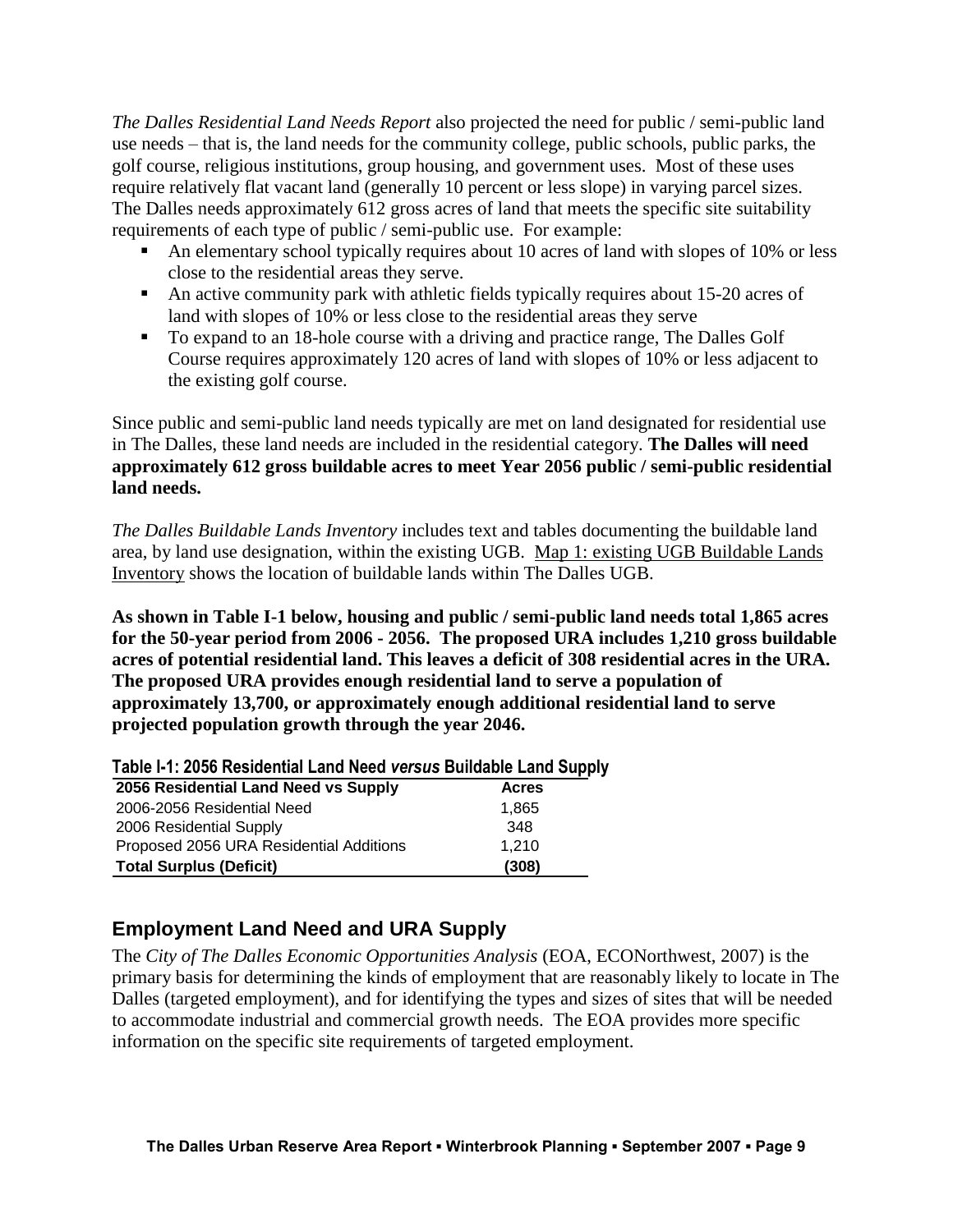*The Dalles Residential Land Needs Report* also projected the need for public / semi-public land use needs – that is, the land needs for the community college, public schools, public parks, the golf course, religious institutions, group housing, and government uses. Most of these uses require relatively flat vacant land (generally 10 percent or less slope) in varying parcel sizes. The Dalles needs approximately 612 gross acres of land that meets the specific site suitability requirements of each type of public / semi-public use. For example:

- An elementary school typically requires about 10 acres of land with slopes of 10% or less close to the residential areas they serve.
- An active community park with athletic fields typically requires about 15-20 acres of land with slopes of 10% or less close to the residential areas they serve
- To expand to an 18-hole course with a driving and practice range, The Dalles Golf Course requires approximately 120 acres of land with slopes of 10% or less adjacent to the existing golf course.

Since public and semi-public land needs typically are met on land designated for residential use in The Dalles, these land needs are included in the residential category. **The Dalles will need approximately 612 gross buildable acres to meet Year 2056 public / semi-public residential land needs.**

*The Dalles Buildable Lands Inventory* includes text and tables documenting the buildable land area, by land use designation, within the existing UGB. Map 1: existing UGB Buildable Lands Inventory shows the location of buildable lands within The Dalles UGB.

**As shown in Table I-1 below, housing and public / semi-public land needs total 1,865 acres for the 50-year period from 2006 - 2056. The proposed URA includes 1,210 gross buildable acres of potential residential land. This leaves a deficit of 308 residential acres in the URA. The proposed URA provides enough residential land to serve a population of approximately 13,700, or approximately enough additional residential land to serve projected population growth through the year 2046.**

| Table I-1: 2056 Residential Land Need <i>Versus</i> Bulldable Land Supp |              |
|-------------------------------------------------------------------------|--------------|
| 2056 Residential Land Need vs Supply                                    | <b>Acres</b> |
| 2006-2056 Residential Need                                              | 1.865        |
| 2006 Residential Supply                                                 | 348          |
| Proposed 2056 URA Residential Additions                                 | 1.210        |
| <b>Total Surplus (Deficit)</b>                                          | (308)        |

#### **Table I-1: 2056 Residential Land Need** *versus* **Buildable Land Supply**

#### **Employment Land Need and URA Supply**

The *City of The Dalles Economic Opportunities Analysis* (EOA, ECONorthwest, 2007) is the primary basis for determining the kinds of employment that are reasonably likely to locate in The Dalles (targeted employment), and for identifying the types and sizes of sites that will be needed to accommodate industrial and commercial growth needs. The EOA provides more specific information on the specific site requirements of targeted employment.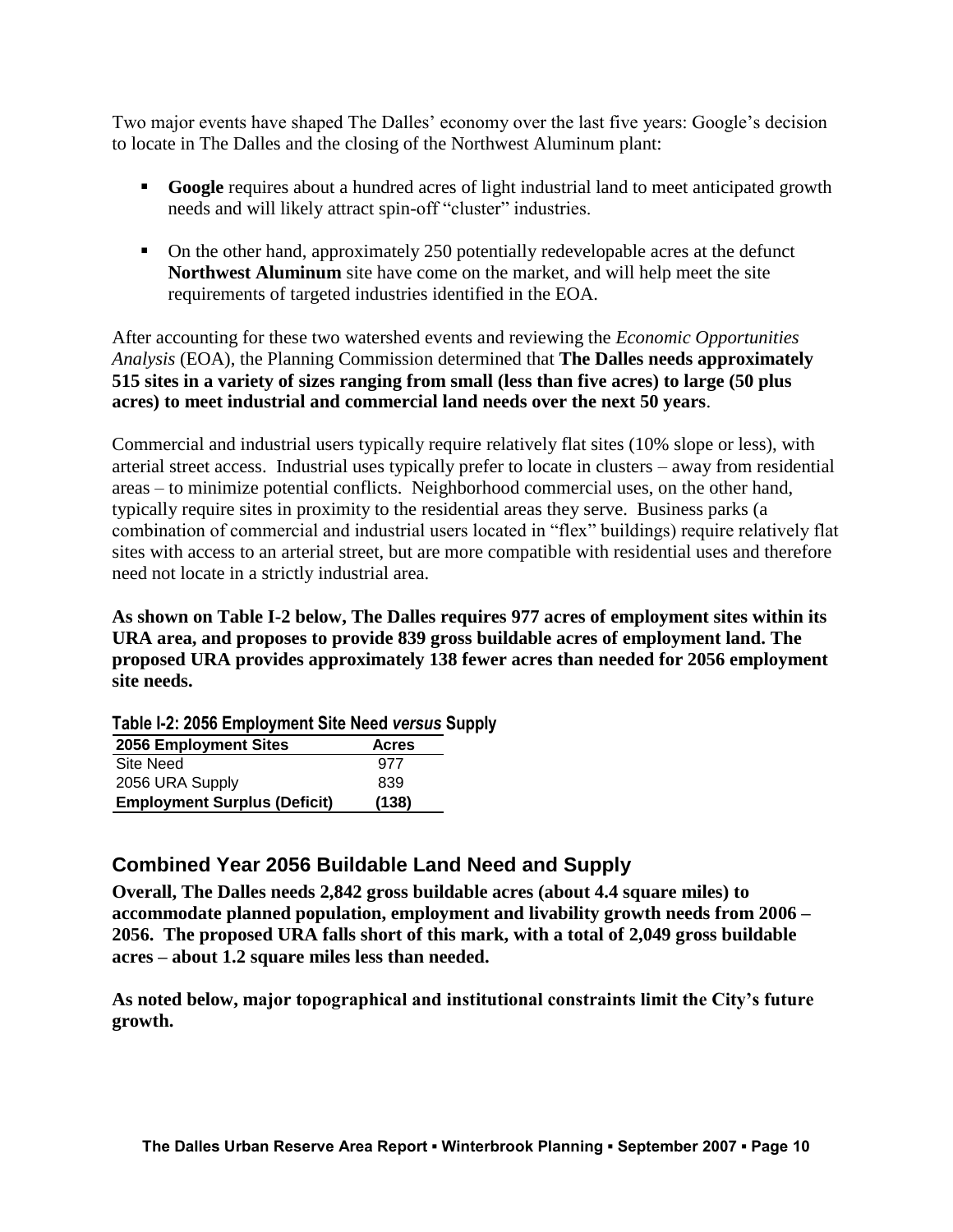Two major events have shaped The Dalles' economy over the last five years: Google's decision to locate in The Dalles and the closing of the Northwest Aluminum plant:

- **Google** requires about a hundred acres of light industrial land to meet anticipated growth needs and will likely attract spin-off "cluster" industries.
- On the other hand, approximately 250 potentially redevelopable acres at the defunct **Northwest Aluminum** site have come on the market, and will help meet the site requirements of targeted industries identified in the EOA.

After accounting for these two watershed events and reviewing the *Economic Opportunities Analysis* (EOA), the Planning Commission determined that **The Dalles needs approximately 515 sites in a variety of sizes ranging from small (less than five acres) to large (50 plus acres) to meet industrial and commercial land needs over the next 50 years**.

Commercial and industrial users typically require relatively flat sites (10% slope or less), with arterial street access. Industrial uses typically prefer to locate in clusters – away from residential areas – to minimize potential conflicts. Neighborhood commercial uses, on the other hand, typically require sites in proximity to the residential areas they serve. Business parks (a combination of commercial and industrial users located in "flex" buildings) require relatively flat sites with access to an arterial street, but are more compatible with residential uses and therefore need not locate in a strictly industrial area.

**As shown on Table I-2 below, The Dalles requires 977 acres of employment sites within its URA area, and proposes to provide 839 gross buildable acres of employment land. The proposed URA provides approximately 138 fewer acres than needed for 2056 employment site needs.**

| Table I-2. 2000 Linployment Olte Need Versus O |              |
|------------------------------------------------|--------------|
| <b>2056 Employment Sites</b>                   | <b>Acres</b> |
| Site Need                                      | 977          |
| 2056 URA Supply                                | 839          |
| <b>Employment Surplus (Deficit)</b>            | (138)        |

#### **Table I-2: 2056 Employment Site Need** *versus* **Supply**

#### **Combined Year 2056 Buildable Land Need and Supply**

**Overall, The Dalles needs 2,842 gross buildable acres (about 4.4 square miles) to accommodate planned population, employment and livability growth needs from 2006 – 2056. The proposed URA falls short of this mark, with a total of 2,049 gross buildable acres – about 1.2 square miles less than needed.** 

**As noted below, major topographical and institutional constraints limit the City's future growth.**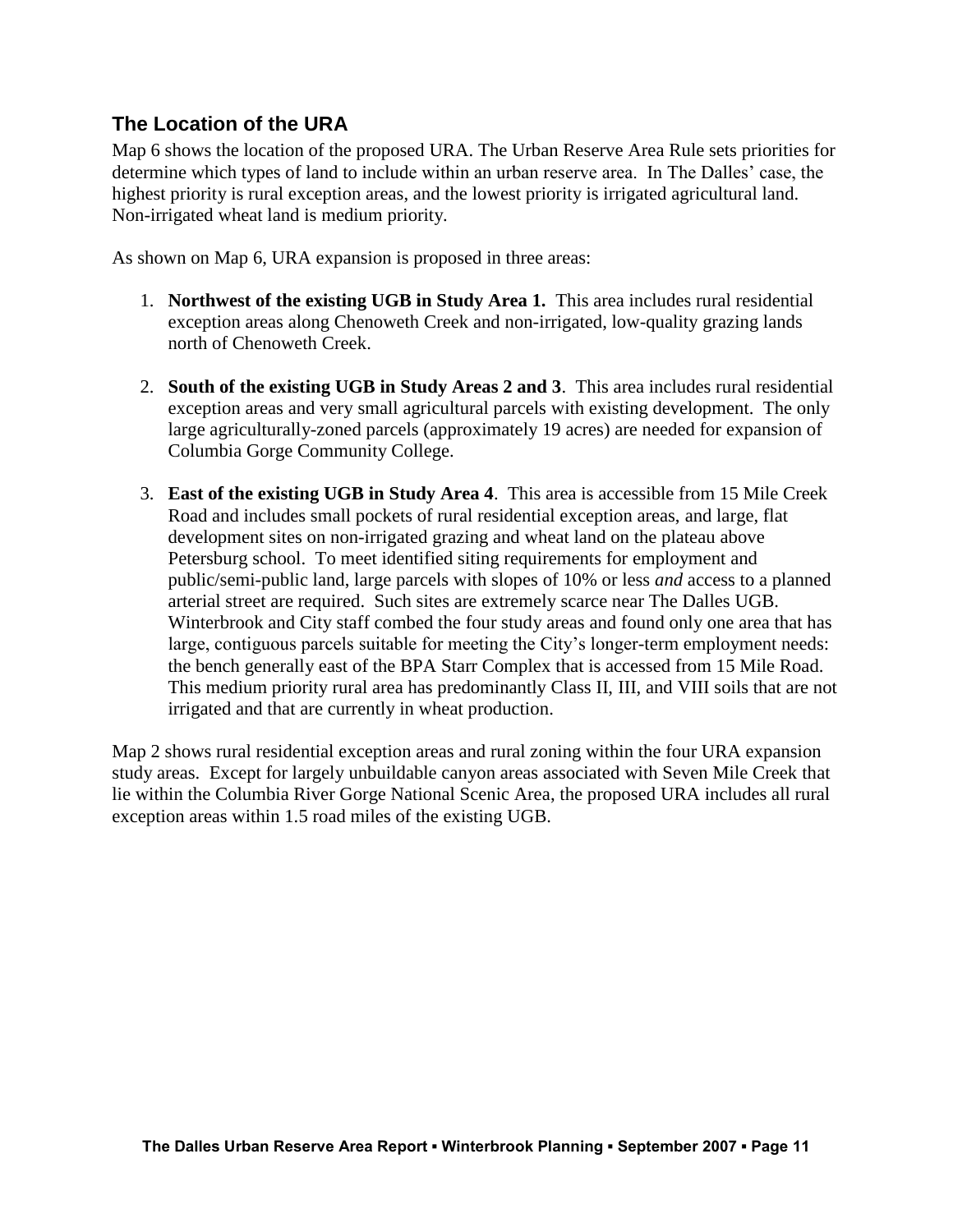#### **The Location of the URA**

Map 6 shows the location of the proposed URA. The Urban Reserve Area Rule sets priorities for determine which types of land to include within an urban reserve area. In The Dalles' case, the highest priority is rural exception areas, and the lowest priority is irrigated agricultural land. Non-irrigated wheat land is medium priority.

As shown on Map 6, URA expansion is proposed in three areas:

- 1. **Northwest of the existing UGB in Study Area 1.** This area includes rural residential exception areas along Chenoweth Creek and non-irrigated, low-quality grazing lands north of Chenoweth Creek.
- 2. **South of the existing UGB in Study Areas 2 and 3**. This area includes rural residential exception areas and very small agricultural parcels with existing development. The only large agriculturally-zoned parcels (approximately 19 acres) are needed for expansion of Columbia Gorge Community College.
- 3. **East of the existing UGB in Study Area 4**. This area is accessible from 15 Mile Creek Road and includes small pockets of rural residential exception areas, and large, flat development sites on non-irrigated grazing and wheat land on the plateau above Petersburg school. To meet identified siting requirements for employment and public/semi-public land, large parcels with slopes of 10% or less *and* access to a planned arterial street are required. Such sites are extremely scarce near The Dalles UGB. Winterbrook and City staff combed the four study areas and found only one area that has large, contiguous parcels suitable for meeting the City's longer-term employment needs: the bench generally east of the BPA Starr Complex that is accessed from 15 Mile Road. This medium priority rural area has predominantly Class II, III, and VIII soils that are not irrigated and that are currently in wheat production.

Map 2 shows rural residential exception areas and rural zoning within the four URA expansion study areas. Except for largely unbuildable canyon areas associated with Seven Mile Creek that lie within the Columbia River Gorge National Scenic Area, the proposed URA includes all rural exception areas within 1.5 road miles of the existing UGB.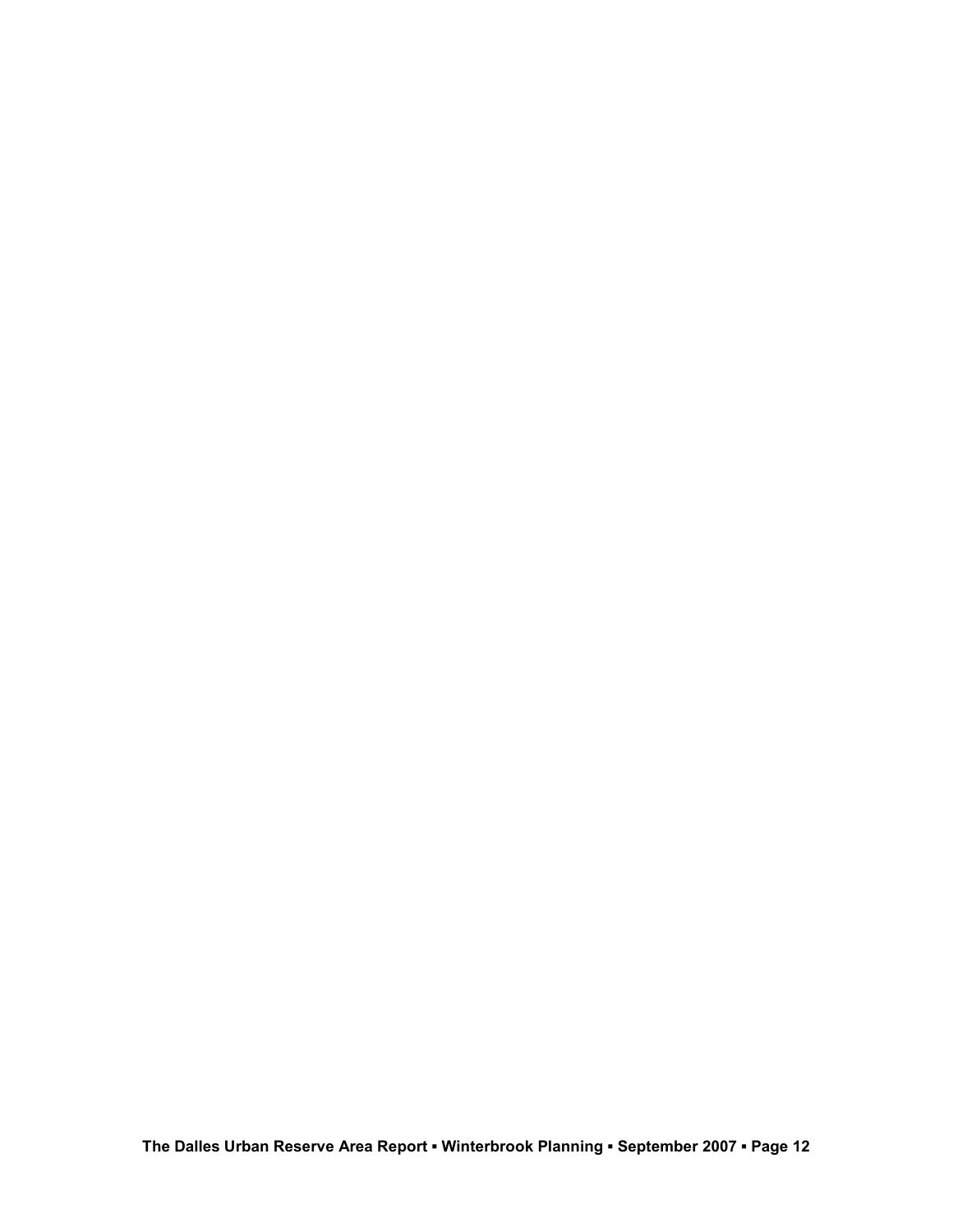**The Dalles Urban Reserve Area Report ▪ Winterbrook Planning ▪ September 2007 ▪ Page 12**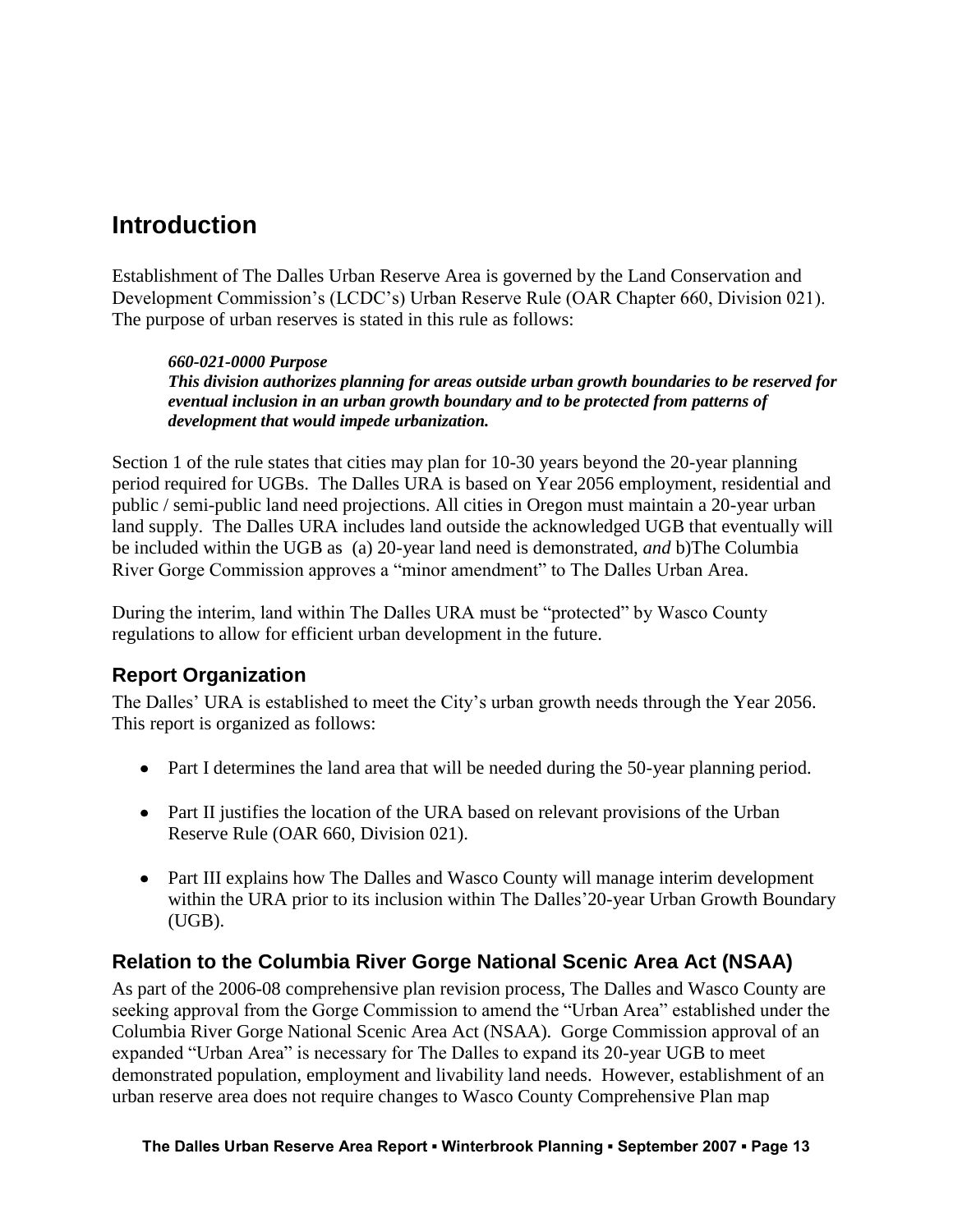## <span id="page-12-0"></span>**Introduction**

Establishment of The Dalles Urban Reserve Area is governed by the Land Conservation and Development Commission's (LCDC's) Urban Reserve Rule (OAR Chapter 660, Division 021). The purpose of urban reserves is stated in this rule as follows:

#### *660-021-0000 Purpose This division authorizes planning for areas outside urban growth boundaries to be reserved for eventual inclusion in an urban growth boundary and to be protected from patterns of development that would impede urbanization.*

Section 1 of the rule states that cities may plan for 10-30 years beyond the 20-year planning period required for UGBs. The Dalles URA is based on Year 2056 employment, residential and public / semi-public land need projections. All cities in Oregon must maintain a 20-year urban land supply. The Dalles URA includes land outside the acknowledged UGB that eventually will be included within the UGB as (a) 20-year land need is demonstrated, *and* b)The Columbia River Gorge Commission approves a "minor amendment" to The Dalles Urban Area.

During the interim, land within The Dalles URA must be "protected" by Wasco County regulations to allow for efficient urban development in the future.

### **Report Organization**

The Dalles' URA is established to meet the City's urban growth needs through the Year 2056. This report is organized as follows:

- Part I determines the land area that will be needed during the 50-year planning period.
- Part II justifies the location of the URA based on relevant provisions of the Urban Reserve Rule (OAR 660, Division 021).
- Part III explains how The Dalles and Wasco County will manage interim development within the URA prior to its inclusion within The Dalles'20-year Urban Growth Boundary (UGB).

### **Relation to the Columbia River Gorge National Scenic Area Act (NSAA)**

As part of the 2006-08 comprehensive plan revision process, The Dalles and Wasco County are seeking approval from the Gorge Commission to amend the "Urban Area" established under the Columbia River Gorge National Scenic Area Act (NSAA). Gorge Commission approval of an expanded "Urban Area" is necessary for The Dalles to expand its 20-year UGB to meet demonstrated population, employment and livability land needs. However, establishment of an urban reserve area does not require changes to Wasco County Comprehensive Plan map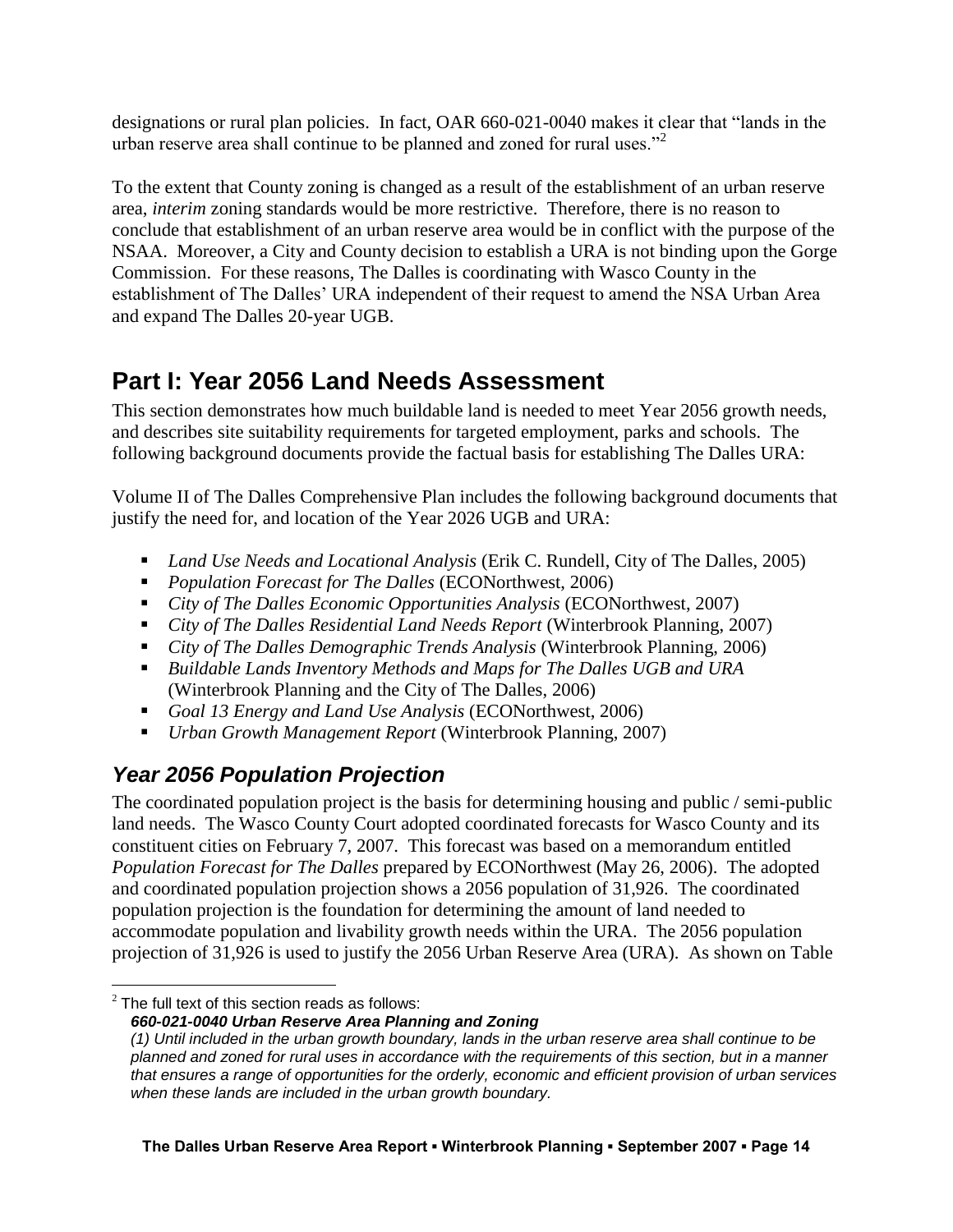designations or rural plan policies. In fact, OAR 660-021-0040 makes it clear that "lands in the urban reserve area shall continue to be planned and zoned for rural uses."<sup>2</sup>

To the extent that County zoning is changed as a result of the establishment of an urban reserve area, *interim* zoning standards would be more restrictive. Therefore, there is no reason to conclude that establishment of an urban reserve area would be in conflict with the purpose of the NSAA. Moreover, a City and County decision to establish a URA is not binding upon the Gorge Commission. For these reasons, The Dalles is coordinating with Wasco County in the establishment of The Dalles' URA independent of their request to amend the NSA Urban Area and expand The Dalles 20-year UGB.

## <span id="page-13-0"></span>**Part I: Year 2056 Land Needs Assessment**

This section demonstrates how much buildable land is needed to meet Year 2056 growth needs, and describes site suitability requirements for targeted employment, parks and schools. The following background documents provide the factual basis for establishing The Dalles URA:

Volume II of The Dalles Comprehensive Plan includes the following background documents that justify the need for, and location of the Year 2026 UGB and URA:

- *Land Use Needs and Locational Analysis* (Erik C. Rundell, City of The Dalles, 2005)
- *Population Forecast for The Dalles* (ECONorthwest, 2006)
- *City of The Dalles Economic Opportunities Analysis* (ECONorthwest, 2007)
- *City of The Dalles Residential Land Needs Report* (Winterbrook Planning, 2007)
- *City of The Dalles Demographic Trends Analysis* (Winterbrook Planning, 2006)
- *Buildable Lands Inventory Methods and Maps for The Dalles UGB and URA* (Winterbrook Planning and the City of The Dalles, 2006)
- *Goal 13 Energy and Land Use Analysis* (ECONorthwest, 2006)
- *Urban Growth Management Report* (Winterbrook Planning, 2007)

## <span id="page-13-1"></span>*Year 2056 Population Projection*

The coordinated population project is the basis for determining housing and public / semi-public land needs. The Wasco County Court adopted coordinated forecasts for Wasco County and its constituent cities on February 7, 2007. This forecast was based on a memorandum entitled *Population Forecast for The Dalles* prepared by ECONorthwest (May 26, 2006). The adopted and coordinated population projection shows a 2056 population of 31,926. The coordinated population projection is the foundation for determining the amount of land needed to accommodate population and livability growth needs within the URA. The 2056 population projection of 31,926 is used to justify the 2056 Urban Reserve Area (URA). As shown on Table

 $\overline{a}$  $2$  The full text of this section reads as follows:

*<sup>660-021-0040</sup> Urban Reserve Area Planning and Zoning* 

*<sup>(1)</sup> Until included in the urban growth boundary, lands in the urban reserve area shall continue to be planned and zoned for rural uses in accordance with the requirements of this section, but in a manner that ensures a range of opportunities for the orderly, economic and efficient provision of urban services when these lands are included in the urban growth boundary.*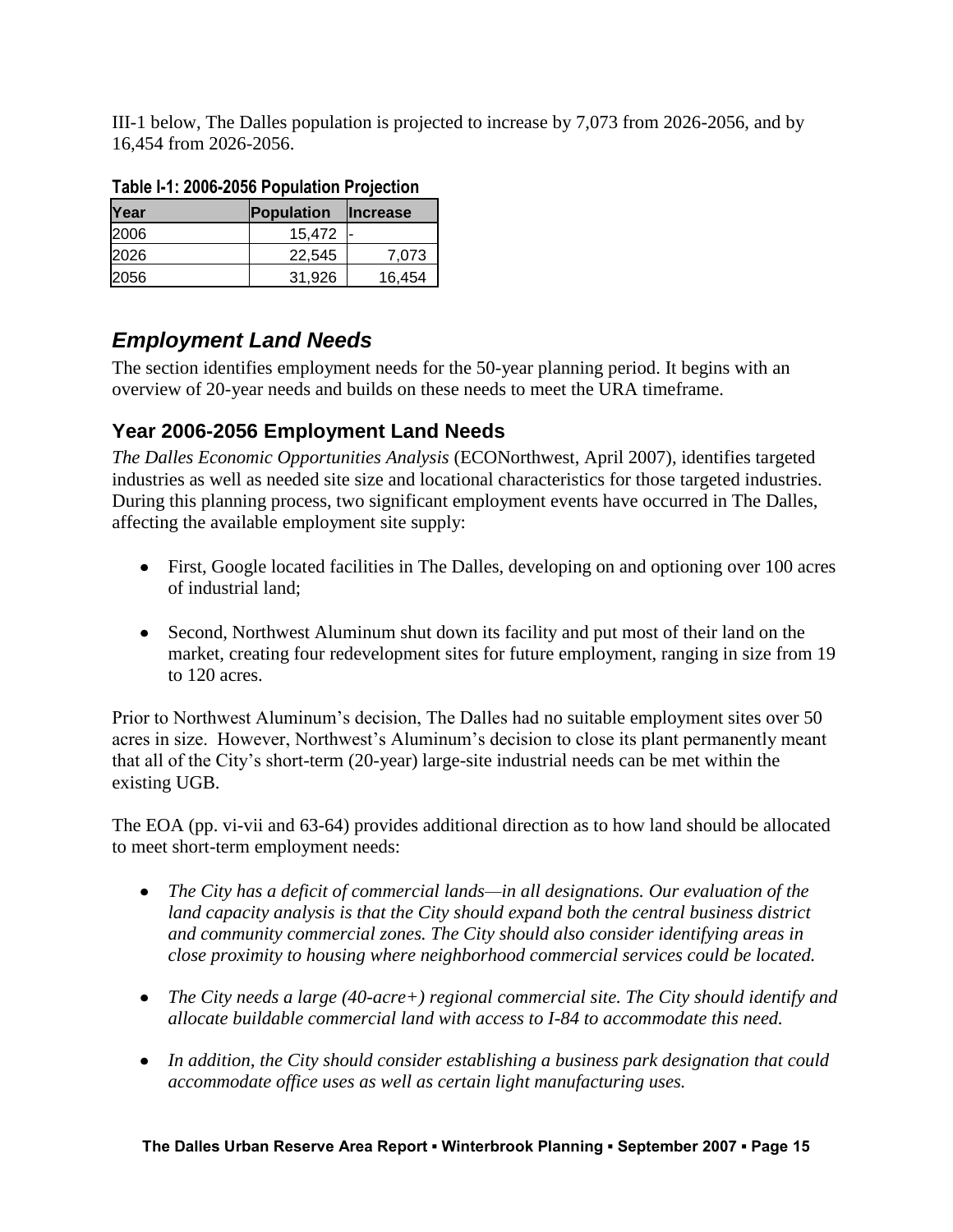III-1 below, The Dalles population is projected to increase by 7,073 from 2026-2056, and by 16,454 from 2026-2056.

| Year | <b>Population</b> | <b>Increase</b> |
|------|-------------------|-----------------|
| 2006 | 15.472            |                 |
| 2026 | 22,545            | 7,073           |
| 2056 | 31.926            | 16,454          |

### <span id="page-14-0"></span>*Employment Land Needs*

The section identifies employment needs for the 50-year planning period. It begins with an overview of 20-year needs and builds on these needs to meet the URA timeframe.

### **Year 2006-2056 Employment Land Needs**

*The Dalles Economic Opportunities Analysis* (ECONorthwest, April 2007), identifies targeted industries as well as needed site size and locational characteristics for those targeted industries. During this planning process, two significant employment events have occurred in The Dalles, affecting the available employment site supply:

- First, Google located facilities in The Dalles, developing on and optioning over 100 acres of industrial land;
- Second, Northwest Aluminum shut down its facility and put most of their land on the market, creating four redevelopment sites for future employment, ranging in size from 19 to 120 acres.

Prior to Northwest Aluminum's decision, The Dalles had no suitable employment sites over 50 acres in size. However, Northwest's Aluminum's decision to close its plant permanently meant that all of the City's short-term (20-year) large-site industrial needs can be met within the existing UGB.

The EOA (pp. vi-vii and 63-64) provides additional direction as to how land should be allocated to meet short-term employment needs:

- *The City has a deficit of commercial lands—in all designations. Our evaluation of the*  land capacity analysis is that the City should expand both the central business district *and community commercial zones. The City should also consider identifying areas in close proximity to housing where neighborhood commercial services could be located.*
- *The City needs a large (40-acre+) regional commercial site. The City should identify and allocate buildable commercial land with access to I-84 to accommodate this need.*
- *In addition, the City should consider establishing a business park designation that could accommodate office uses as well as certain light manufacturing uses.*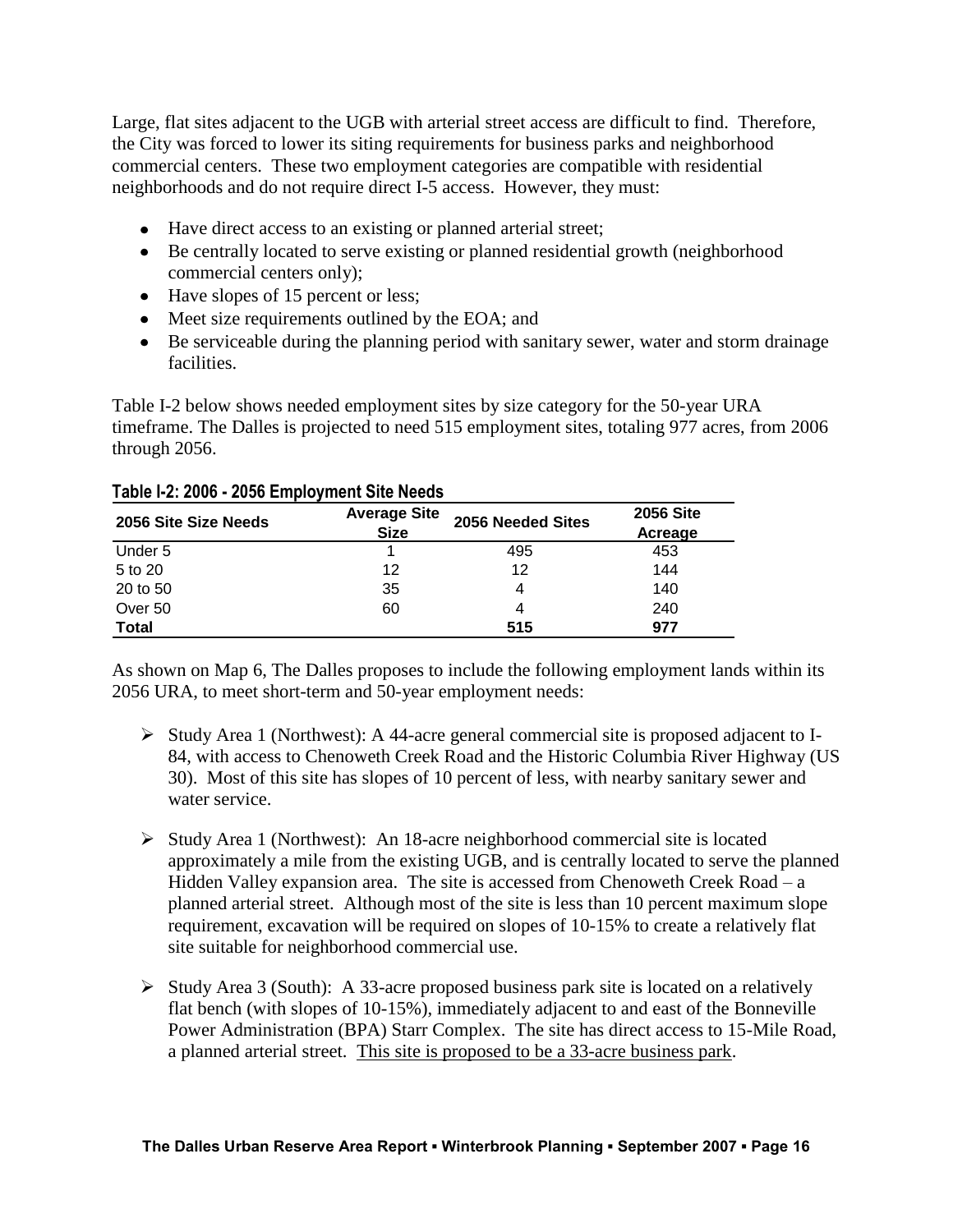Large, flat sites adjacent to the UGB with arterial street access are difficult to find. Therefore, the City was forced to lower its siting requirements for business parks and neighborhood commercial centers. These two employment categories are compatible with residential neighborhoods and do not require direct I-5 access. However, they must:

- Have direct access to an existing or planned arterial street;
- Be centrally located to serve existing or planned residential growth (neighborhood commercial centers only);
- Have slopes of 15 percent or less;
- Meet size requirements outlined by the EOA; and
- Be serviceable during the planning period with sanitary sewer, water and storm drainage facilities.

Table I-2 below shows needed employment sites by size category for the 50-year URA timeframe. The Dalles is projected to need 515 employment sites, totaling 977 acres, from 2006 through 2056.

| 2056 Site Size Needs | <b>Average Site</b> | 2056 Needed Sites | <b>2056 Site</b> |  |
|----------------------|---------------------|-------------------|------------------|--|
|                      | <b>Size</b>         |                   | Acreage          |  |
| Under 5              |                     | 495               | 453              |  |
| 5 to 20              | 12                  | 12                | 144              |  |
| 20 to 50             | 35                  | 4                 | 140              |  |
| Over 50              | 60                  | 4                 | 240              |  |
| <b>Total</b>         |                     | 515               | 977              |  |

#### **Table I-2: 2006 - 2056 Employment Site Needs**

As shown on Map 6, The Dalles proposes to include the following employment lands within its 2056 URA, to meet short-term and 50-year employment needs:

- $\triangleright$  Study Area 1 (Northwest): A 44-acre general commercial site is proposed adjacent to I-84, with access to Chenoweth Creek Road and the Historic Columbia River Highway (US 30). Most of this site has slopes of 10 percent of less, with nearby sanitary sewer and water service.
- $\triangleright$  Study Area 1 (Northwest): An 18-acre neighborhood commercial site is located approximately a mile from the existing UGB, and is centrally located to serve the planned Hidden Valley expansion area. The site is accessed from Chenoweth Creek Road – a planned arterial street. Although most of the site is less than 10 percent maximum slope requirement, excavation will be required on slopes of 10-15% to create a relatively flat site suitable for neighborhood commercial use.
- $\triangleright$  Study Area 3 (South): A 33-acre proposed business park site is located on a relatively flat bench (with slopes of 10-15%), immediately adjacent to and east of the Bonneville Power Administration (BPA) Starr Complex. The site has direct access to 15-Mile Road, a planned arterial street. This site is proposed to be a 33-acre business park.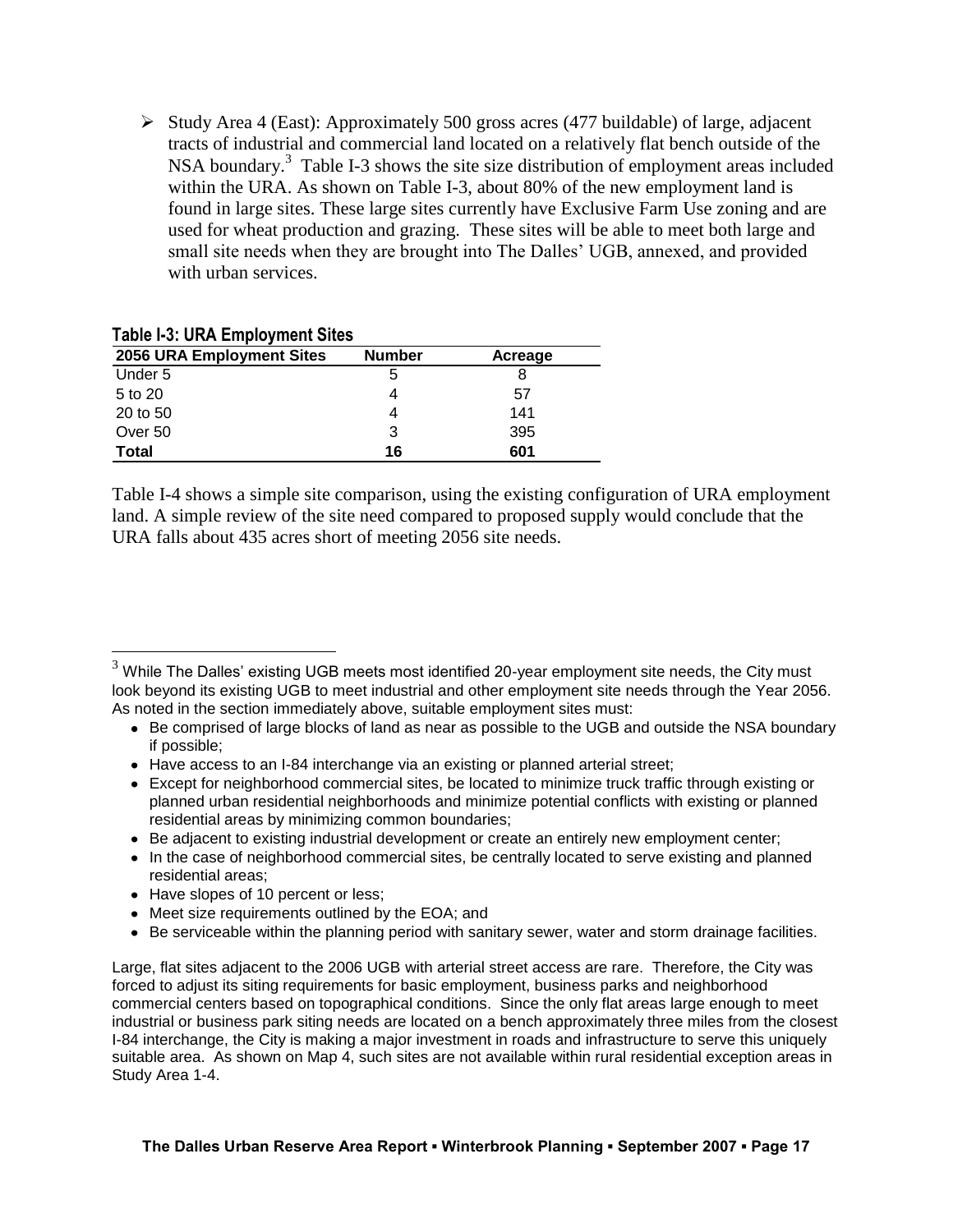$\triangleright$  Study Area 4 (East): Approximately 500 gross acres (477 buildable) of large, adjacent tracts of industrial and commercial land located on a relatively flat bench outside of the NSA boundary.<sup>3</sup> Table I-3 shows the site size distribution of employment areas included within the URA. As shown on Table I-3, about 80% of the new employment land is found in large sites. These large sites currently have Exclusive Farm Use zoning and are used for wheat production and grazing. These sites will be able to meet both large and small site needs when they are brought into The Dalles' UGB, annexed, and provided with urban services.

| <b>TADIC FOR OTAL EMPLOYMENT ORCS</b> |        |         |  |  |  |
|---------------------------------------|--------|---------|--|--|--|
| 2056 URA Employment Sites             | Number | Acreage |  |  |  |
| Under 5                               | b      |         |  |  |  |
| 5 to 20                               |        | 57      |  |  |  |
| 20 to 50                              |        | 141     |  |  |  |
| Over 50                               | З      | 395     |  |  |  |
| <b>Total</b>                          | 16     | 601     |  |  |  |

#### **Table I-3: URA Employment Sites**

 $\overline{a}$ 

Table I-4 shows a simple site comparison, using the existing configuration of URA employment land. A simple review of the site need compared to proposed supply would conclude that the URA falls about 435 acres short of meeting 2056 site needs.

- Have access to an I-84 interchange via an existing or planned arterial street;
- Except for neighborhood commercial sites, be located to minimize truck traffic through existing or planned urban residential neighborhoods and minimize potential conflicts with existing or planned residential areas by minimizing common boundaries;
- Be adjacent to existing industrial development or create an entirely new employment center;
- In the case of neighborhood commercial sites, be centrally located to serve existing and planned residential areas;
- Have slopes of 10 percent or less;
- Meet size requirements outlined by the EOA; and
- Be serviceable within the planning period with sanitary sewer, water and storm drainage facilities.

 $3$  While The Dalles' existing UGB meets most identified 20-year employment site needs, the City must look beyond its existing UGB to meet industrial and other employment site needs through the Year 2056. As noted in the section immediately above, suitable employment sites must:

<sup>•</sup> Be comprised of large blocks of land as near as possible to the UGB and outside the NSA boundary if possible;

Large, flat sites adjacent to the 2006 UGB with arterial street access are rare. Therefore, the City was forced to adjust its siting requirements for basic employment, business parks and neighborhood commercial centers based on topographical conditions. Since the only flat areas large enough to meet industrial or business park siting needs are located on a bench approximately three miles from the closest I-84 interchange, the City is making a major investment in roads and infrastructure to serve this uniquely suitable area. As shown on Map 4, such sites are not available within rural residential exception areas in Study Area 1-4.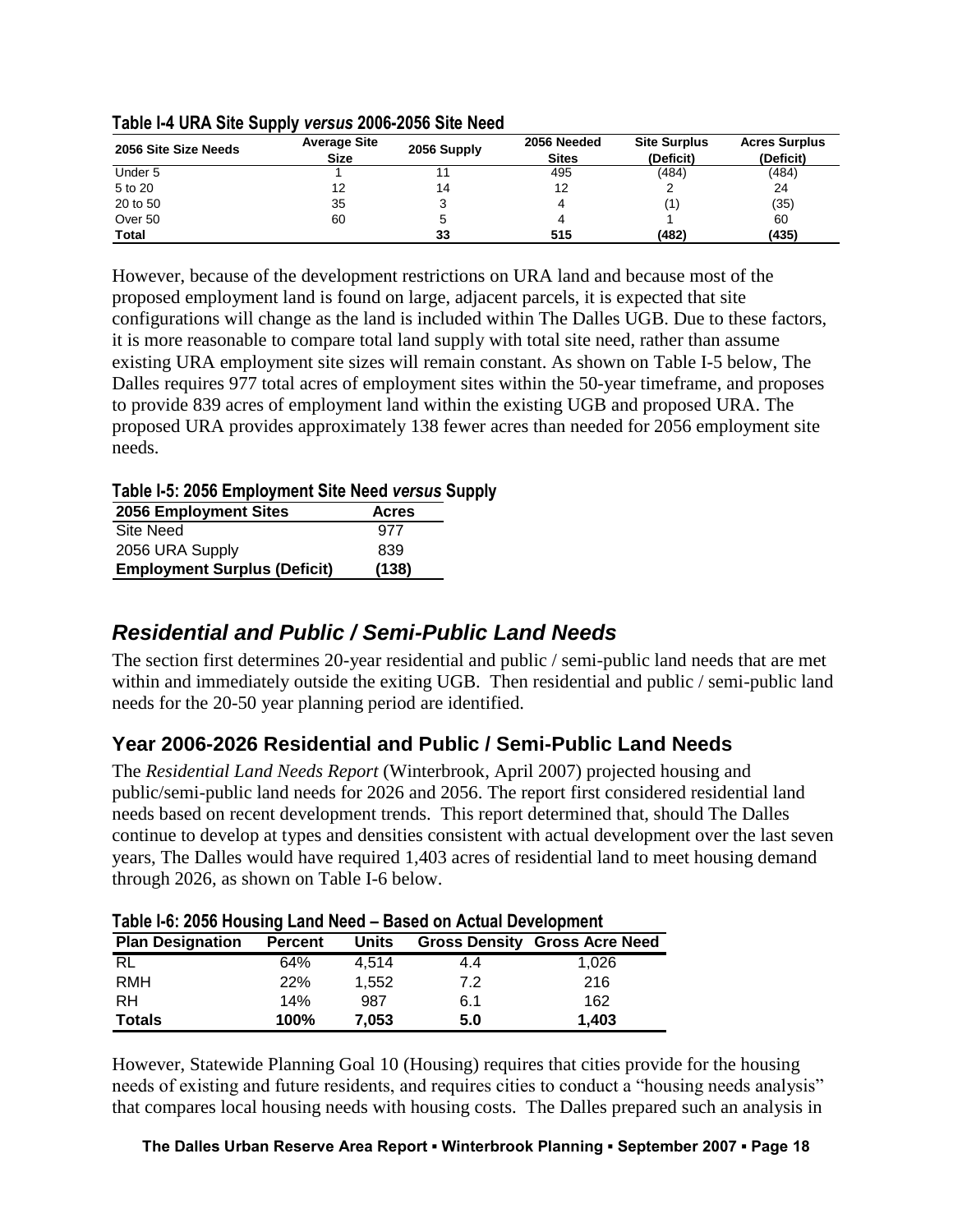| 2056 Site Size Needs | <b>Average Site</b><br><b>Size</b> | 2056 Supply | 2056 Needed<br><b>Sites</b> | <b>Site Surplus</b><br>(Deficit) | <b>Acres Surplus</b><br>(Deficit) |
|----------------------|------------------------------------|-------------|-----------------------------|----------------------------------|-----------------------------------|
| Under 5              |                                    |             | 495                         | (484)                            | (484)                             |
| 5 to 20              | 12                                 | 14          | 12                          |                                  | 24                                |
| 20 to 50             | 35                                 |             |                             |                                  | (35)                              |
| Over 50              | 60                                 |             |                             |                                  | 60                                |
| Total                |                                    | 33          | 515                         | (482)                            | (435)                             |

**Table I-4 URA Site Supply** *versus* **2006-2056 Site Need**

However, because of the development restrictions on URA land and because most of the proposed employment land is found on large, adjacent parcels, it is expected that site configurations will change as the land is included within The Dalles UGB. Due to these factors, it is more reasonable to compare total land supply with total site need, rather than assume existing URA employment site sizes will remain constant. As shown on Table I-5 below, The Dalles requires 977 total acres of employment sites within the 50-year timeframe, and proposes to provide 839 acres of employment land within the existing UGB and proposed URA. The proposed URA provides approximately 138 fewer acres than needed for 2056 employment site needs.

**Table I-5: 2056 Employment Site Need** *versus* **Supply**

| 2056 Employment Sites               | <b>Acres</b> |
|-------------------------------------|--------------|
| Site Need                           | 977          |
| 2056 URA Supply                     | 839          |
| <b>Employment Surplus (Deficit)</b> | (138)        |

### <span id="page-17-0"></span>*Residential and Public / Semi-Public Land Needs*

The section first determines 20-year residential and public / semi-public land needs that are met within and immediately outside the exiting UGB. Then residential and public / semi-public land needs for the 20-50 year planning period are identified.

### **Year 2006-2026 Residential and Public / Semi-Public Land Needs**

The *Residential Land Needs Report* (Winterbrook, April 2007) projected housing and public/semi-public land needs for 2026 and 2056. The report first considered residential land needs based on recent development trends. This report determined that, should The Dalles continue to develop at types and densities consistent with actual development over the last seven years, The Dalles would have required 1,403 acres of residential land to meet housing demand through 2026, as shown on Table I-6 below.

| <b>Plan Designation</b> | <b>Percent</b> | <b>Units</b> |     | <b>Gross Density Gross Acre Need</b> |
|-------------------------|----------------|--------------|-----|--------------------------------------|
| RL                      | 64%            | 4.514        | 4.4 | 1.026                                |
| RMH                     | 22%            | 1.552        | 7.2 | 216                                  |
| RH                      | 14%            | 987          | 6.1 | 162                                  |
| <b>Totals</b>           | 100%           | 7.053        | 5.0 | 1.403                                |

| Table I-6: 2056 Housing Land Need - Based on Actual Development |  |  |
|-----------------------------------------------------------------|--|--|
|                                                                 |  |  |

However, Statewide Planning Goal 10 (Housing) requires that cities provide for the housing needs of existing and future residents, and requires cities to conduct a "housing needs analysis" that compares local housing needs with housing costs. The Dalles prepared such an analysis in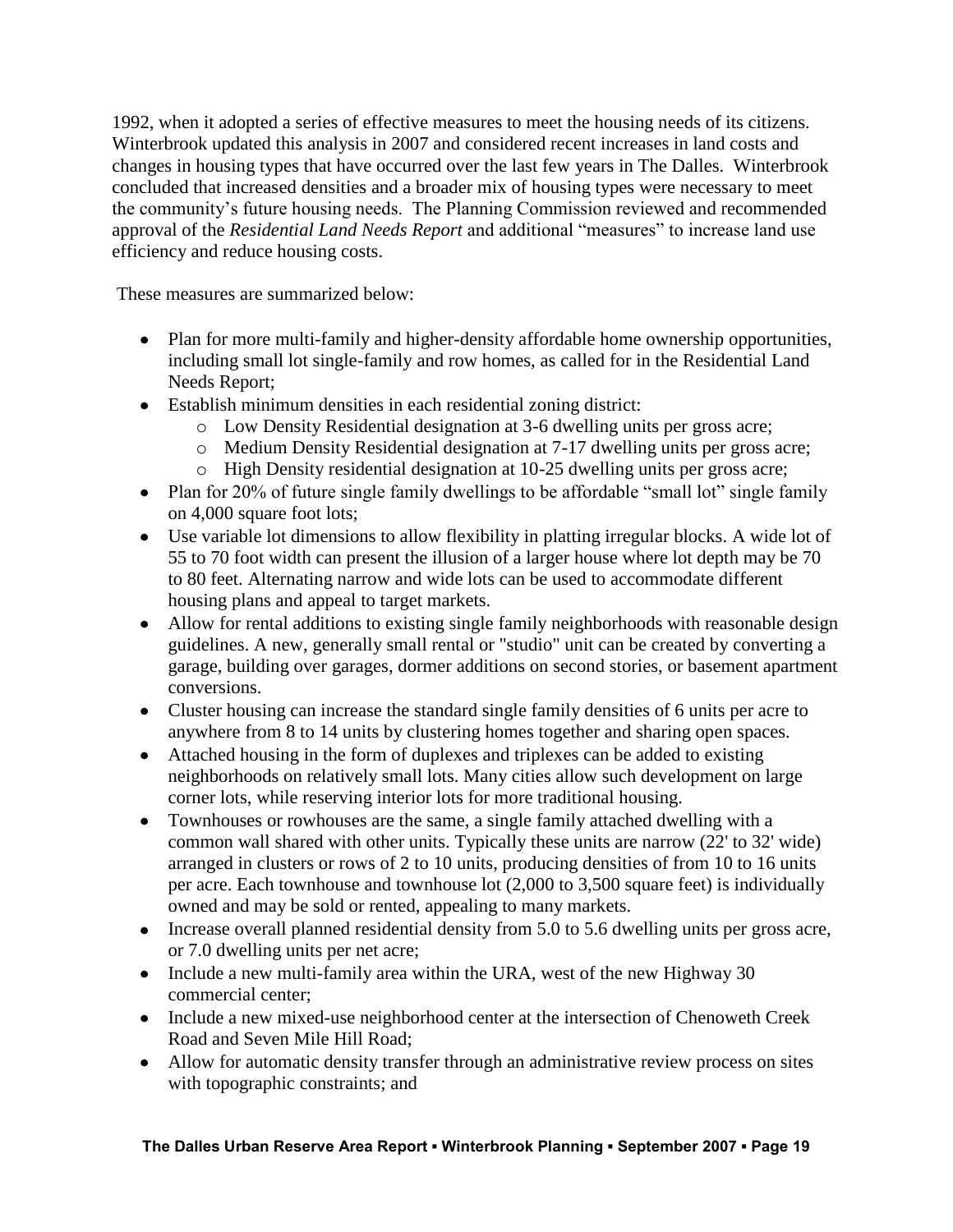1992, when it adopted a series of effective measures to meet the housing needs of its citizens. Winterbrook updated this analysis in 2007 and considered recent increases in land costs and changes in housing types that have occurred over the last few years in The Dalles. Winterbrook concluded that increased densities and a broader mix of housing types were necessary to meet the community's future housing needs. The Planning Commission reviewed and recommended approval of the *Residential Land Needs Report* and additional "measures" to increase land use efficiency and reduce housing costs.

These measures are summarized below:

- Plan for more multi-family and higher-density affordable home ownership opportunities, including small lot single-family and row homes, as called for in the Residential Land Needs Report;
- Establish minimum densities in each residential zoning district:
	- o Low Density Residential designation at 3-6 dwelling units per gross acre;
	- o Medium Density Residential designation at 7-17 dwelling units per gross acre;
	- o High Density residential designation at 10-25 dwelling units per gross acre;
- Plan for 20% of future single family dwellings to be affordable "small lot" single family on 4,000 square foot lots;
- Use variable lot dimensions to allow flexibility in platting irregular blocks. A wide lot of 55 to 70 foot width can present the illusion of a larger house where lot depth may be 70 to 80 feet. Alternating narrow and wide lots can be used to accommodate different housing plans and appeal to target markets.
- Allow for rental additions to existing single family neighborhoods with reasonable design guidelines. A new, generally small rental or "studio" unit can be created by converting a garage, building over garages, dormer additions on second stories, or basement apartment conversions.
- Cluster housing can increase the standard single family densities of 6 units per acre to anywhere from 8 to 14 units by clustering homes together and sharing open spaces.
- Attached housing in the form of duplexes and triplexes can be added to existing neighborhoods on relatively small lots. Many cities allow such development on large corner lots, while reserving interior lots for more traditional housing.
- Townhouses or rowhouses are the same, a single family attached dwelling with a common wall shared with other units. Typically these units are narrow (22' to 32' wide) arranged in clusters or rows of 2 to 10 units, producing densities of from 10 to 16 units per acre. Each townhouse and townhouse lot (2,000 to 3,500 square feet) is individually owned and may be sold or rented, appealing to many markets.
- Increase overall planned residential density from 5.0 to 5.6 dwelling units per gross acre, or 7.0 dwelling units per net acre;
- Include a new multi-family area within the URA, west of the new Highway 30 commercial center;
- Include a new mixed-use neighborhood center at the intersection of Chenoweth Creek Road and Seven Mile Hill Road;
- Allow for automatic density transfer through an administrative review process on sites with topographic constraints; and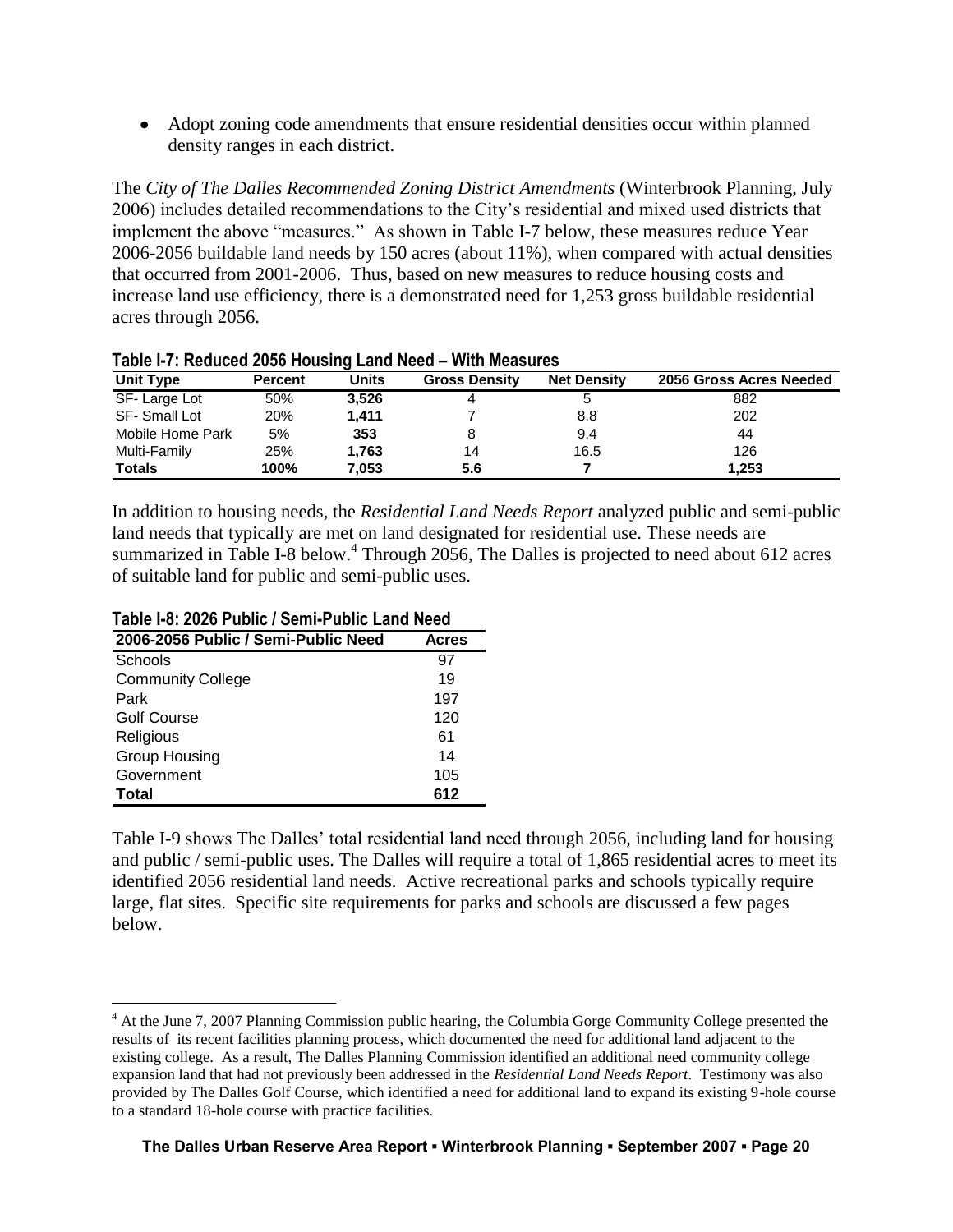Adopt zoning code amendments that ensure residential densities occur within planned density ranges in each district.

The *City of The Dalles Recommended Zoning District Amendments* (Winterbrook Planning, July 2006) includes detailed recommendations to the City's residential and mixed used districts that implement the above "measures." As shown in Table I-7 below, these measures reduce Year 2006-2056 buildable land needs by 150 acres (about 11%), when compared with actual densities that occurred from 2001-2006. Thus, based on new measures to reduce housing costs and increase land use efficiency, there is a demonstrated need for 1,253 gross buildable residential acres through 2056.

| <b>Unit Type</b> | <b>Percent</b> | Units | <b>Gross Density</b> | <b>Net Density</b> | 2056 Gross Acres Needed |  |
|------------------|----------------|-------|----------------------|--------------------|-------------------------|--|
| SF-Large Lot     | 50%            | 3,526 |                      |                    | 882                     |  |
| SF-Small Lot     | 20%            | 1.411 |                      | 8.8                | 202                     |  |
| Mobile Home Park | 5%             | 353   |                      | 9.4                | 44                      |  |
| Multi-Family     | 25%            | 1.763 | 14                   | 16.5               | 126                     |  |
| <b>Totals</b>    | 100%           | 7.053 | 5.6                  |                    | 1,253                   |  |

#### **Table I-7: Reduced 2056 Housing Land Need – With Measures**

In addition to housing needs, the *Residential Land Needs Report* analyzed public and semi-public land needs that typically are met on land designated for residential use. These needs are summarized in Table I-8 below.<sup>4</sup> Through 2056, The Dalles is projected to need about 612 acres of suitable land for public and semi-public uses.

| 2006-2056 Public / Semi-Public Need | Acres |
|-------------------------------------|-------|
| Schools                             | 97    |
| <b>Community College</b>            | 19    |
| Park                                | 197   |
| <b>Golf Course</b>                  | 120   |
| Religious                           | 61    |
| <b>Group Housing</b>                | 14    |
| Government                          | 105   |
| Total                               | 612   |

 $\overline{a}$ 

#### **Table I-8: 2026 Public / Semi-Public Land Need**

Table I-9 shows The Dalles' total residential land need through 2056, including land for housing and public / semi-public uses. The Dalles will require a total of 1,865 residential acres to meet its identified 2056 residential land needs. Active recreational parks and schools typically require large, flat sites. Specific site requirements for parks and schools are discussed a few pages below.

<sup>&</sup>lt;sup>4</sup> At the June 7, 2007 Planning Commission public hearing, the Columbia Gorge Community College presented the results of its recent facilities planning process, which documented the need for additional land adjacent to the existing college. As a result, The Dalles Planning Commission identified an additional need community college expansion land that had not previously been addressed in the *Residential Land Needs Report*. Testimony was also provided by The Dalles Golf Course, which identified a need for additional land to expand its existing 9-hole course to a standard 18-hole course with practice facilities.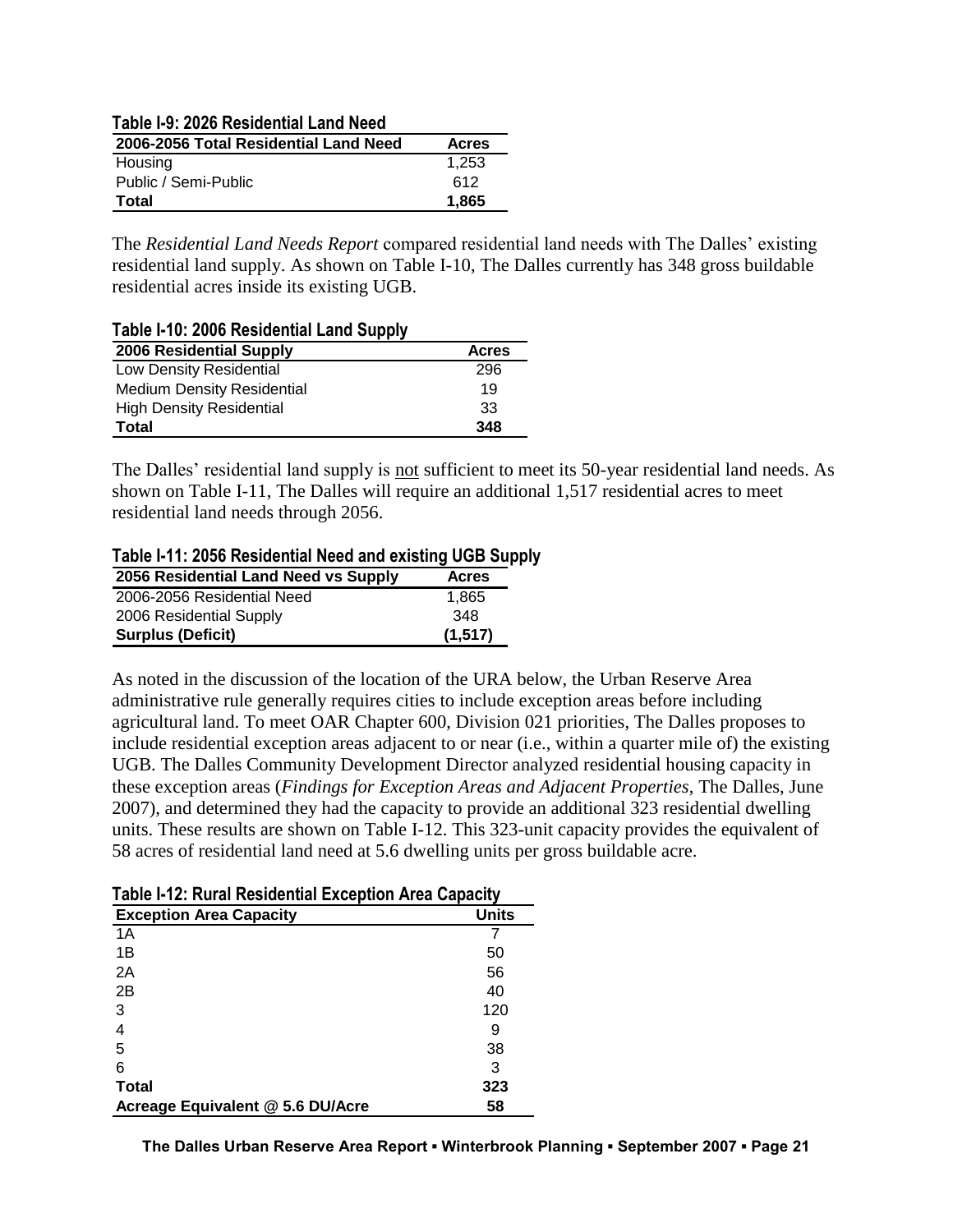| Table I-9: 2026 Residential Land Need                 |       |  |  |
|-------------------------------------------------------|-------|--|--|
| 2006-2056 Total Residential Land Need<br><b>Acres</b> |       |  |  |
| Housing                                               | 1.253 |  |  |
| Public / Semi-Public                                  | 612   |  |  |
| Total                                                 | 1,865 |  |  |

The *Residential Land Needs Report* compared residential land needs with The Dalles' existing residential land supply. As shown on Table I-10, The Dalles currently has 348 gross buildable residential acres inside its existing UGB.

#### **Table I-10: 2006 Residential Land Supply**

| <b>2006 Residential Supply</b>    | <b>Acres</b> |
|-----------------------------------|--------------|
| Low Density Residential           | 296          |
| <b>Medium Density Residential</b> | 19           |
| <b>High Density Residential</b>   | 33           |
| Total                             | 348          |

The Dalles' residential land supply is not sufficient to meet its 50-year residential land needs. As shown on Table I-11, The Dalles will require an additional 1,517 residential acres to meet residential land needs through 2056.

| Table I-11: 2056 Residential Need and existing UGB Supply |              |
|-----------------------------------------------------------|--------------|
| 2056 Residential Land Need vs Supply                      | <b>Acres</b> |
| 2006-2056 Residential Need                                | 1.865        |

| 2006-2056 Residential Need | 1.865   |
|----------------------------|---------|
| 2006 Residential Supply    | .348    |
| <b>Surplus (Deficit)</b>   | (1,517) |

As noted in the discussion of the location of the URA below, the Urban Reserve Area administrative rule generally requires cities to include exception areas before including agricultural land. To meet OAR Chapter 600, Division 021 priorities, The Dalles proposes to include residential exception areas adjacent to or near (i.e., within a quarter mile of) the existing UGB. The Dalles Community Development Director analyzed residential housing capacity in these exception areas (*Findings for Exception Areas and Adjacent Properties*, The Dalles, June 2007), and determined they had the capacity to provide an additional 323 residential dwelling units. These results are shown on Table I-12. This 323-unit capacity provides the equivalent of 58 acres of residential land need at 5.6 dwelling units per gross buildable acre.

| <b>Table I-12: Rural Residential Exception Area Capacity</b> |       |  |
|--------------------------------------------------------------|-------|--|
| <b>Exception Area Capacity</b>                               | Units |  |
| 1A                                                           |       |  |
| 1B                                                           | 50    |  |
| 2A                                                           | 56    |  |
| 2B                                                           | 40    |  |
| 3                                                            | 120   |  |
| 4                                                            | 9     |  |
| 5                                                            | 38    |  |
| 6                                                            | 3     |  |
| <b>Total</b>                                                 | 323   |  |
| 58<br><b>Acreage Equivalent @ 5.6 DU/Acre</b>                |       |  |

| Total |  | 323 |  |
|-------|--|-----|--|
|       |  |     |  |

**The Dalles Urban Reserve Area Report ▪ Winterbrook Planning ▪ September 2007 ▪ Page 21**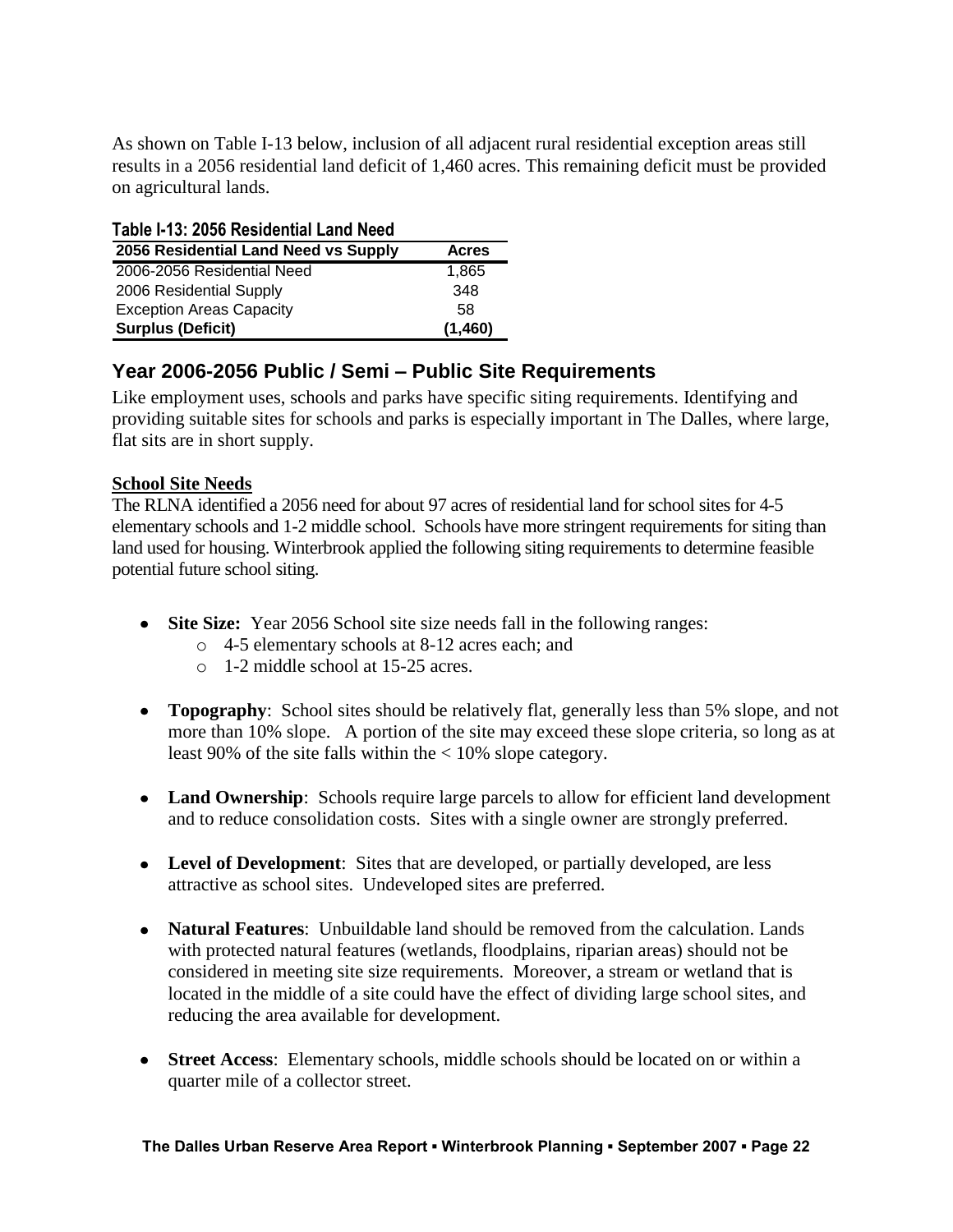As shown on Table I-13 below, inclusion of all adjacent rural residential exception areas still results in a 2056 residential land deficit of 1,460 acres. This remaining deficit must be provided on agricultural lands.

| Table I-13: 2056 Residential Land Need |              |  |  |
|----------------------------------------|--------------|--|--|
| 2056 Residential Land Need vs Supply   | <b>Acres</b> |  |  |
| 2006-2056 Residential Need             | 1,865        |  |  |
| 2006 Residential Supply                | 348          |  |  |
| <b>Exception Areas Capacity</b>        | 58           |  |  |
| <b>Surplus (Deficit)</b>               | (1,460)      |  |  |

### **Year 2006-2056 Public / Semi – Public Site Requirements**

Like employment uses, schools and parks have specific siting requirements. Identifying and providing suitable sites for schools and parks is especially important in The Dalles, where large, flat sits are in short supply.

#### **School Site Needs**

The RLNA identified a 2056 need for about 97 acres of residential land for school sites for 4-5 elementary schools and 1-2 middle school. Schools have more stringent requirements for siting than land used for housing. Winterbrook applied the following siting requirements to determine feasible potential future school siting.

- **Site Size:** Year 2056 School site size needs fall in the following ranges:
	- o 4-5 elementary schools at 8-12 acres each; and
	- o 1-2 middle school at 15-25 acres.
- **Topography**: School sites should be relatively flat, generally less than 5% slope, and not more than 10% slope. A portion of the site may exceed these slope criteria, so long as at least 90% of the site falls within the < 10% slope category.
- Land Ownership: Schools require large parcels to allow for efficient land development and to reduce consolidation costs. Sites with a single owner are strongly preferred.
- **Level of Development**: Sites that are developed, or partially developed, are less attractive as school sites. Undeveloped sites are preferred.
- **Natural Features**: Unbuildable land should be removed from the calculation. Lands with protected natural features (wetlands, floodplains, riparian areas) should not be considered in meeting site size requirements. Moreover, a stream or wetland that is located in the middle of a site could have the effect of dividing large school sites, and reducing the area available for development.
- **Street Access**: Elementary schools, middle schools should be located on or within a quarter mile of a collector street.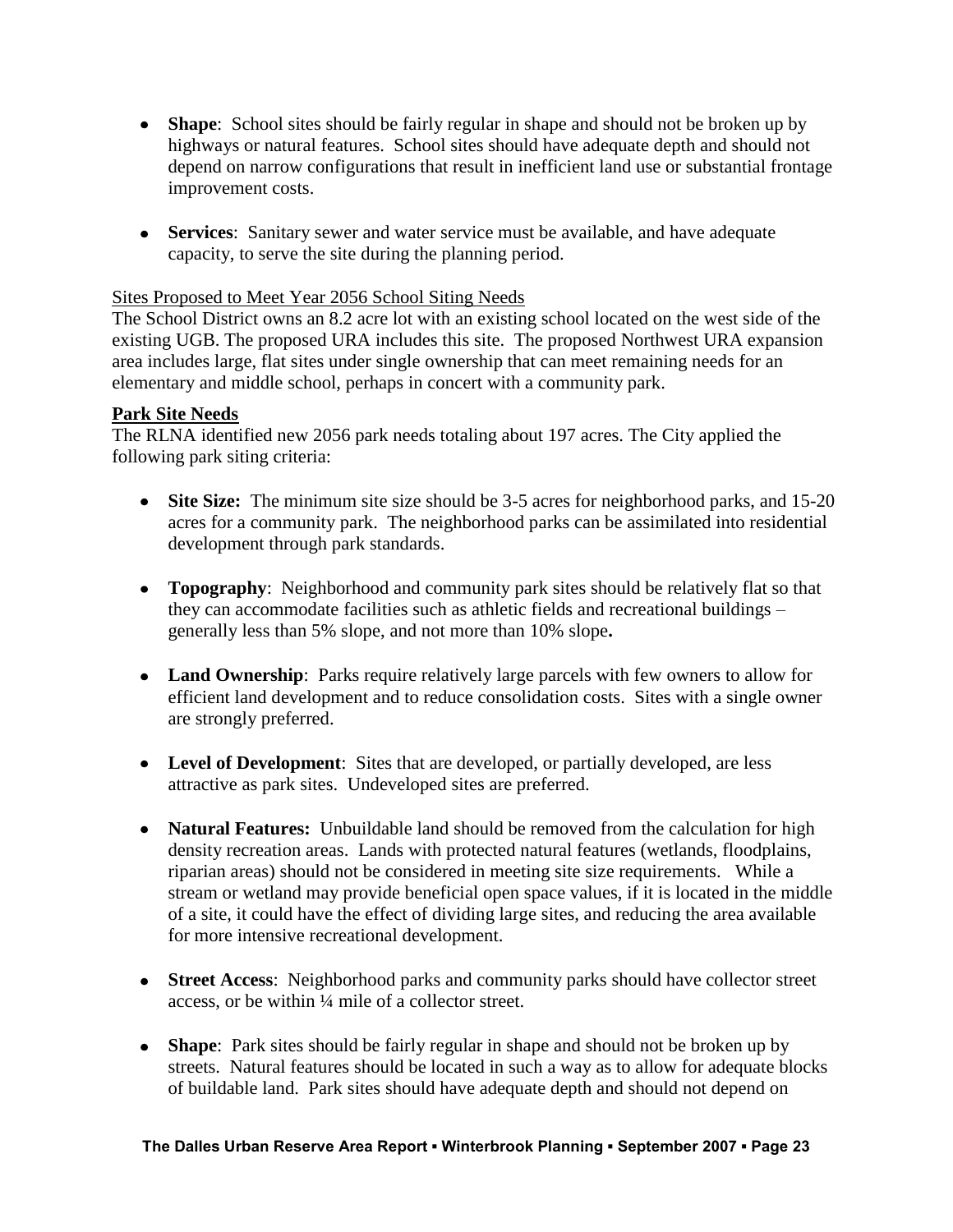- **Shape:** School sites should be fairly regular in shape and should not be broken up by highways or natural features. School sites should have adequate depth and should not depend on narrow configurations that result in inefficient land use or substantial frontage improvement costs.
- **Services**: Sanitary sewer and water service must be available, and have adequate capacity, to serve the site during the planning period.

#### Sites Proposed to Meet Year 2056 School Siting Needs

The School District owns an 8.2 acre lot with an existing school located on the west side of the existing UGB. The proposed URA includes this site. The proposed Northwest URA expansion area includes large, flat sites under single ownership that can meet remaining needs for an elementary and middle school, perhaps in concert with a community park.

#### **Park Site Needs**

The RLNA identified new 2056 park needs totaling about 197 acres. The City applied the following park siting criteria:

- **Site Size:** The minimum site size should be 3-5 acres for neighborhood parks, and 15-20 acres for a community park. The neighborhood parks can be assimilated into residential development through park standards.
- **Topography**: Neighborhood and community park sites should be relatively flat so that they can accommodate facilities such as athletic fields and recreational buildings – generally less than 5% slope, and not more than 10% slope**.**
- **Land Ownership**: Parks require relatively large parcels with few owners to allow for efficient land development and to reduce consolidation costs. Sites with a single owner are strongly preferred.
- **Level of Development**: Sites that are developed, or partially developed, are less attractive as park sites. Undeveloped sites are preferred.
- **Natural Features:** Unbuildable land should be removed from the calculation for high density recreation areas. Lands with protected natural features (wetlands, floodplains, riparian areas) should not be considered in meeting site size requirements. While a stream or wetland may provide beneficial open space values, if it is located in the middle of a site, it could have the effect of dividing large sites, and reducing the area available for more intensive recreational development.
- **Street Access**: Neighborhood parks and community parks should have collector street access, or be within ¼ mile of a collector street.
- **Shape**: Park sites should be fairly regular in shape and should not be broken up by streets. Natural features should be located in such a way as to allow for adequate blocks of buildable land. Park sites should have adequate depth and should not depend on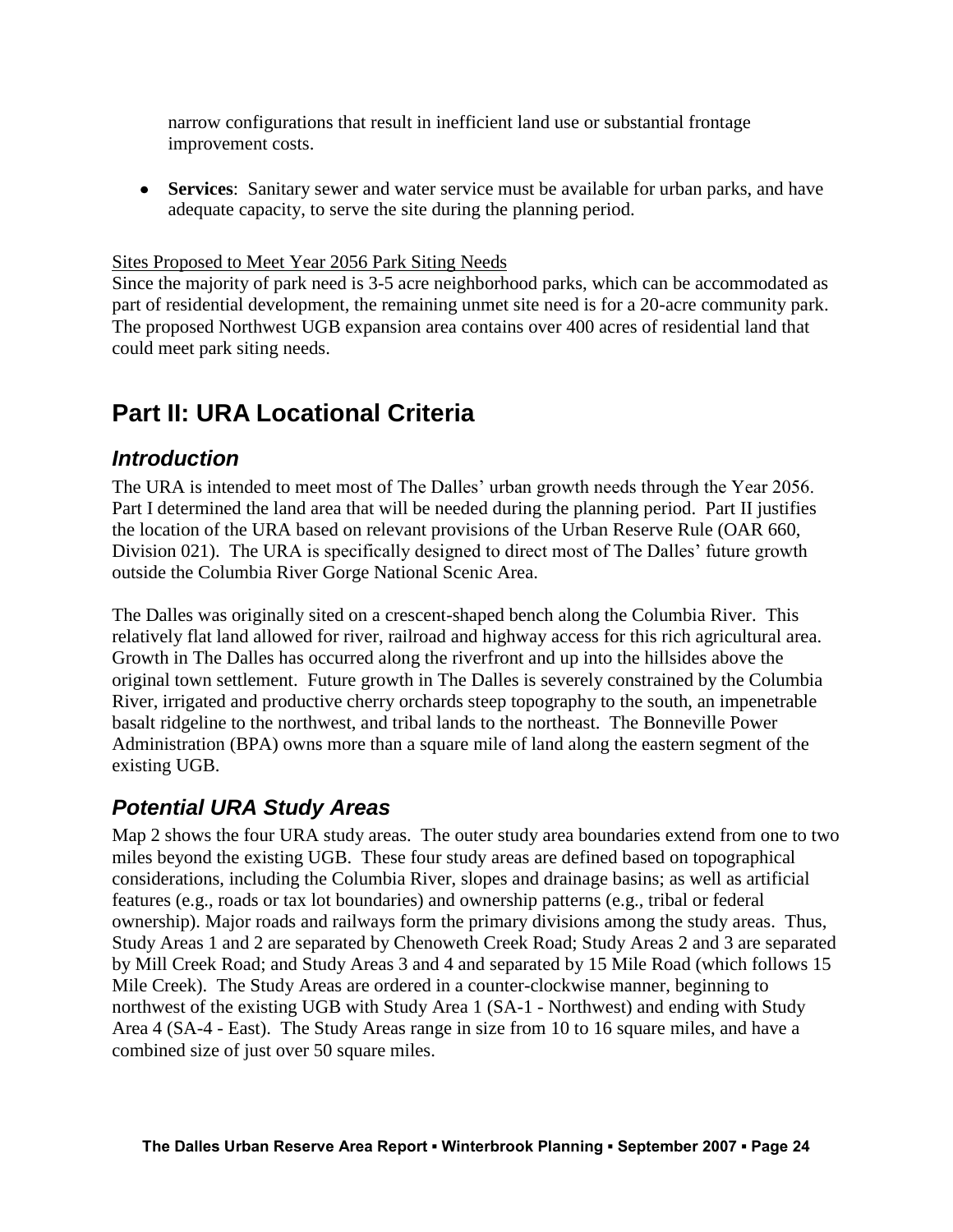narrow configurations that result in inefficient land use or substantial frontage improvement costs.

**Services**: Sanitary sewer and water service must be available for urban parks, and have adequate capacity, to serve the site during the planning period.

Sites Proposed to Meet Year 2056 Park Siting Needs

Since the majority of park need is 3-5 acre neighborhood parks, which can be accommodated as part of residential development, the remaining unmet site need is for a 20-acre community park. The proposed Northwest UGB expansion area contains over 400 acres of residential land that could meet park siting needs.

## <span id="page-23-0"></span>**Part II: URA Locational Criteria**

### <span id="page-23-1"></span>*Introduction*

The URA is intended to meet most of The Dalles' urban growth needs through the Year 2056. Part I determined the land area that will be needed during the planning period. Part II justifies the location of the URA based on relevant provisions of the Urban Reserve Rule (OAR 660, Division 021). The URA is specifically designed to direct most of The Dalles' future growth outside the Columbia River Gorge National Scenic Area.

The Dalles was originally sited on a crescent-shaped bench along the Columbia River. This relatively flat land allowed for river, railroad and highway access for this rich agricultural area. Growth in The Dalles has occurred along the riverfront and up into the hillsides above the original town settlement. Future growth in The Dalles is severely constrained by the Columbia River, irrigated and productive cherry orchards steep topography to the south, an impenetrable basalt ridgeline to the northwest, and tribal lands to the northeast. The Bonneville Power Administration (BPA) owns more than a square mile of land along the eastern segment of the existing UGB.

### <span id="page-23-2"></span>*Potential URA Study Areas*

Map 2 shows the four URA study areas. The outer study area boundaries extend from one to two miles beyond the existing UGB. These four study areas are defined based on topographical considerations, including the Columbia River, slopes and drainage basins; as well as artificial features (e.g., roads or tax lot boundaries) and ownership patterns (e.g., tribal or federal ownership). Major roads and railways form the primary divisions among the study areas. Thus, Study Areas 1 and 2 are separated by Chenoweth Creek Road; Study Areas 2 and 3 are separated by Mill Creek Road; and Study Areas 3 and 4 and separated by 15 Mile Road (which follows 15 Mile Creek). The Study Areas are ordered in a counter-clockwise manner, beginning to northwest of the existing UGB with Study Area 1 (SA-1 - Northwest) and ending with Study Area 4 (SA-4 - East). The Study Areas range in size from 10 to 16 square miles, and have a combined size of just over 50 square miles.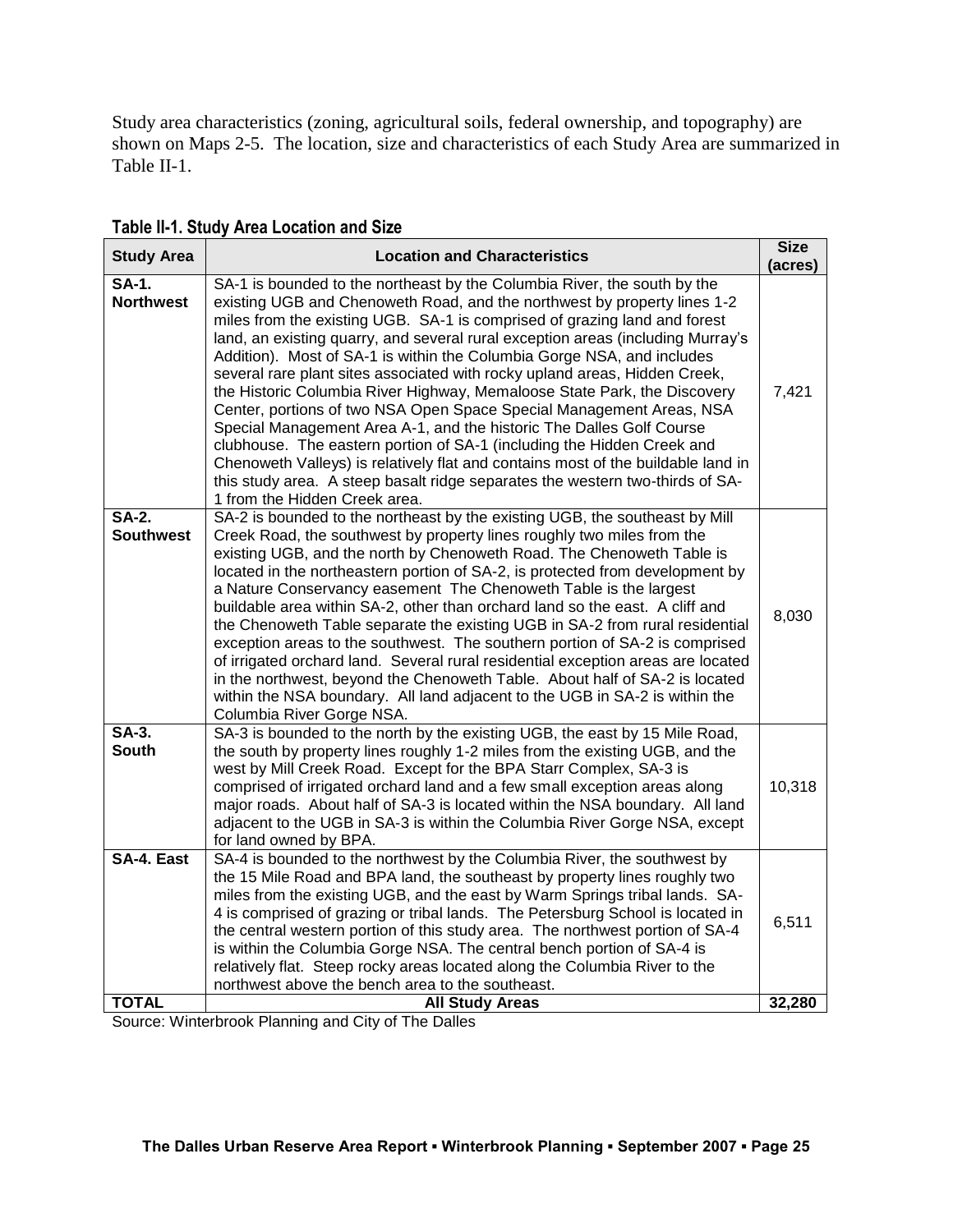Study area characteristics (zoning, agricultural soils, federal ownership, and topography) are shown on Maps 2-5. The location, size and characteristics of each Study Area are summarized in Table II-1.

| <b>Study Area</b>                | <b>Location and Characteristics</b>                                                                                                                                                                                                                                                                                                                                                                                                                                                                                                                                                                                                                                                                                                                                                                                                                                                                                                                                                      | <b>Size</b><br>(acres) |
|----------------------------------|------------------------------------------------------------------------------------------------------------------------------------------------------------------------------------------------------------------------------------------------------------------------------------------------------------------------------------------------------------------------------------------------------------------------------------------------------------------------------------------------------------------------------------------------------------------------------------------------------------------------------------------------------------------------------------------------------------------------------------------------------------------------------------------------------------------------------------------------------------------------------------------------------------------------------------------------------------------------------------------|------------------------|
| SA-1.<br><b>Northwest</b>        | SA-1 is bounded to the northeast by the Columbia River, the south by the<br>existing UGB and Chenoweth Road, and the northwest by property lines 1-2<br>miles from the existing UGB. SA-1 is comprised of grazing land and forest<br>land, an existing quarry, and several rural exception areas (including Murray's<br>Addition). Most of SA-1 is within the Columbia Gorge NSA, and includes<br>several rare plant sites associated with rocky upland areas, Hidden Creek,<br>the Historic Columbia River Highway, Memaloose State Park, the Discovery<br>Center, portions of two NSA Open Space Special Management Areas, NSA<br>Special Management Area A-1, and the historic The Dalles Golf Course<br>clubhouse. The eastern portion of SA-1 (including the Hidden Creek and<br>Chenoweth Valleys) is relatively flat and contains most of the buildable land in<br>this study area. A steep basalt ridge separates the western two-thirds of SA-<br>1 from the Hidden Creek area. | 7,421                  |
| <b>SA-2.</b><br><b>Southwest</b> | SA-2 is bounded to the northeast by the existing UGB, the southeast by Mill<br>Creek Road, the southwest by property lines roughly two miles from the<br>existing UGB, and the north by Chenoweth Road. The Chenoweth Table is<br>located in the northeastern portion of SA-2, is protected from development by<br>a Nature Conservancy easement The Chenoweth Table is the largest<br>buildable area within SA-2, other than orchard land so the east. A cliff and<br>the Chenoweth Table separate the existing UGB in SA-2 from rural residential<br>exception areas to the southwest. The southern portion of SA-2 is comprised<br>of irrigated orchard land. Several rural residential exception areas are located<br>in the northwest, beyond the Chenoweth Table. About half of SA-2 is located<br>within the NSA boundary. All land adjacent to the UGB in SA-2 is within the<br>Columbia River Gorge NSA.                                                                        | 8,030                  |
| SA-3.<br><b>South</b>            | SA-3 is bounded to the north by the existing UGB, the east by 15 Mile Road,<br>the south by property lines roughly 1-2 miles from the existing UGB, and the<br>west by Mill Creek Road. Except for the BPA Starr Complex, SA-3 is<br>comprised of irrigated orchard land and a few small exception areas along<br>major roads. About half of SA-3 is located within the NSA boundary. All land<br>adjacent to the UGB in SA-3 is within the Columbia River Gorge NSA, except<br>for land owned by BPA.                                                                                                                                                                                                                                                                                                                                                                                                                                                                                   | 10,318                 |
| SA-4. East                       | SA-4 is bounded to the northwest by the Columbia River, the southwest by<br>the 15 Mile Road and BPA land, the southeast by property lines roughly two<br>miles from the existing UGB, and the east by Warm Springs tribal lands. SA-<br>4 is comprised of grazing or tribal lands. The Petersburg School is located in<br>the central western portion of this study area. The northwest portion of SA-4<br>is within the Columbia Gorge NSA. The central bench portion of SA-4 is<br>relatively flat. Steep rocky areas located along the Columbia River to the<br>northwest above the bench area to the southeast.                                                                                                                                                                                                                                                                                                                                                                     | 6,511                  |
| <b>TOTAL</b>                     | <b>All Study Areas</b>                                                                                                                                                                                                                                                                                                                                                                                                                                                                                                                                                                                                                                                                                                                                                                                                                                                                                                                                                                   | 32,280                 |

**Table II-1. Study Area Location and Size**

Source: Winterbrook Planning and City of The Dalles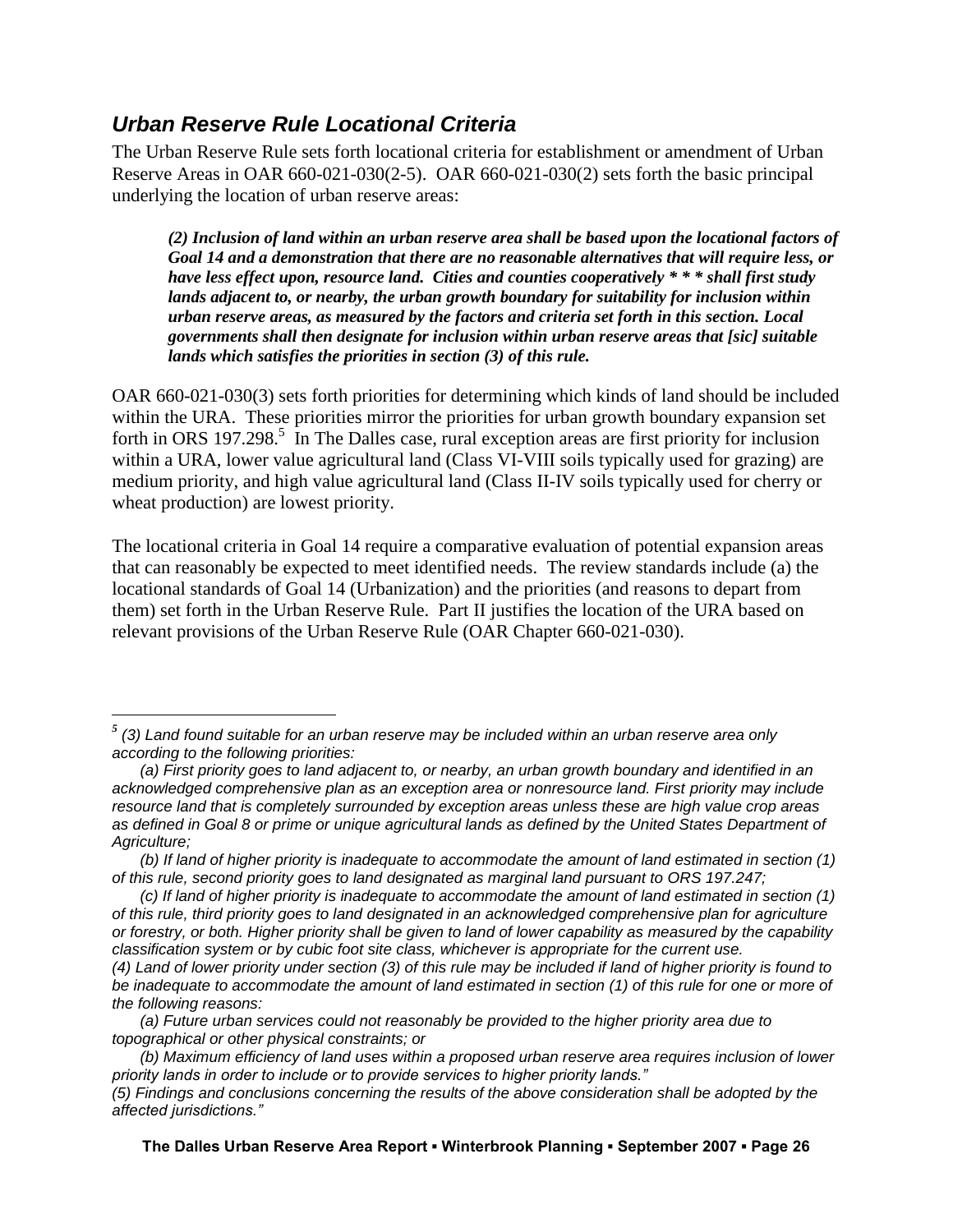### <span id="page-25-0"></span>*Urban Reserve Rule Locational Criteria*

 $\overline{a}$ 

The Urban Reserve Rule sets forth locational criteria for establishment or amendment of Urban Reserve Areas in OAR 660-021-030(2-5). OAR 660-021-030(2) sets forth the basic principal underlying the location of urban reserve areas:

*(2) Inclusion of land within an urban reserve area shall be based upon the locational factors of Goal 14 and a demonstration that there are no reasonable alternatives that will require less, or have less effect upon, resource land. Cities and counties cooperatively \* \* \* shall first study lands adjacent to, or nearby, the urban growth boundary for suitability for inclusion within urban reserve areas, as measured by the factors and criteria set forth in this section. Local governments shall then designate for inclusion within urban reserve areas that [sic] suitable lands which satisfies the priorities in section (3) of this rule.* 

OAR 660-021-030(3) sets forth priorities for determining which kinds of land should be included within the URA. These priorities mirror the priorities for urban growth boundary expansion set forth in ORS 197.298.<sup>5</sup> In The Dalles case, rural exception areas are first priority for inclusion within a URA, lower value agricultural land (Class VI-VIII soils typically used for grazing) are medium priority, and high value agricultural land (Class II-IV soils typically used for cherry or wheat production) are lowest priority.

The locational criteria in Goal 14 require a comparative evaluation of potential expansion areas that can reasonably be expected to meet identified needs. The review standards include (a) the locational standards of Goal 14 (Urbanization) and the priorities (and reasons to depart from them) set forth in the Urban Reserve Rule. Part II justifies the location of the URA based on relevant provisions of the Urban Reserve Rule (OAR Chapter 660-021-030).

*<sup>5</sup> (3) Land found suitable for an urban reserve may be included within an urban reserve area only according to the following priorities:*

*<sup>(</sup>a) First priority goes to land adjacent to, or nearby, an urban growth boundary and identified in an acknowledged comprehensive plan as an exception area or nonresource land. First priority may include resource land that is completely surrounded by exception areas unless these are high value crop areas as defined in Goal 8 or prime or unique agricultural lands as defined by the United States Department of Agriculture;*

*<sup>(</sup>b) If land of higher priority is inadequate to accommodate the amount of land estimated in section (1) of this rule, second priority goes to land designated as marginal land pursuant to ORS 197.247;*

*<sup>(</sup>c) If land of higher priority is inadequate to accommodate the amount of land estimated in section (1) of this rule, third priority goes to land designated in an acknowledged comprehensive plan for agriculture or forestry, or both. Higher priority shall be given to land of lower capability as measured by the capability classification system or by cubic foot site class, whichever is appropriate for the current use.*

*<sup>(4)</sup> Land of lower priority under section (3) of this rule may be included if land of higher priority is found to*  be inadequate to accommodate the amount of land estimated in section (1) of this rule for one or more of *the following reasons:*

*<sup>(</sup>a) Future urban services could not reasonably be provided to the higher priority area due to topographical or other physical constraints; or*

*<sup>(</sup>b) Maximum efficiency of land uses within a proposed urban reserve area requires inclusion of lower priority lands in order to include or to provide services to higher priority lands."*

*<sup>(5)</sup> Findings and conclusions concerning the results of the above consideration shall be adopted by the affected jurisdictions."*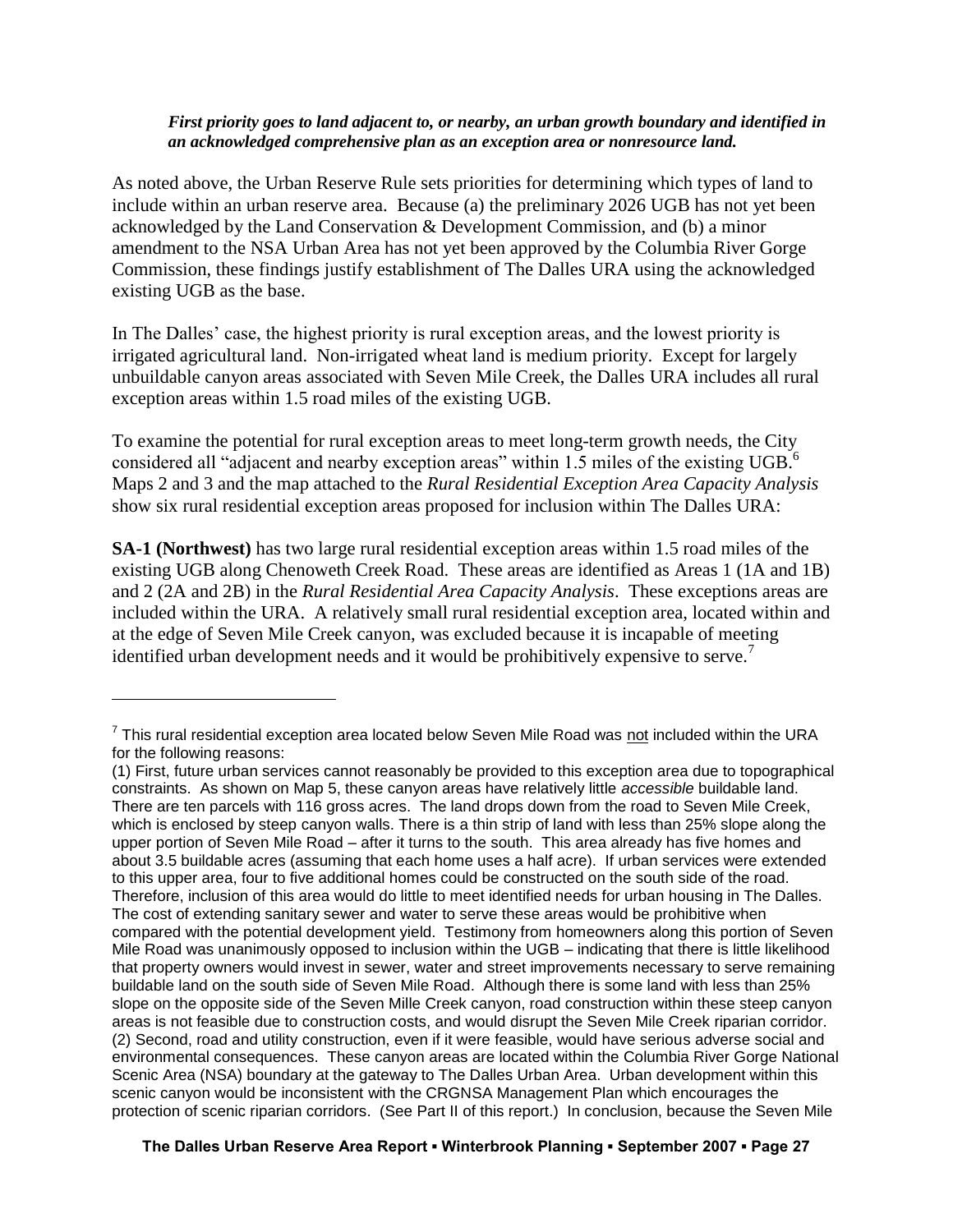#### *First priority goes to land adjacent to, or nearby, an urban growth boundary and identified in an acknowledged comprehensive plan as an exception area or nonresource land.*

As noted above, the Urban Reserve Rule sets priorities for determining which types of land to include within an urban reserve area. Because (a) the preliminary 2026 UGB has not yet been acknowledged by the Land Conservation & Development Commission, and (b) a minor amendment to the NSA Urban Area has not yet been approved by the Columbia River Gorge Commission, these findings justify establishment of The Dalles URA using the acknowledged existing UGB as the base.

In The Dalles' case, the highest priority is rural exception areas, and the lowest priority is irrigated agricultural land. Non-irrigated wheat land is medium priority. Except for largely unbuildable canyon areas associated with Seven Mile Creek, the Dalles URA includes all rural exception areas within 1.5 road miles of the existing UGB.

To examine the potential for rural exception areas to meet long-term growth needs, the City considered all "adjacent and nearby exception areas" within  $1.5$  miles of the existing UGB.<sup>6</sup> Maps 2 and 3 and the map attached to the *Rural Residential Exception Area Capacity Analysis* show six rural residential exception areas proposed for inclusion within The Dalles URA:

**SA-1 (Northwest)** has two large rural residential exception areas within 1.5 road miles of the existing UGB along Chenoweth Creek Road. These areas are identified as Areas 1 (1A and 1B) and 2 (2A and 2B) in the *Rural Residential Area Capacity Analysis*. These exceptions areas are included within the URA. A relatively small rural residential exception area, located within and at the edge of Seven Mile Creek canyon, was excluded because it is incapable of meeting identified urban development needs and it would be prohibitively expensive to serve.<sup>7</sup>

 $\overline{a}$ 

 $^7$  This rural residential exception area located below Seven Mile Road was not included within the URA for the following reasons:

<sup>(1)</sup> First, future urban services cannot reasonably be provided to this exception area due to topographical constraints. As shown on Map 5, these canyon areas have relatively little *accessible* buildable land. There are ten parcels with 116 gross acres. The land drops down from the road to Seven Mile Creek, which is enclosed by steep canyon walls. There is a thin strip of land with less than 25% slope along the upper portion of Seven Mile Road – after it turns to the south. This area already has five homes and about 3.5 buildable acres (assuming that each home uses a half acre). If urban services were extended to this upper area, four to five additional homes could be constructed on the south side of the road. Therefore, inclusion of this area would do little to meet identified needs for urban housing in The Dalles. The cost of extending sanitary sewer and water to serve these areas would be prohibitive when compared with the potential development yield. Testimony from homeowners along this portion of Seven Mile Road was unanimously opposed to inclusion within the UGB – indicating that there is little likelihood that property owners would invest in sewer, water and street improvements necessary to serve remaining buildable land on the south side of Seven Mile Road. Although there is some land with less than 25% slope on the opposite side of the Seven Mille Creek canyon, road construction within these steep canyon areas is not feasible due to construction costs, and would disrupt the Seven Mile Creek riparian corridor. (2) Second, road and utility construction, even if it were feasible, would have serious adverse social and environmental consequences. These canyon areas are located within the Columbia River Gorge National Scenic Area (NSA) boundary at the gateway to The Dalles Urban Area. Urban development within this scenic canyon would be inconsistent with the CRGNSA Management Plan which encourages the protection of scenic riparian corridors. (See Part II of this report.) In conclusion, because the Seven Mile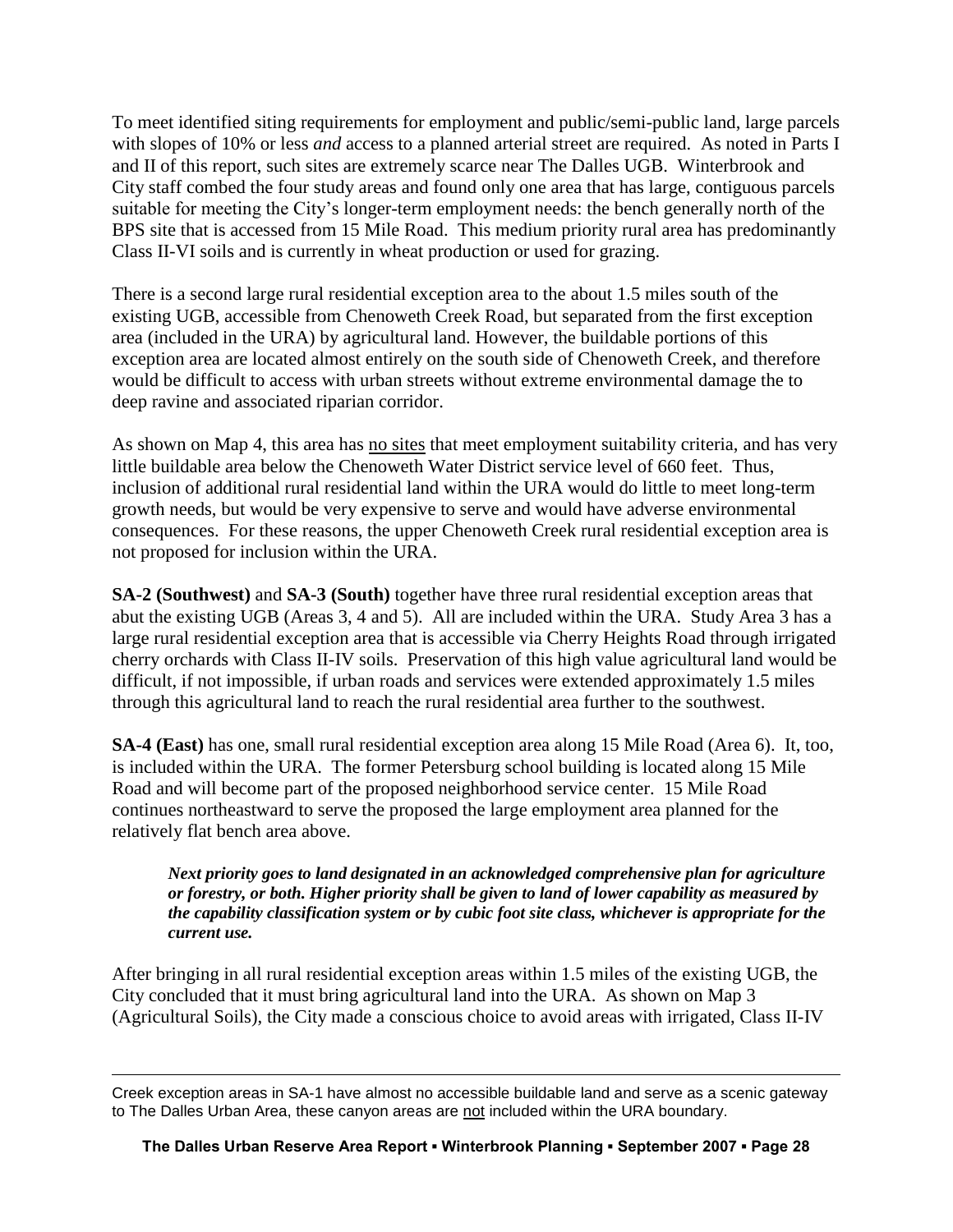To meet identified siting requirements for employment and public/semi-public land, large parcels with slopes of 10% or less *and* access to a planned arterial street are required. As noted in Parts I and II of this report, such sites are extremely scarce near The Dalles UGB. Winterbrook and City staff combed the four study areas and found only one area that has large, contiguous parcels suitable for meeting the City's longer-term employment needs: the bench generally north of the BPS site that is accessed from 15 Mile Road. This medium priority rural area has predominantly Class II-VI soils and is currently in wheat production or used for grazing.

There is a second large rural residential exception area to the about 1.5 miles south of the existing UGB, accessible from Chenoweth Creek Road, but separated from the first exception area (included in the URA) by agricultural land. However, the buildable portions of this exception area are located almost entirely on the south side of Chenoweth Creek, and therefore would be difficult to access with urban streets without extreme environmental damage the to deep ravine and associated riparian corridor.

As shown on Map 4, this area has no sites that meet employment suitability criteria, and has very little buildable area below the Chenoweth Water District service level of 660 feet. Thus, inclusion of additional rural residential land within the URA would do little to meet long-term growth needs, but would be very expensive to serve and would have adverse environmental consequences. For these reasons, the upper Chenoweth Creek rural residential exception area is not proposed for inclusion within the URA.

**SA-2 (Southwest)** and **SA-3 (South)** together have three rural residential exception areas that abut the existing UGB (Areas 3, 4 and 5). All are included within the URA. Study Area 3 has a large rural residential exception area that is accessible via Cherry Heights Road through irrigated cherry orchards with Class II-IV soils. Preservation of this high value agricultural land would be difficult, if not impossible, if urban roads and services were extended approximately 1.5 miles through this agricultural land to reach the rural residential area further to the southwest.

**SA-4 (East)** has one, small rural residential exception area along 15 Mile Road (Area 6). It, too, is included within the URA. The former Petersburg school building is located along 15 Mile Road and will become part of the proposed neighborhood service center. 15 Mile Road continues northeastward to serve the proposed the large employment area planned for the relatively flat bench area above.

#### *Next priority goes to land designated in an acknowledged comprehensive plan for agriculture or forestry, or both. Higher priority shall be given to land of lower capability as measured by the capability classification system or by cubic foot site class, whichever is appropriate for the current use.*

After bringing in all rural residential exception areas within 1.5 miles of the existing UGB, the City concluded that it must bring agricultural land into the URA. As shown on Map 3 (Agricultural Soils), the City made a conscious choice to avoid areas with irrigated, Class II-IV

 $\overline{a}$ Creek exception areas in SA-1 have almost no accessible buildable land and serve as a scenic gateway to The Dalles Urban Area, these canyon areas are not included within the URA boundary.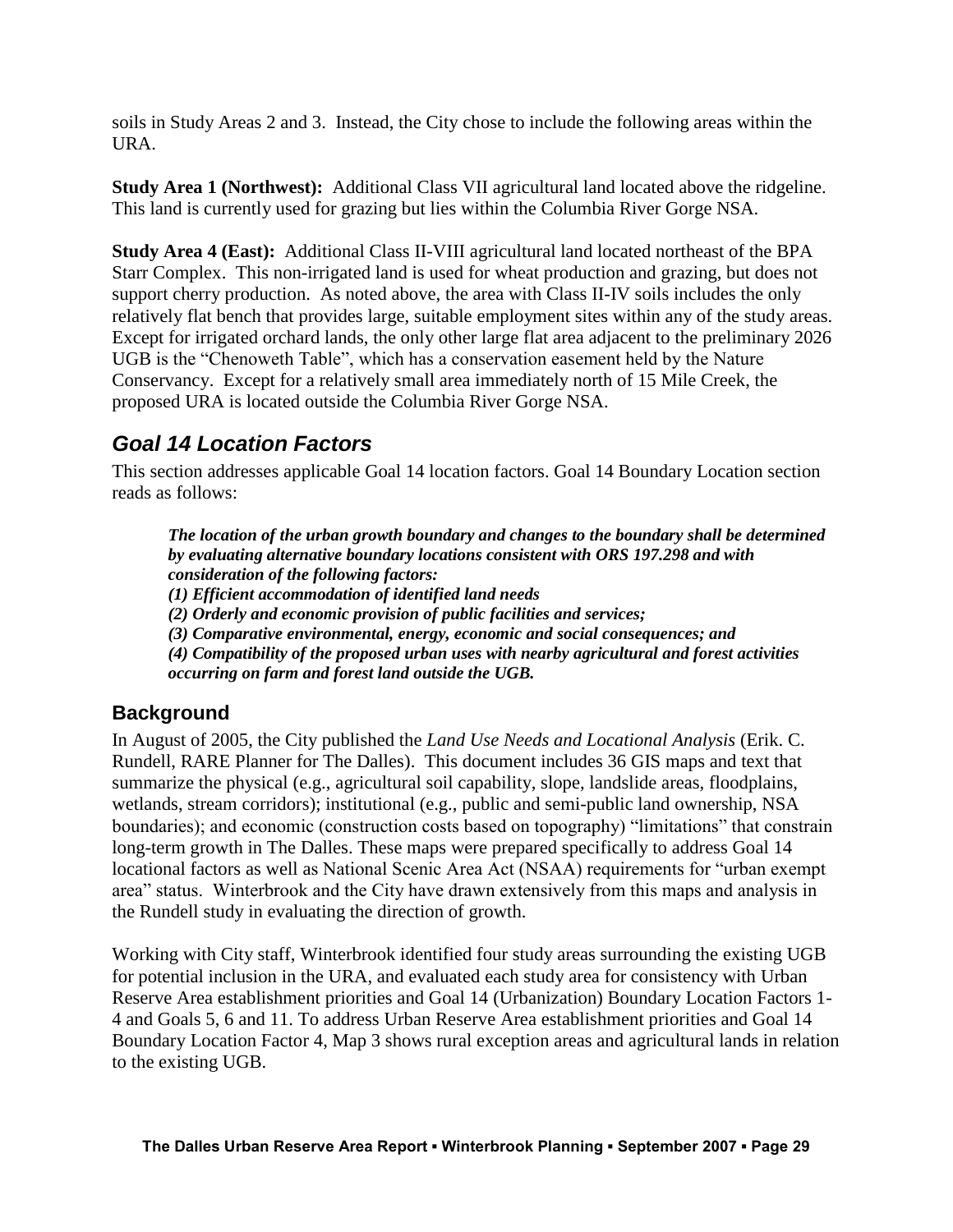soils in Study Areas 2 and 3. Instead, the City chose to include the following areas within the URA.

**Study Area 1 (Northwest):** Additional Class VII agricultural land located above the ridgeline. This land is currently used for grazing but lies within the Columbia River Gorge NSA.

**Study Area 4 (East):** Additional Class II-VIII agricultural land located northeast of the BPA Starr Complex. This non-irrigated land is used for wheat production and grazing, but does not support cherry production. As noted above, the area with Class II-IV soils includes the only relatively flat bench that provides large, suitable employment sites within any of the study areas. Except for irrigated orchard lands, the only other large flat area adjacent to the preliminary 2026 UGB is the "Chenoweth Table", which has a conservation easement held by the Nature Conservancy. Except for a relatively small area immediately north of 15 Mile Creek, the proposed URA is located outside the Columbia River Gorge NSA.

### <span id="page-28-0"></span>*Goal 14 Location Factors*

This section addresses applicable Goal 14 location factors. Goal 14 Boundary Location section reads as follows:

*The location of the urban growth boundary and changes to the boundary shall be determined by evaluating alternative boundary locations consistent with ORS 197.298 and with consideration of the following factors:*

*(1) Efficient accommodation of identified land needs*

*(2) Orderly and economic provision of public facilities and services;*

*(3) Comparative environmental, energy, economic and social consequences; and*

*(4) Compatibility of the proposed urban uses with nearby agricultural and forest activities* 

*occurring on farm and forest land outside the UGB.*

### **Background**

In August of 2005, the City published the *Land Use Needs and Locational Analysis* (Erik. C. Rundell, RARE Planner for The Dalles). This document includes 36 GIS maps and text that summarize the physical (e.g., agricultural soil capability, slope, landslide areas, floodplains, wetlands, stream corridors); institutional (e.g., public and semi-public land ownership, NSA boundaries); and economic (construction costs based on topography) "limitations" that constrain long-term growth in The Dalles. These maps were prepared specifically to address Goal 14 locational factors as well as National Scenic Area Act (NSAA) requirements for "urban exempt area" status. Winterbrook and the City have drawn extensively from this maps and analysis in the Rundell study in evaluating the direction of growth.

Working with City staff, Winterbrook identified four study areas surrounding the existing UGB for potential inclusion in the URA, and evaluated each study area for consistency with Urban Reserve Area establishment priorities and Goal 14 (Urbanization) Boundary Location Factors 1- 4 and Goals 5, 6 and 11. To address Urban Reserve Area establishment priorities and Goal 14 Boundary Location Factor 4, Map 3 shows rural exception areas and agricultural lands in relation to the existing UGB.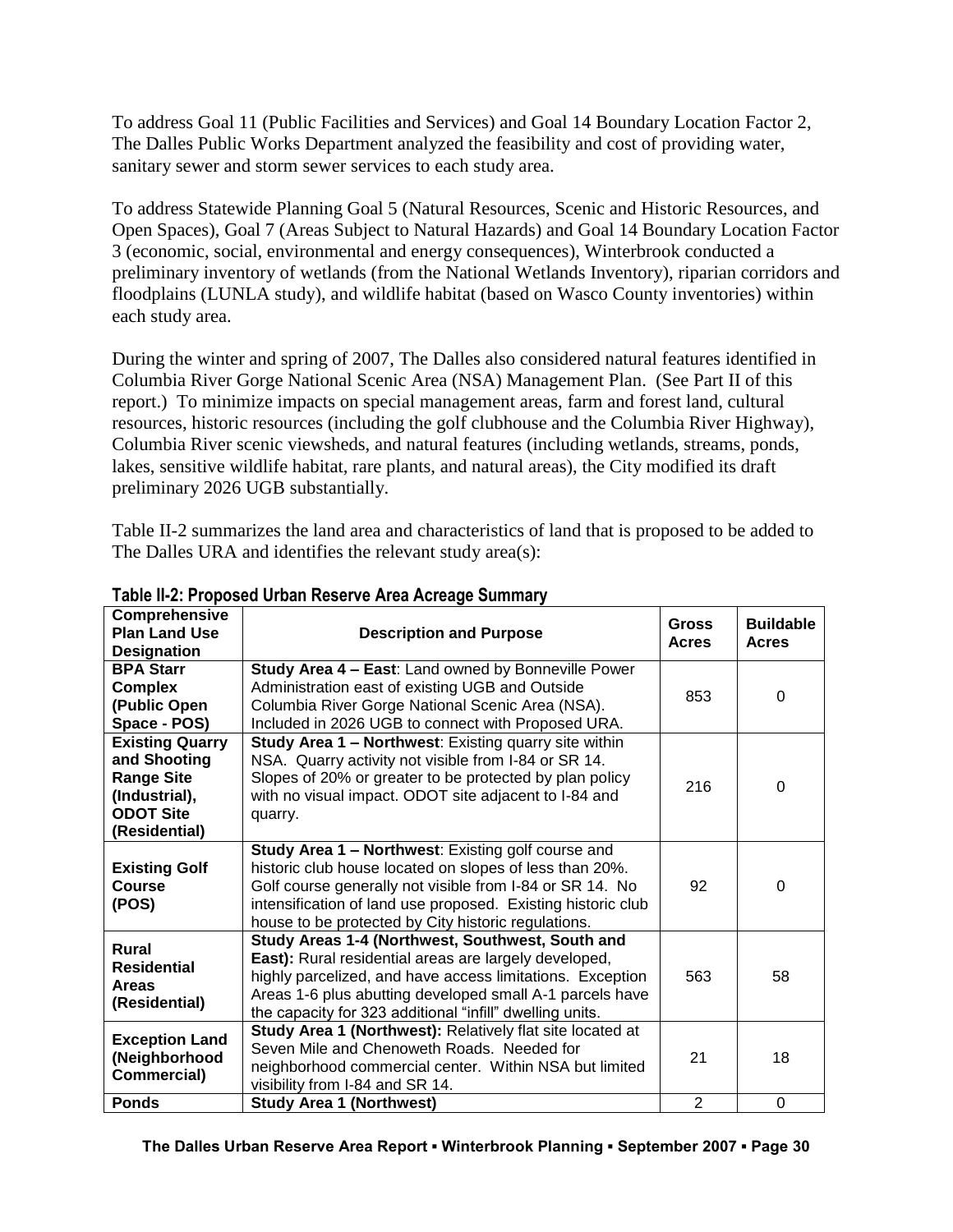To address Goal 11 (Public Facilities and Services) and Goal 14 Boundary Location Factor 2, The Dalles Public Works Department analyzed the feasibility and cost of providing water, sanitary sewer and storm sewer services to each study area.

To address Statewide Planning Goal 5 (Natural Resources, Scenic and Historic Resources, and Open Spaces), Goal 7 (Areas Subject to Natural Hazards) and Goal 14 Boundary Location Factor 3 (economic, social, environmental and energy consequences), Winterbrook conducted a preliminary inventory of wetlands (from the National Wetlands Inventory), riparian corridors and floodplains (LUNLA study), and wildlife habitat (based on Wasco County inventories) within each study area.

During the winter and spring of 2007, The Dalles also considered natural features identified in Columbia River Gorge National Scenic Area (NSA) Management Plan. (See Part II of this report.) To minimize impacts on special management areas, farm and forest land, cultural resources, historic resources (including the golf clubhouse and the Columbia River Highway), Columbia River scenic viewsheds, and natural features (including wetlands, streams, ponds, lakes, sensitive wildlife habitat, rare plants, and natural areas), the City modified its draft preliminary 2026 UGB substantially.

Table II-2 summarizes the land area and characteristics of land that is proposed to be added to The Dalles URA and identifies the relevant study area(s):

| <b>Comprehensive</b><br><b>Plan Land Use</b><br><b>Designation</b>                                                | <b>Description and Purpose</b>                                                                                                                                                                                                                                                                   |                | <b>Buildable</b><br><b>Acres</b> |
|-------------------------------------------------------------------------------------------------------------------|--------------------------------------------------------------------------------------------------------------------------------------------------------------------------------------------------------------------------------------------------------------------------------------------------|----------------|----------------------------------|
| <b>BPA Starr</b><br><b>Complex</b><br>(Public Open<br>Space - POS)                                                | Study Area 4 - East: Land owned by Bonneville Power<br>Administration east of existing UGB and Outside<br>Columbia River Gorge National Scenic Area (NSA).<br>Included in 2026 UGB to connect with Proposed URA.                                                                                 |                | 0                                |
| <b>Existing Quarry</b><br>and Shooting<br><b>Range Site</b><br>(Industrial),<br><b>ODOT Site</b><br>(Residential) | Study Area 1 - Northwest: Existing quarry site within<br>NSA. Quarry activity not visible from I-84 or SR 14.<br>Slopes of 20% or greater to be protected by plan policy<br>with no visual impact. ODOT site adjacent to I-84 and<br>quarry.                                                     | 216            | 0                                |
| <b>Existing Golf</b><br><b>Course</b><br>(POS)                                                                    | Study Area 1 - Northwest: Existing golf course and<br>historic club house located on slopes of less than 20%.<br>Golf course generally not visible from I-84 or SR 14. No<br>intensification of land use proposed. Existing historic club<br>house to be protected by City historic regulations. |                | 0                                |
| <b>Rural</b><br><b>Residential</b><br><b>Areas</b><br>(Residential)                                               | Study Areas 1-4 (Northwest, Southwest, South and<br>East): Rural residential areas are largely developed,<br>highly parcelized, and have access limitations. Exception<br>Areas 1-6 plus abutting developed small A-1 parcels have<br>the capacity for 323 additional "infill" dwelling units.   |                | 58                               |
| <b>Exception Land</b><br>(Neighborhood<br><b>Commercial)</b>                                                      | Study Area 1 (Northwest): Relatively flat site located at<br>Seven Mile and Chenoweth Roads. Needed for<br>neighborhood commercial center. Within NSA but limited<br>visibility from I-84 and SR 14.                                                                                             | 21             | 18                               |
| <b>Ponds</b>                                                                                                      | <b>Study Area 1 (Northwest)</b>                                                                                                                                                                                                                                                                  | $\overline{2}$ | $\Omega$                         |

**Table II-2: Proposed Urban Reserve Area Acreage Summary**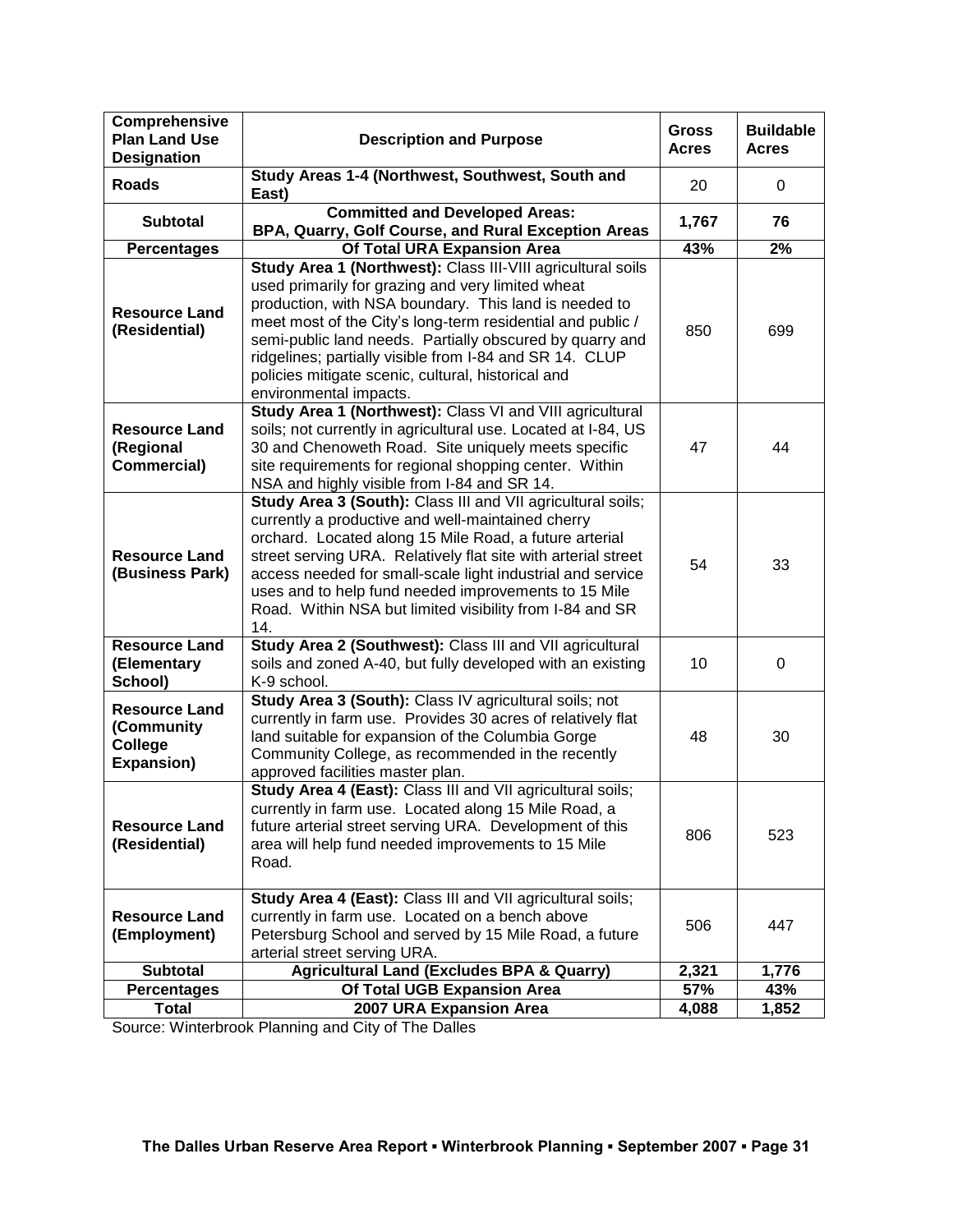| Comprehensive<br><b>Plan Land Use</b><br><b>Designation</b>        | <b>Description and Purpose</b>                                                                                                                                                                                                                                                                                                                                                                                                                 |              | <b>Buildable</b><br><b>Acres</b> |
|--------------------------------------------------------------------|------------------------------------------------------------------------------------------------------------------------------------------------------------------------------------------------------------------------------------------------------------------------------------------------------------------------------------------------------------------------------------------------------------------------------------------------|--------------|----------------------------------|
| <b>Roads</b>                                                       | Study Areas 1-4 (Northwest, Southwest, South and<br>East)                                                                                                                                                                                                                                                                                                                                                                                      | 20           | 0                                |
| <b>Subtotal</b>                                                    | <b>Committed and Developed Areas:</b><br>BPA, Quarry, Golf Course, and Rural Exception Areas                                                                                                                                                                                                                                                                                                                                                   |              | 76                               |
| <b>Percentages</b>                                                 | Of Total URA Expansion Area                                                                                                                                                                                                                                                                                                                                                                                                                    | 43%          | 2%                               |
| <b>Resource Land</b><br>(Residential)                              | Study Area 1 (Northwest): Class III-VIII agricultural soils<br>used primarily for grazing and very limited wheat<br>production, with NSA boundary. This land is needed to<br>meet most of the City's long-term residential and public /<br>semi-public land needs. Partially obscured by quarry and<br>ridgelines; partially visible from I-84 and SR 14. CLUP<br>policies mitigate scenic, cultural, historical and<br>environmental impacts. | 850          | 699                              |
| <b>Resource Land</b><br>(Regional<br><b>Commercial)</b>            | Study Area 1 (Northwest): Class VI and VIII agricultural<br>soils; not currently in agricultural use. Located at I-84, US<br>30 and Chenoweth Road. Site uniquely meets specific<br>site requirements for regional shopping center. Within<br>NSA and highly visible from I-84 and SR 14.                                                                                                                                                      | 47           | 44                               |
| <b>Resource Land</b><br>(Business Park)                            | Study Area 3 (South): Class III and VII agricultural soils;<br>currently a productive and well-maintained cherry<br>orchard. Located along 15 Mile Road, a future arterial<br>street serving URA. Relatively flat site with arterial street<br>access needed for small-scale light industrial and service<br>uses and to help fund needed improvements to 15 Mile<br>Road. Within NSA but limited visibility from I-84 and SR<br>14.           | 54           | 33                               |
| <b>Resource Land</b><br>(Elementary<br>School)                     | Study Area 2 (Southwest): Class III and VII agricultural<br>soils and zoned A-40, but fully developed with an existing<br>K-9 school.                                                                                                                                                                                                                                                                                                          |              | 0                                |
| <b>Resource Land</b><br>(Community<br>College<br><b>Expansion)</b> | Study Area 3 (South): Class IV agricultural soils; not<br>currently in farm use. Provides 30 acres of relatively flat<br>land suitable for expansion of the Columbia Gorge<br>Community College, as recommended in the recently<br>approved facilities master plan.                                                                                                                                                                            |              | 30                               |
| <b>Resource Land</b><br>(Residential)                              | Study Area 4 (East): Class III and VII agricultural soils;<br>currently in farm use. Located along 15 Mile Road, a<br>future arterial street serving URA. Development of this<br>area will help fund needed improvements to 15 Mile<br>Road.                                                                                                                                                                                                   | 806          | 523                              |
| <b>Resource Land</b><br>(Employment)                               | Study Area 4 (East): Class III and VII agricultural soils;<br>currently in farm use. Located on a bench above<br>Petersburg School and served by 15 Mile Road, a future<br>arterial street serving URA.                                                                                                                                                                                                                                        | 506<br>2,321 | 447<br>1,776                     |
|                                                                    | <b>Agricultural Land (Excludes BPA &amp; Quarry)</b><br><b>Subtotal</b>                                                                                                                                                                                                                                                                                                                                                                        |              |                                  |
| <b>Percentages</b><br><b>Total</b>                                 | Of Total UGB Expansion Area<br>2007 URA Expansion Area                                                                                                                                                                                                                                                                                                                                                                                         |              |                                  |
|                                                                    |                                                                                                                                                                                                                                                                                                                                                                                                                                                | 4,088        | 1,852                            |

Source: Winterbrook Planning and City of The Dalles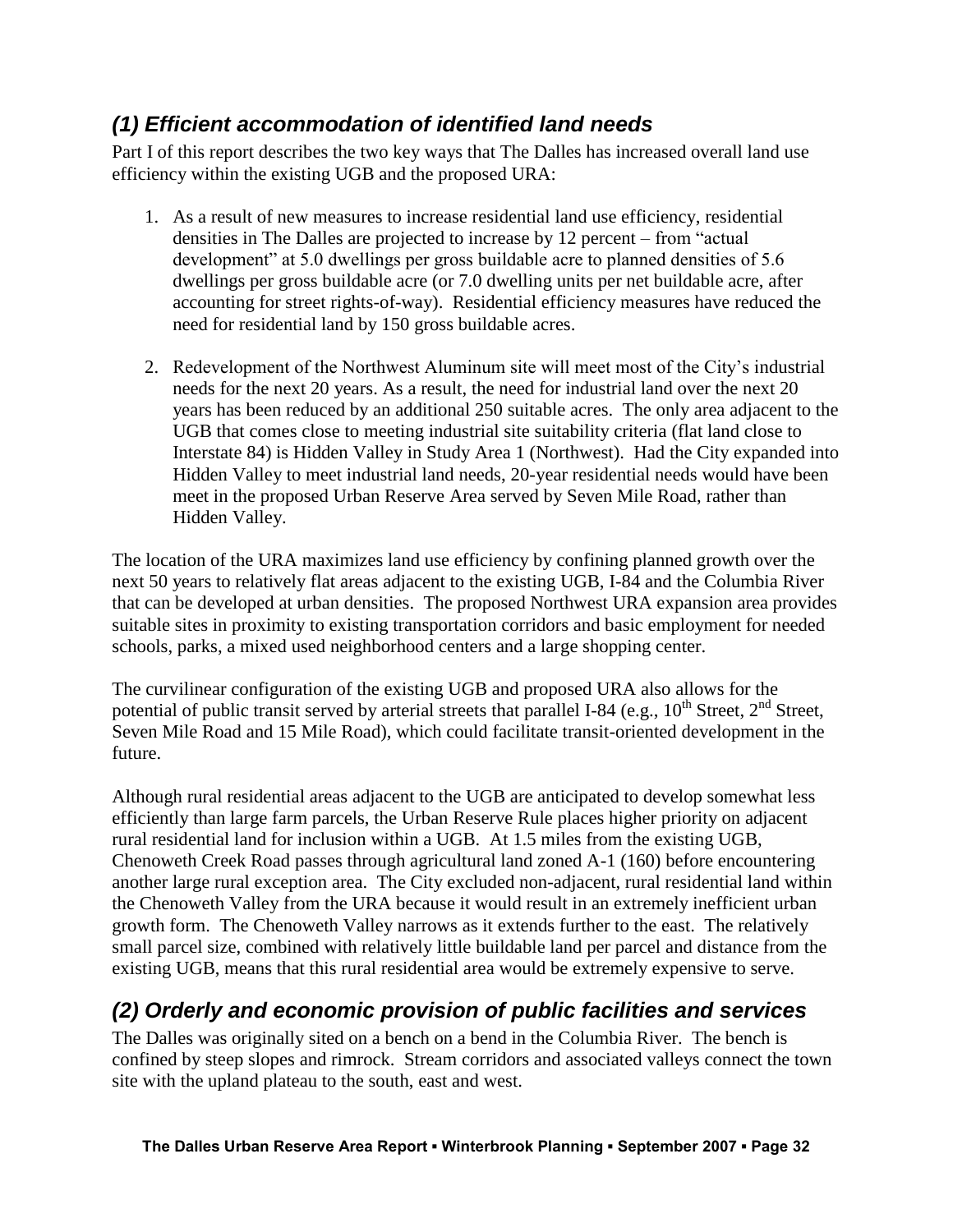### <span id="page-31-0"></span>*(1) Efficient accommodation of identified land needs*

Part I of this report describes the two key ways that The Dalles has increased overall land use efficiency within the existing UGB and the proposed URA:

- 1. As a result of new measures to increase residential land use efficiency, residential densities in The Dalles are projected to increase by 12 percent – from "actual development" at 5.0 dwellings per gross buildable acre to planned densities of 5.6 dwellings per gross buildable acre (or 7.0 dwelling units per net buildable acre, after accounting for street rights-of-way). Residential efficiency measures have reduced the need for residential land by 150 gross buildable acres.
- 2. Redevelopment of the Northwest Aluminum site will meet most of the City's industrial needs for the next 20 years. As a result, the need for industrial land over the next 20 years has been reduced by an additional 250 suitable acres. The only area adjacent to the UGB that comes close to meeting industrial site suitability criteria (flat land close to Interstate 84) is Hidden Valley in Study Area 1 (Northwest). Had the City expanded into Hidden Valley to meet industrial land needs, 20-year residential needs would have been meet in the proposed Urban Reserve Area served by Seven Mile Road, rather than Hidden Valley.

The location of the URA maximizes land use efficiency by confining planned growth over the next 50 years to relatively flat areas adjacent to the existing UGB, I-84 and the Columbia River that can be developed at urban densities. The proposed Northwest URA expansion area provides suitable sites in proximity to existing transportation corridors and basic employment for needed schools, parks, a mixed used neighborhood centers and a large shopping center.

The curvilinear configuration of the existing UGB and proposed URA also allows for the potential of public transit served by arterial streets that parallel I-84 (e.g.,  $10^{th}$  Street,  $2^{nd}$  Street, Seven Mile Road and 15 Mile Road), which could facilitate transit-oriented development in the future.

Although rural residential areas adjacent to the UGB are anticipated to develop somewhat less efficiently than large farm parcels, the Urban Reserve Rule places higher priority on adjacent rural residential land for inclusion within a UGB. At 1.5 miles from the existing UGB, Chenoweth Creek Road passes through agricultural land zoned A-1 (160) before encountering another large rural exception area. The City excluded non-adjacent, rural residential land within the Chenoweth Valley from the URA because it would result in an extremely inefficient urban growth form. The Chenoweth Valley narrows as it extends further to the east. The relatively small parcel size, combined with relatively little buildable land per parcel and distance from the existing UGB, means that this rural residential area would be extremely expensive to serve.

## <span id="page-31-1"></span>*(2) Orderly and economic provision of public facilities and services*

The Dalles was originally sited on a bench on a bend in the Columbia River. The bench is confined by steep slopes and rimrock. Stream corridors and associated valleys connect the town site with the upland plateau to the south, east and west.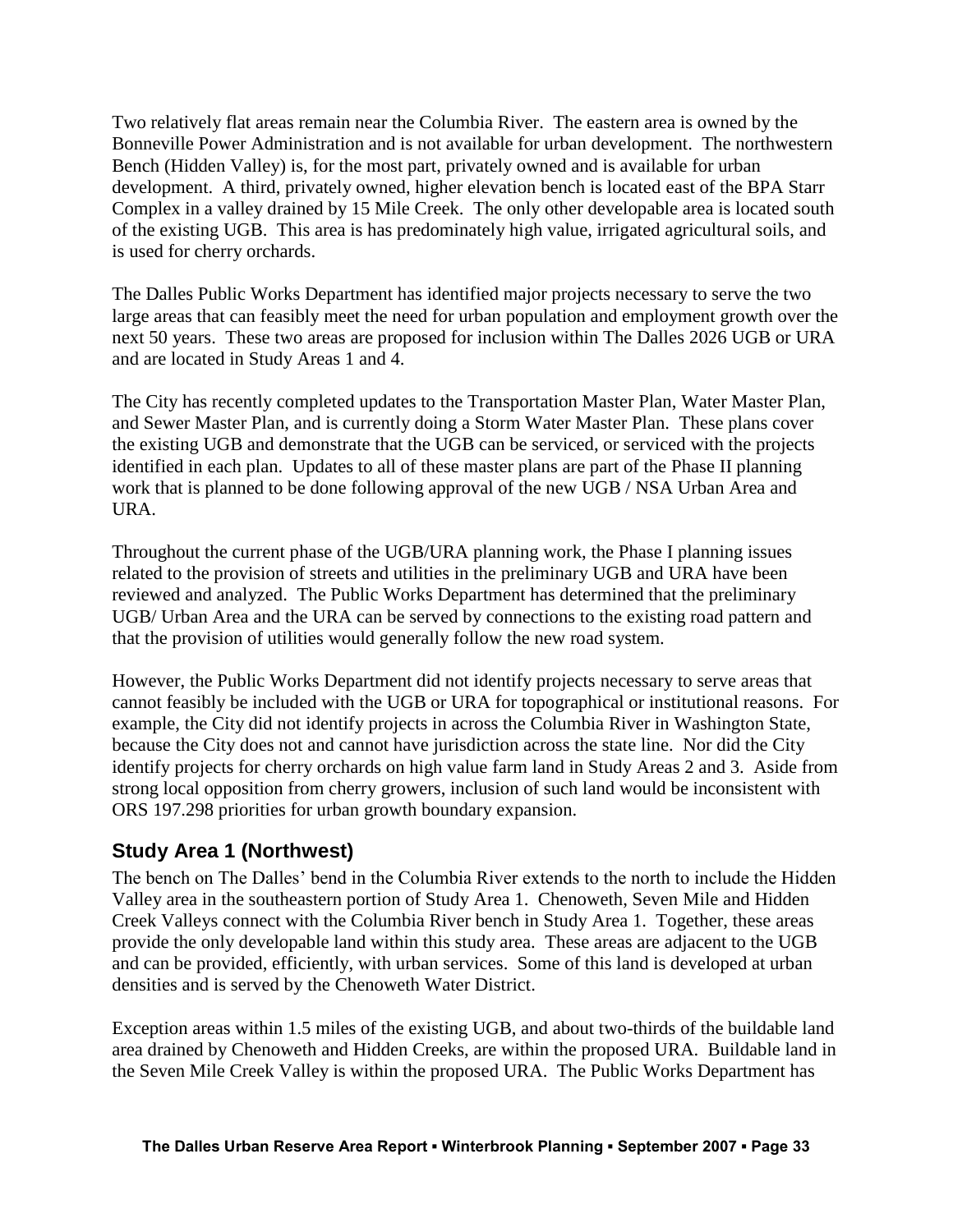Two relatively flat areas remain near the Columbia River. The eastern area is owned by the Bonneville Power Administration and is not available for urban development. The northwestern Bench (Hidden Valley) is, for the most part, privately owned and is available for urban development. A third, privately owned, higher elevation bench is located east of the BPA Starr Complex in a valley drained by 15 Mile Creek. The only other developable area is located south of the existing UGB. This area is has predominately high value, irrigated agricultural soils, and is used for cherry orchards.

The Dalles Public Works Department has identified major projects necessary to serve the two large areas that can feasibly meet the need for urban population and employment growth over the next 50 years. These two areas are proposed for inclusion within The Dalles 2026 UGB or URA and are located in Study Areas 1 and 4.

The City has recently completed updates to the Transportation Master Plan, Water Master Plan, and Sewer Master Plan, and is currently doing a Storm Water Master Plan. These plans cover the existing UGB and demonstrate that the UGB can be serviced, or serviced with the projects identified in each plan. Updates to all of these master plans are part of the Phase II planning work that is planned to be done following approval of the new UGB / NSA Urban Area and URA.

Throughout the current phase of the UGB/URA planning work, the Phase I planning issues related to the provision of streets and utilities in the preliminary UGB and URA have been reviewed and analyzed. The Public Works Department has determined that the preliminary UGB/ Urban Area and the URA can be served by connections to the existing road pattern and that the provision of utilities would generally follow the new road system.

However, the Public Works Department did not identify projects necessary to serve areas that cannot feasibly be included with the UGB or URA for topographical or institutional reasons. For example, the City did not identify projects in across the Columbia River in Washington State, because the City does not and cannot have jurisdiction across the state line. Nor did the City identify projects for cherry orchards on high value farm land in Study Areas 2 and 3. Aside from strong local opposition from cherry growers, inclusion of such land would be inconsistent with ORS 197.298 priorities for urban growth boundary expansion.

#### **Study Area 1 (Northwest)**

The bench on The Dalles' bend in the Columbia River extends to the north to include the Hidden Valley area in the southeastern portion of Study Area 1. Chenoweth, Seven Mile and Hidden Creek Valleys connect with the Columbia River bench in Study Area 1. Together, these areas provide the only developable land within this study area. These areas are adjacent to the UGB and can be provided, efficiently, with urban services. Some of this land is developed at urban densities and is served by the Chenoweth Water District.

Exception areas within 1.5 miles of the existing UGB, and about two-thirds of the buildable land area drained by Chenoweth and Hidden Creeks, are within the proposed URA. Buildable land in the Seven Mile Creek Valley is within the proposed URA. The Public Works Department has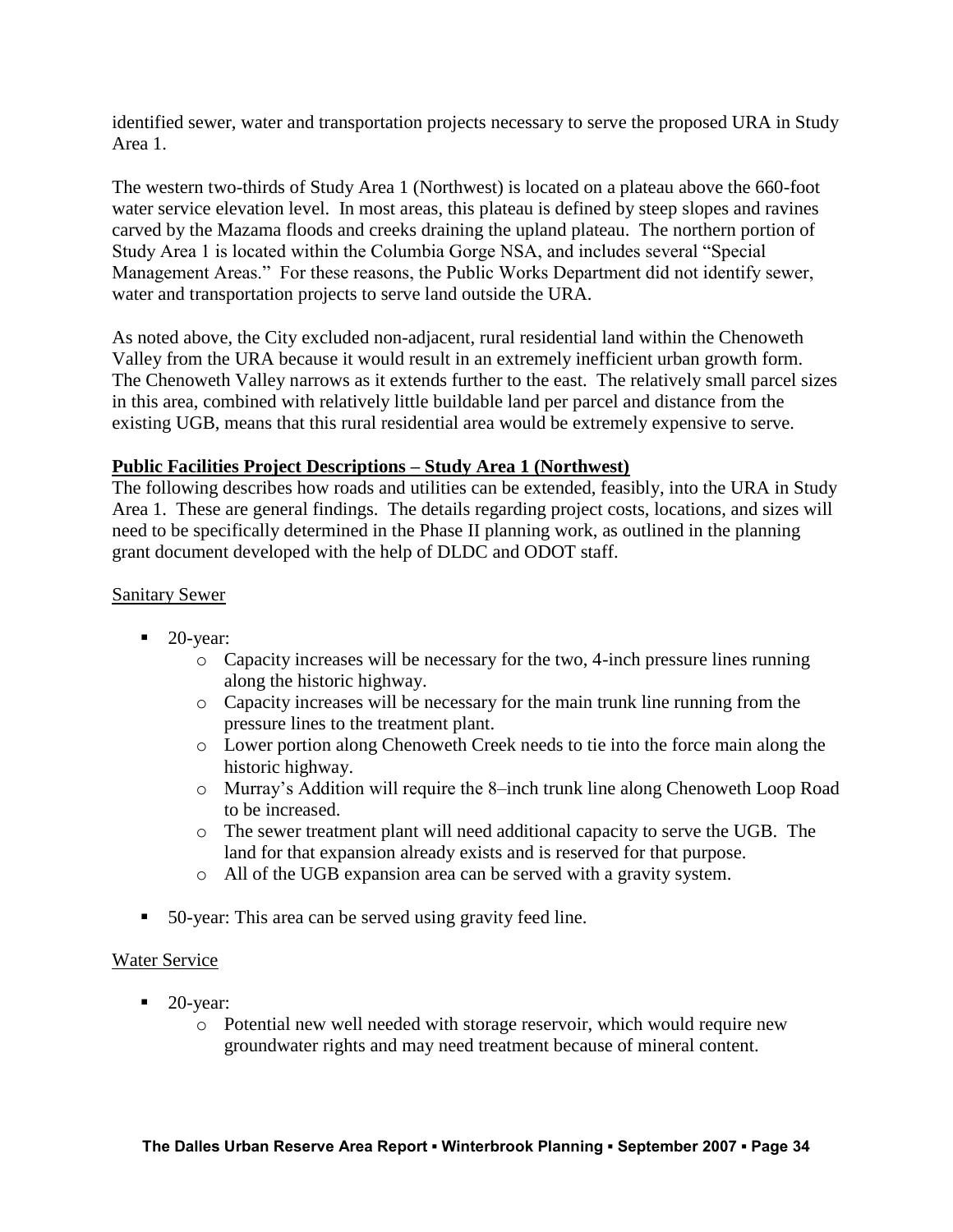identified sewer, water and transportation projects necessary to serve the proposed URA in Study Area 1.

The western two-thirds of Study Area 1 (Northwest) is located on a plateau above the 660-foot water service elevation level. In most areas, this plateau is defined by steep slopes and ravines carved by the Mazama floods and creeks draining the upland plateau. The northern portion of Study Area 1 is located within the Columbia Gorge NSA, and includes several "Special Management Areas." For these reasons, the Public Works Department did not identify sewer, water and transportation projects to serve land outside the URA.

As noted above, the City excluded non-adjacent, rural residential land within the Chenoweth Valley from the URA because it would result in an extremely inefficient urban growth form. The Chenoweth Valley narrows as it extends further to the east. The relatively small parcel sizes in this area, combined with relatively little buildable land per parcel and distance from the existing UGB, means that this rural residential area would be extremely expensive to serve.

#### **Public Facilities Project Descriptions – Study Area 1 (Northwest)**

The following describes how roads and utilities can be extended, feasibly, into the URA in Study Area 1. These are general findings. The details regarding project costs, locations, and sizes will need to be specifically determined in the Phase II planning work, as outlined in the planning grant document developed with the help of DLDC and ODOT staff.

#### Sanitary Sewer

- $\blacksquare$  20-year:
	- o Capacity increases will be necessary for the two, 4-inch pressure lines running along the historic highway.
	- o Capacity increases will be necessary for the main trunk line running from the pressure lines to the treatment plant.
	- o Lower portion along Chenoweth Creek needs to tie into the force main along the historic highway.
	- o Murray's Addition will require the 8–inch trunk line along Chenoweth Loop Road to be increased.
	- o The sewer treatment plant will need additional capacity to serve the UGB. The land for that expansion already exists and is reserved for that purpose.
	- o All of the UGB expansion area can be served with a gravity system.
- 50-year: This area can be served using gravity feed line.

#### Water Service

- $\blacksquare$  20-year:
	- o Potential new well needed with storage reservoir, which would require new groundwater rights and may need treatment because of mineral content.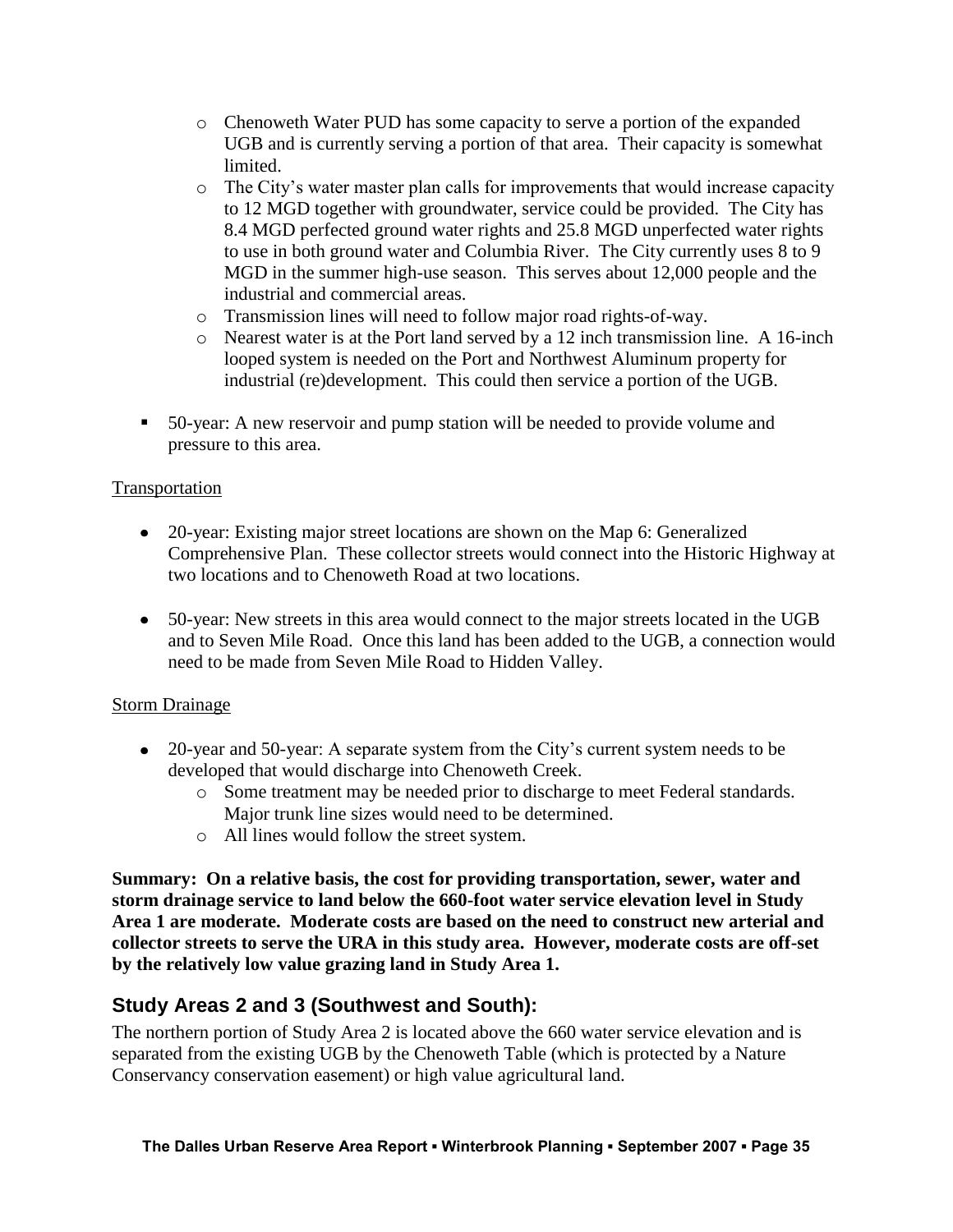- o Chenoweth Water PUD has some capacity to serve a portion of the expanded UGB and is currently serving a portion of that area. Their capacity is somewhat limited.
- o The City's water master plan calls for improvements that would increase capacity to 12 MGD together with groundwater, service could be provided. The City has 8.4 MGD perfected ground water rights and 25.8 MGD unperfected water rights to use in both ground water and Columbia River. The City currently uses 8 to 9 MGD in the summer high-use season. This serves about 12,000 people and the industrial and commercial areas.
- o Transmission lines will need to follow major road rights-of-way.
- o Nearest water is at the Port land served by a 12 inch transmission line. A 16-inch looped system is needed on the Port and Northwest Aluminum property for industrial (re)development. This could then service a portion of the UGB.
- 50-year: A new reservoir and pump station will be needed to provide volume and pressure to this area.

#### Transportation

- 20-year: Existing major street locations are shown on the Map 6: Generalized Comprehensive Plan. These collector streets would connect into the Historic Highway at two locations and to Chenoweth Road at two locations.
- 50-year: New streets in this area would connect to the major streets located in the UGB and to Seven Mile Road. Once this land has been added to the UGB, a connection would need to be made from Seven Mile Road to Hidden Valley.

#### Storm Drainage

- 20-year and 50-year: A separate system from the City's current system needs to be developed that would discharge into Chenoweth Creek.
	- o Some treatment may be needed prior to discharge to meet Federal standards. Major trunk line sizes would need to be determined.
	- o All lines would follow the street system.

**Summary: On a relative basis, the cost for providing transportation, sewer, water and storm drainage service to land below the 660-foot water service elevation level in Study Area 1 are moderate. Moderate costs are based on the need to construct new arterial and collector streets to serve the URA in this study area. However, moderate costs are off-set by the relatively low value grazing land in Study Area 1.** 

#### **Study Areas 2 and 3 (Southwest and South):**

The northern portion of Study Area 2 is located above the 660 water service elevation and is separated from the existing UGB by the Chenoweth Table (which is protected by a Nature Conservancy conservation easement) or high value agricultural land.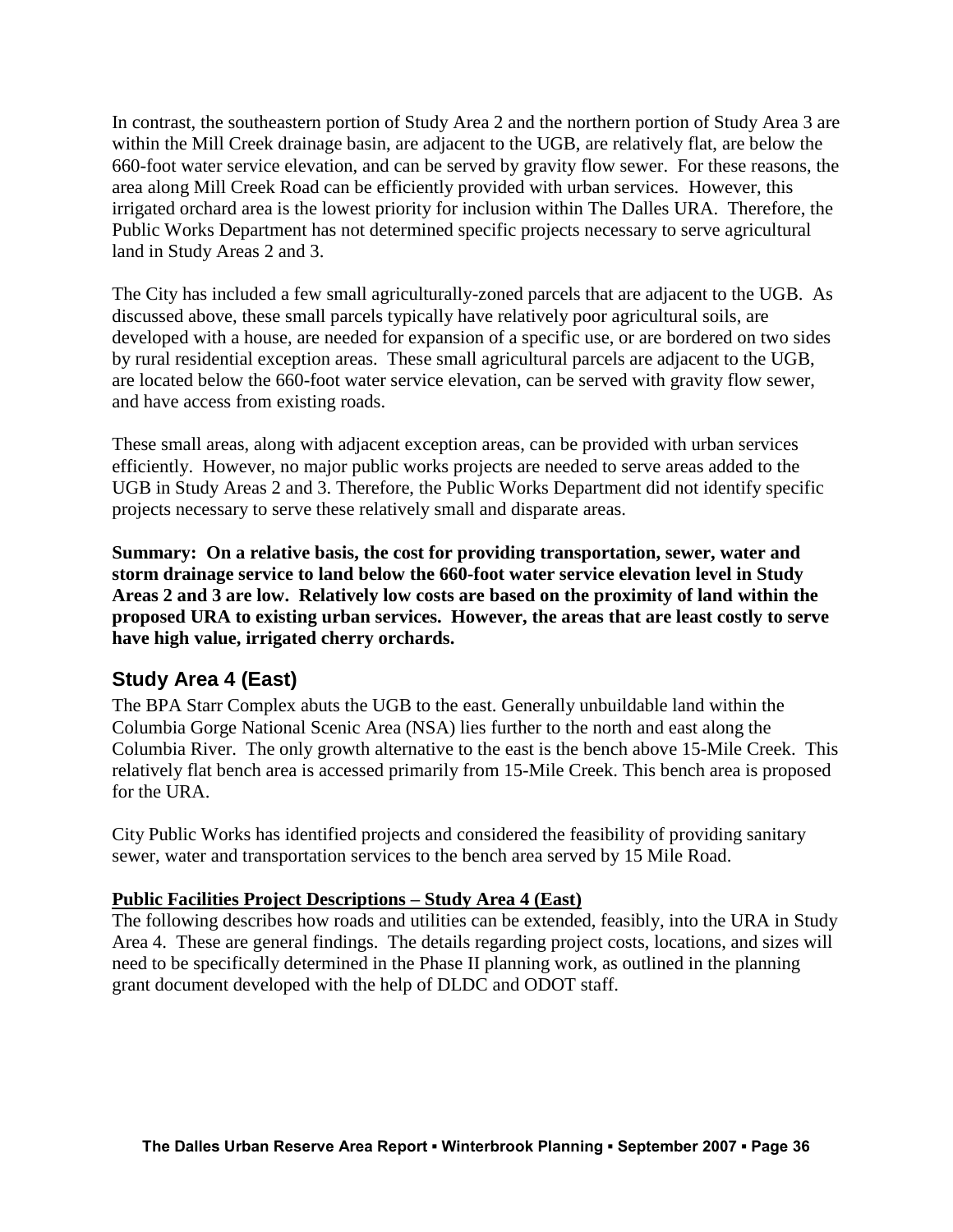In contrast, the southeastern portion of Study Area 2 and the northern portion of Study Area 3 are within the Mill Creek drainage basin, are adjacent to the UGB, are relatively flat, are below the 660-foot water service elevation, and can be served by gravity flow sewer. For these reasons, the area along Mill Creek Road can be efficiently provided with urban services. However, this irrigated orchard area is the lowest priority for inclusion within The Dalles URA. Therefore, the Public Works Department has not determined specific projects necessary to serve agricultural land in Study Areas 2 and 3.

The City has included a few small agriculturally-zoned parcels that are adjacent to the UGB. As discussed above, these small parcels typically have relatively poor agricultural soils, are developed with a house, are needed for expansion of a specific use, or are bordered on two sides by rural residential exception areas. These small agricultural parcels are adjacent to the UGB, are located below the 660-foot water service elevation, can be served with gravity flow sewer, and have access from existing roads.

These small areas, along with adjacent exception areas, can be provided with urban services efficiently. However, no major public works projects are needed to serve areas added to the UGB in Study Areas 2 and 3. Therefore, the Public Works Department did not identify specific projects necessary to serve these relatively small and disparate areas.

**Summary: On a relative basis, the cost for providing transportation, sewer, water and storm drainage service to land below the 660-foot water service elevation level in Study Areas 2 and 3 are low. Relatively low costs are based on the proximity of land within the proposed URA to existing urban services. However, the areas that are least costly to serve have high value, irrigated cherry orchards.** 

#### **Study Area 4 (East)**

The BPA Starr Complex abuts the UGB to the east. Generally unbuildable land within the Columbia Gorge National Scenic Area (NSA) lies further to the north and east along the Columbia River. The only growth alternative to the east is the bench above 15-Mile Creek. This relatively flat bench area is accessed primarily from 15-Mile Creek. This bench area is proposed for the URA.

City Public Works has identified projects and considered the feasibility of providing sanitary sewer, water and transportation services to the bench area served by 15 Mile Road.

#### **Public Facilities Project Descriptions – Study Area 4 (East)**

The following describes how roads and utilities can be extended, feasibly, into the URA in Study Area 4. These are general findings. The details regarding project costs, locations, and sizes will need to be specifically determined in the Phase II planning work, as outlined in the planning grant document developed with the help of DLDC and ODOT staff.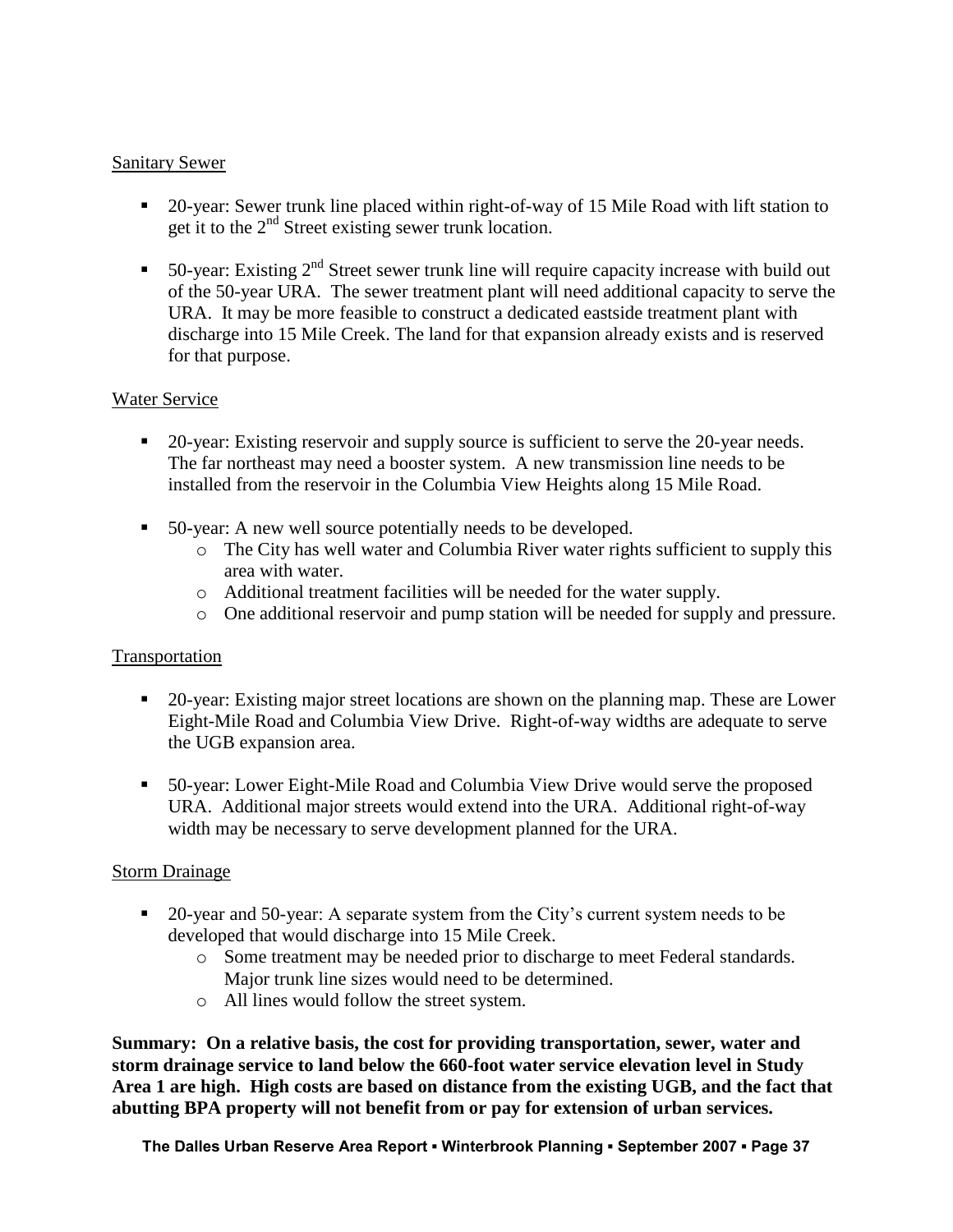#### Sanitary Sewer

- <sup>20</sup>-year: Sewer trunk line placed within right-of-way of 15 Mile Road with lift station to get it to the  $2<sup>nd</sup>$  Street existing sewer trunk location.
- 50-year: Existing  $2<sup>nd</sup>$  Street sewer trunk line will require capacity increase with build out of the 50-year URA. The sewer treatment plant will need additional capacity to serve the URA. It may be more feasible to construct a dedicated eastside treatment plant with discharge into 15 Mile Creek. The land for that expansion already exists and is reserved for that purpose.

#### Water Service

- <sup>20</sup>-year: Existing reservoir and supply source is sufficient to serve the 20-year needs. The far northeast may need a booster system. A new transmission line needs to be installed from the reservoir in the Columbia View Heights along 15 Mile Road.
- 50-year: A new well source potentially needs to be developed.
	- o The City has well water and Columbia River water rights sufficient to supply this area with water.
	- o Additional treatment facilities will be needed for the water supply.
	- o One additional reservoir and pump station will be needed for supply and pressure.

#### Transportation

- 20-year: Existing major street locations are shown on the planning map. These are Lower Eight-Mile Road and Columbia View Drive. Right-of-way widths are adequate to serve the UGB expansion area.
- 50-year: Lower Eight-Mile Road and Columbia View Drive would serve the proposed URA. Additional major streets would extend into the URA. Additional right-of-way width may be necessary to serve development planned for the URA.

#### Storm Drainage

- <sup>20</sup>-year and 50-year: A separate system from the City's current system needs to be developed that would discharge into 15 Mile Creek.
	- o Some treatment may be needed prior to discharge to meet Federal standards. Major trunk line sizes would need to be determined.
	- o All lines would follow the street system.

**Summary: On a relative basis, the cost for providing transportation, sewer, water and storm drainage service to land below the 660-foot water service elevation level in Study Area 1 are high. High costs are based on distance from the existing UGB, and the fact that abutting BPA property will not benefit from or pay for extension of urban services.** 

**The Dalles Urban Reserve Area Report ▪ Winterbrook Planning ▪ September 2007 ▪ Page 37**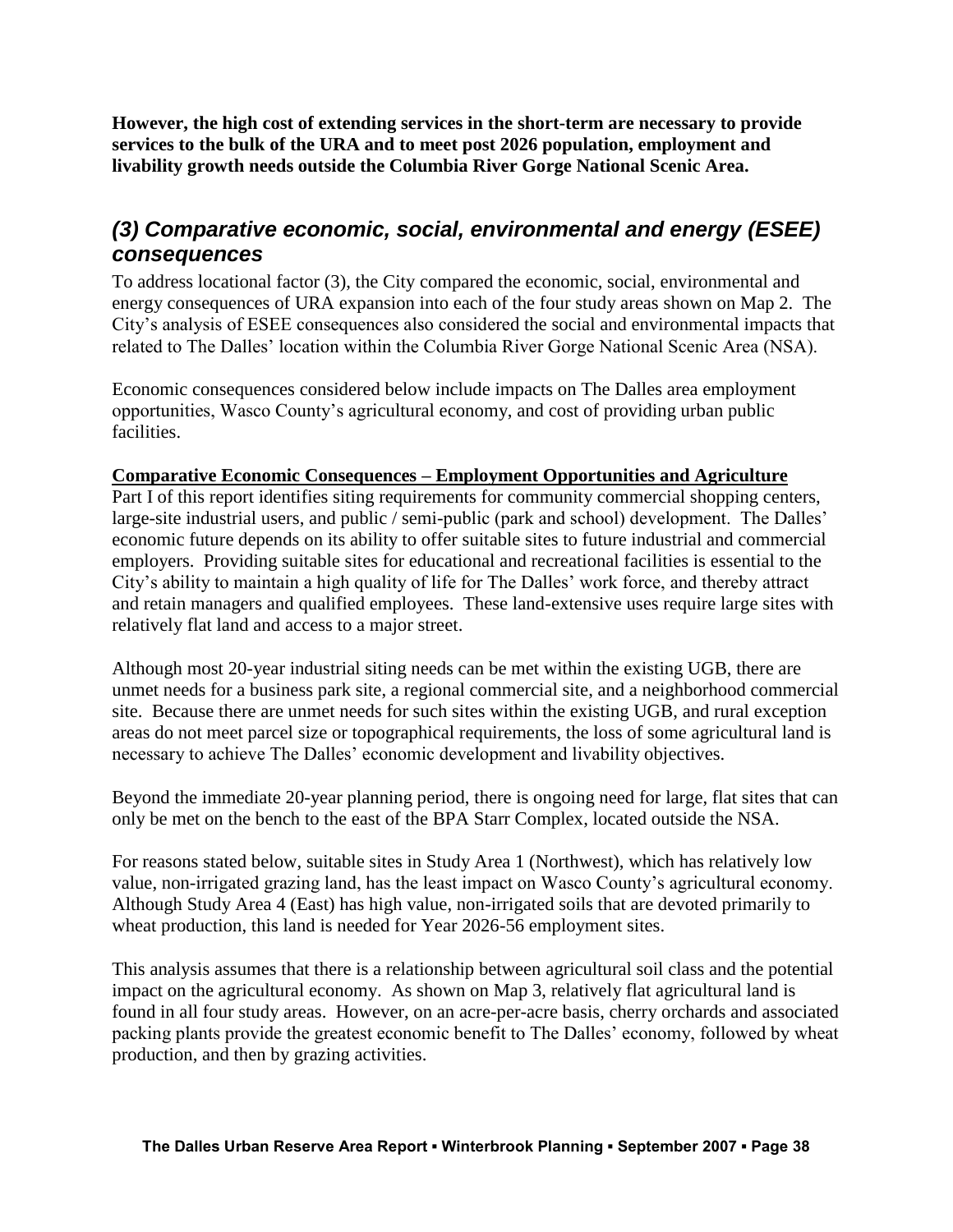**However, the high cost of extending services in the short-term are necessary to provide services to the bulk of the URA and to meet post 2026 population, employment and livability growth needs outside the Columbia River Gorge National Scenic Area.**

### <span id="page-37-0"></span>*(3) Comparative economic, social, environmental and energy (ESEE) consequences*

To address locational factor (3), the City compared the economic, social, environmental and energy consequences of URA expansion into each of the four study areas shown on Map 2. The City's analysis of ESEE consequences also considered the social and environmental impacts that related to The Dalles' location within the Columbia River Gorge National Scenic Area (NSA).

Economic consequences considered below include impacts on The Dalles area employment opportunities, Wasco County's agricultural economy, and cost of providing urban public facilities.

#### **Comparative Economic Consequences – Employment Opportunities and Agriculture**

Part I of this report identifies siting requirements for community commercial shopping centers, large-site industrial users, and public / semi-public (park and school) development. The Dalles' economic future depends on its ability to offer suitable sites to future industrial and commercial employers. Providing suitable sites for educational and recreational facilities is essential to the City's ability to maintain a high quality of life for The Dalles' work force, and thereby attract and retain managers and qualified employees. These land-extensive uses require large sites with relatively flat land and access to a major street.

Although most 20-year industrial siting needs can be met within the existing UGB, there are unmet needs for a business park site, a regional commercial site, and a neighborhood commercial site. Because there are unmet needs for such sites within the existing UGB, and rural exception areas do not meet parcel size or topographical requirements, the loss of some agricultural land is necessary to achieve The Dalles' economic development and livability objectives.

Beyond the immediate 20-year planning period, there is ongoing need for large, flat sites that can only be met on the bench to the east of the BPA Starr Complex, located outside the NSA.

For reasons stated below, suitable sites in Study Area 1 (Northwest), which has relatively low value, non-irrigated grazing land, has the least impact on Wasco County's agricultural economy. Although Study Area 4 (East) has high value, non-irrigated soils that are devoted primarily to wheat production, this land is needed for Year 2026-56 employment sites.

This analysis assumes that there is a relationship between agricultural soil class and the potential impact on the agricultural economy. As shown on Map 3, relatively flat agricultural land is found in all four study areas. However, on an acre-per-acre basis, cherry orchards and associated packing plants provide the greatest economic benefit to The Dalles' economy, followed by wheat production, and then by grazing activities.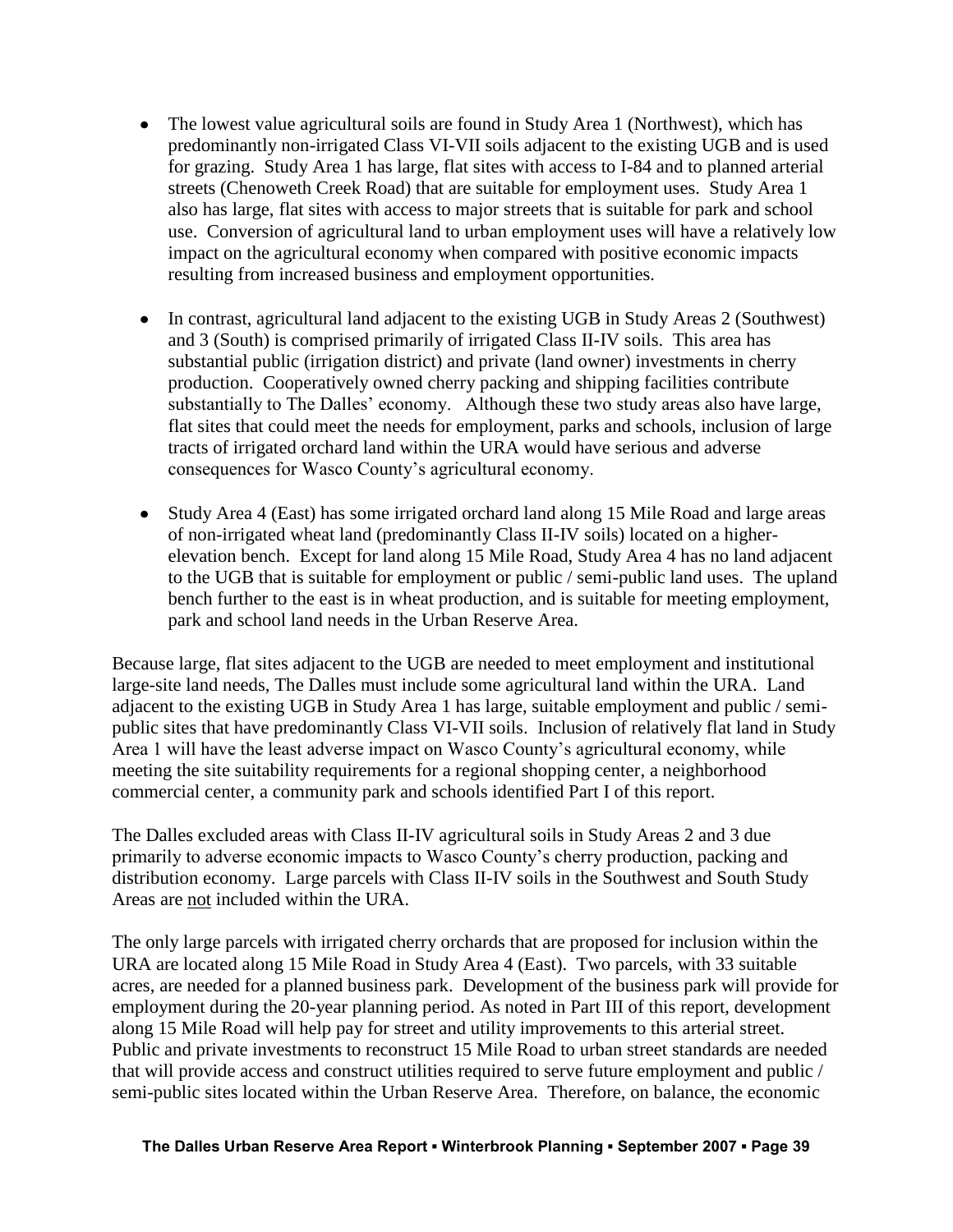- The lowest value agricultural soils are found in Study Area 1 (Northwest), which has predominantly non-irrigated Class VI-VII soils adjacent to the existing UGB and is used for grazing. Study Area 1 has large, flat sites with access to I-84 and to planned arterial streets (Chenoweth Creek Road) that are suitable for employment uses. Study Area 1 also has large, flat sites with access to major streets that is suitable for park and school use. Conversion of agricultural land to urban employment uses will have a relatively low impact on the agricultural economy when compared with positive economic impacts resulting from increased business and employment opportunities.
- In contrast, agricultural land adjacent to the existing UGB in Study Areas 2 (Southwest) and 3 (South) is comprised primarily of irrigated Class II-IV soils. This area has substantial public (irrigation district) and private (land owner) investments in cherry production. Cooperatively owned cherry packing and shipping facilities contribute substantially to The Dalles' economy. Although these two study areas also have large, flat sites that could meet the needs for employment, parks and schools, inclusion of large tracts of irrigated orchard land within the URA would have serious and adverse consequences for Wasco County's agricultural economy.
- Study Area 4 (East) has some irrigated orchard land along 15 Mile Road and large areas of non-irrigated wheat land (predominantly Class II-IV soils) located on a higherelevation bench. Except for land along 15 Mile Road, Study Area 4 has no land adjacent to the UGB that is suitable for employment or public / semi-public land uses. The upland bench further to the east is in wheat production, and is suitable for meeting employment, park and school land needs in the Urban Reserve Area.

Because large, flat sites adjacent to the UGB are needed to meet employment and institutional large-site land needs, The Dalles must include some agricultural land within the URA. Land adjacent to the existing UGB in Study Area 1 has large, suitable employment and public / semipublic sites that have predominantly Class VI-VII soils. Inclusion of relatively flat land in Study Area 1 will have the least adverse impact on Wasco County's agricultural economy, while meeting the site suitability requirements for a regional shopping center, a neighborhood commercial center, a community park and schools identified Part I of this report.

The Dalles excluded areas with Class II-IV agricultural soils in Study Areas 2 and 3 due primarily to adverse economic impacts to Wasco County's cherry production, packing and distribution economy. Large parcels with Class II-IV soils in the Southwest and South Study Areas are not included within the URA.

The only large parcels with irrigated cherry orchards that are proposed for inclusion within the URA are located along 15 Mile Road in Study Area 4 (East). Two parcels, with 33 suitable acres, are needed for a planned business park. Development of the business park will provide for employment during the 20-year planning period. As noted in Part III of this report, development along 15 Mile Road will help pay for street and utility improvements to this arterial street. Public and private investments to reconstruct 15 Mile Road to urban street standards are needed that will provide access and construct utilities required to serve future employment and public / semi-public sites located within the Urban Reserve Area. Therefore, on balance, the economic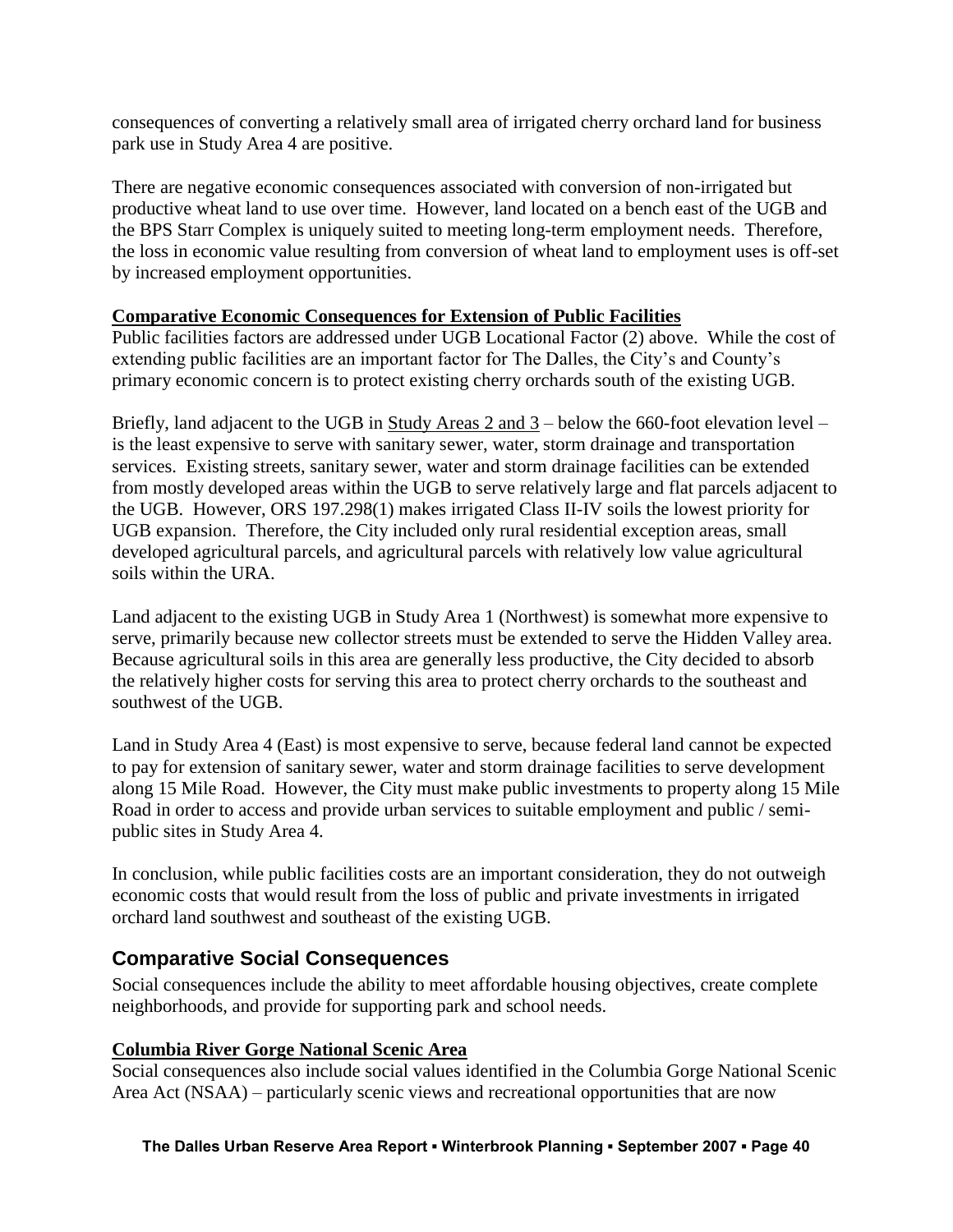consequences of converting a relatively small area of irrigated cherry orchard land for business park use in Study Area 4 are positive.

There are negative economic consequences associated with conversion of non-irrigated but productive wheat land to use over time. However, land located on a bench east of the UGB and the BPS Starr Complex is uniquely suited to meeting long-term employment needs. Therefore, the loss in economic value resulting from conversion of wheat land to employment uses is off-set by increased employment opportunities.

#### **Comparative Economic Consequences for Extension of Public Facilities**

Public facilities factors are addressed under UGB Locational Factor (2) above. While the cost of extending public facilities are an important factor for The Dalles, the City's and County's primary economic concern is to protect existing cherry orchards south of the existing UGB.

Briefly, land adjacent to the UGB in Study Areas 2 and 3 – below the 660-foot elevation level – is the least expensive to serve with sanitary sewer, water, storm drainage and transportation services. Existing streets, sanitary sewer, water and storm drainage facilities can be extended from mostly developed areas within the UGB to serve relatively large and flat parcels adjacent to the UGB. However, ORS 197.298(1) makes irrigated Class II-IV soils the lowest priority for UGB expansion. Therefore, the City included only rural residential exception areas, small developed agricultural parcels, and agricultural parcels with relatively low value agricultural soils within the URA.

Land adjacent to the existing UGB in Study Area 1 (Northwest) is somewhat more expensive to serve, primarily because new collector streets must be extended to serve the Hidden Valley area. Because agricultural soils in this area are generally less productive, the City decided to absorb the relatively higher costs for serving this area to protect cherry orchards to the southeast and southwest of the UGB.

Land in Study Area 4 (East) is most expensive to serve, because federal land cannot be expected to pay for extension of sanitary sewer, water and storm drainage facilities to serve development along 15 Mile Road. However, the City must make public investments to property along 15 Mile Road in order to access and provide urban services to suitable employment and public / semipublic sites in Study Area 4.

In conclusion, while public facilities costs are an important consideration, they do not outweigh economic costs that would result from the loss of public and private investments in irrigated orchard land southwest and southeast of the existing UGB.

#### **Comparative Social Consequences**

Social consequences include the ability to meet affordable housing objectives, create complete neighborhoods, and provide for supporting park and school needs.

#### **Columbia River Gorge National Scenic Area**

Social consequences also include social values identified in the Columbia Gorge National Scenic Area Act (NSAA) – particularly scenic views and recreational opportunities that are now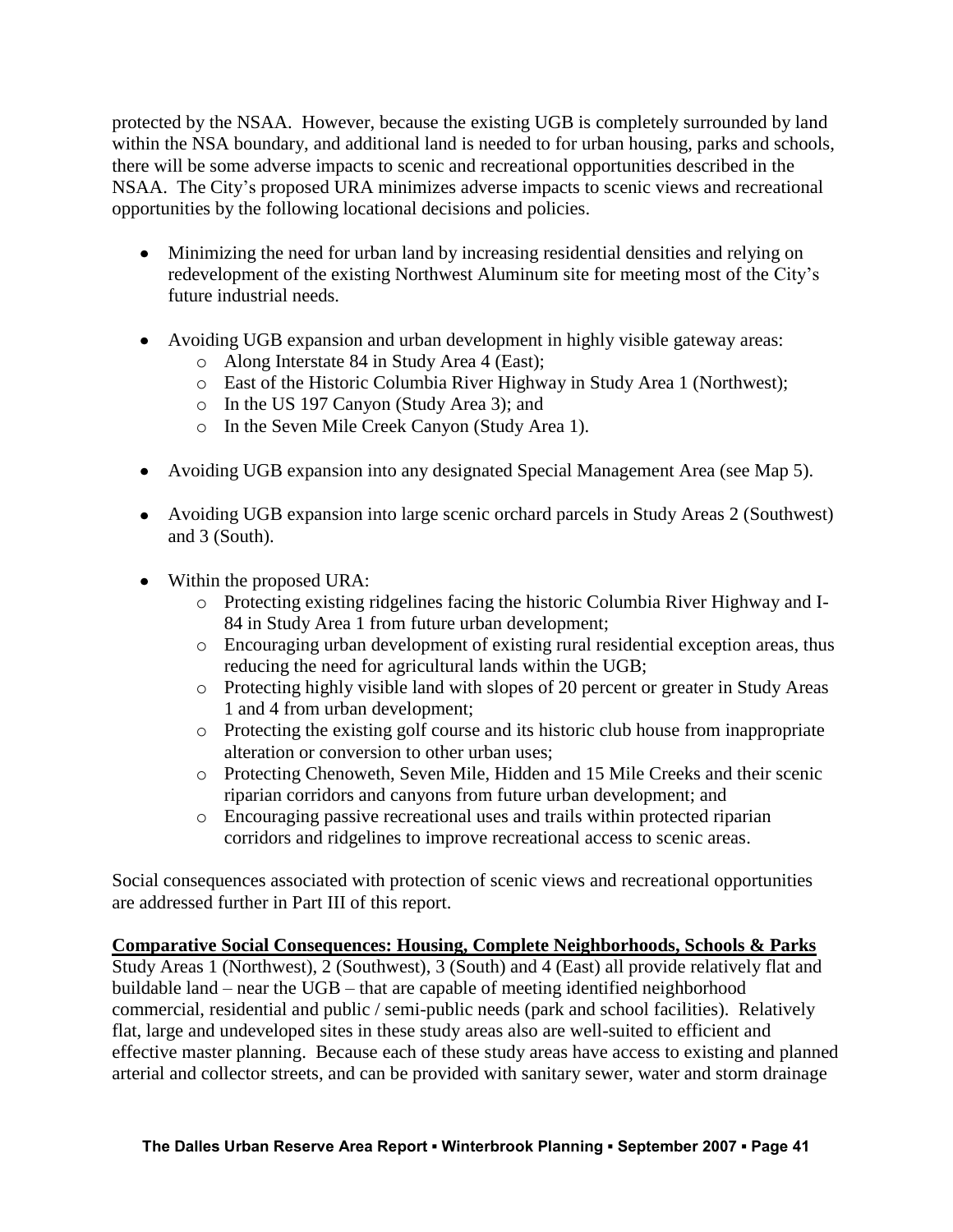protected by the NSAA. However, because the existing UGB is completely surrounded by land within the NSA boundary, and additional land is needed to for urban housing, parks and schools, there will be some adverse impacts to scenic and recreational opportunities described in the NSAA. The City's proposed URA minimizes adverse impacts to scenic views and recreational opportunities by the following locational decisions and policies.

- Minimizing the need for urban land by increasing residential densities and relying on redevelopment of the existing Northwest Aluminum site for meeting most of the City's future industrial needs.
- Avoiding UGB expansion and urban development in highly visible gateway areas:
	- o Along Interstate 84 in Study Area 4 (East);
	- o East of the Historic Columbia River Highway in Study Area 1 (Northwest);
	- o In the US 197 Canyon (Study Area 3); and
	- o In the Seven Mile Creek Canyon (Study Area 1).
- Avoiding UGB expansion into any designated Special Management Area (see Map 5).
- Avoiding UGB expansion into large scenic orchard parcels in Study Areas 2 (Southwest) and 3 (South).
- Within the proposed URA:
	- o Protecting existing ridgelines facing the historic Columbia River Highway and I-84 in Study Area 1 from future urban development;
	- o Encouraging urban development of existing rural residential exception areas, thus reducing the need for agricultural lands within the UGB;
	- o Protecting highly visible land with slopes of 20 percent or greater in Study Areas 1 and 4 from urban development;
	- o Protecting the existing golf course and its historic club house from inappropriate alteration or conversion to other urban uses;
	- o Protecting Chenoweth, Seven Mile, Hidden and 15 Mile Creeks and their scenic riparian corridors and canyons from future urban development; and
	- o Encouraging passive recreational uses and trails within protected riparian corridors and ridgelines to improve recreational access to scenic areas.

Social consequences associated with protection of scenic views and recreational opportunities are addressed further in Part III of this report.

#### **Comparative Social Consequences: Housing, Complete Neighborhoods, Schools & Parks**

Study Areas 1 (Northwest), 2 (Southwest), 3 (South) and 4 (East) all provide relatively flat and buildable land – near the UGB – that are capable of meeting identified neighborhood commercial, residential and public / semi-public needs (park and school facilities). Relatively flat, large and undeveloped sites in these study areas also are well-suited to efficient and effective master planning. Because each of these study areas have access to existing and planned arterial and collector streets, and can be provided with sanitary sewer, water and storm drainage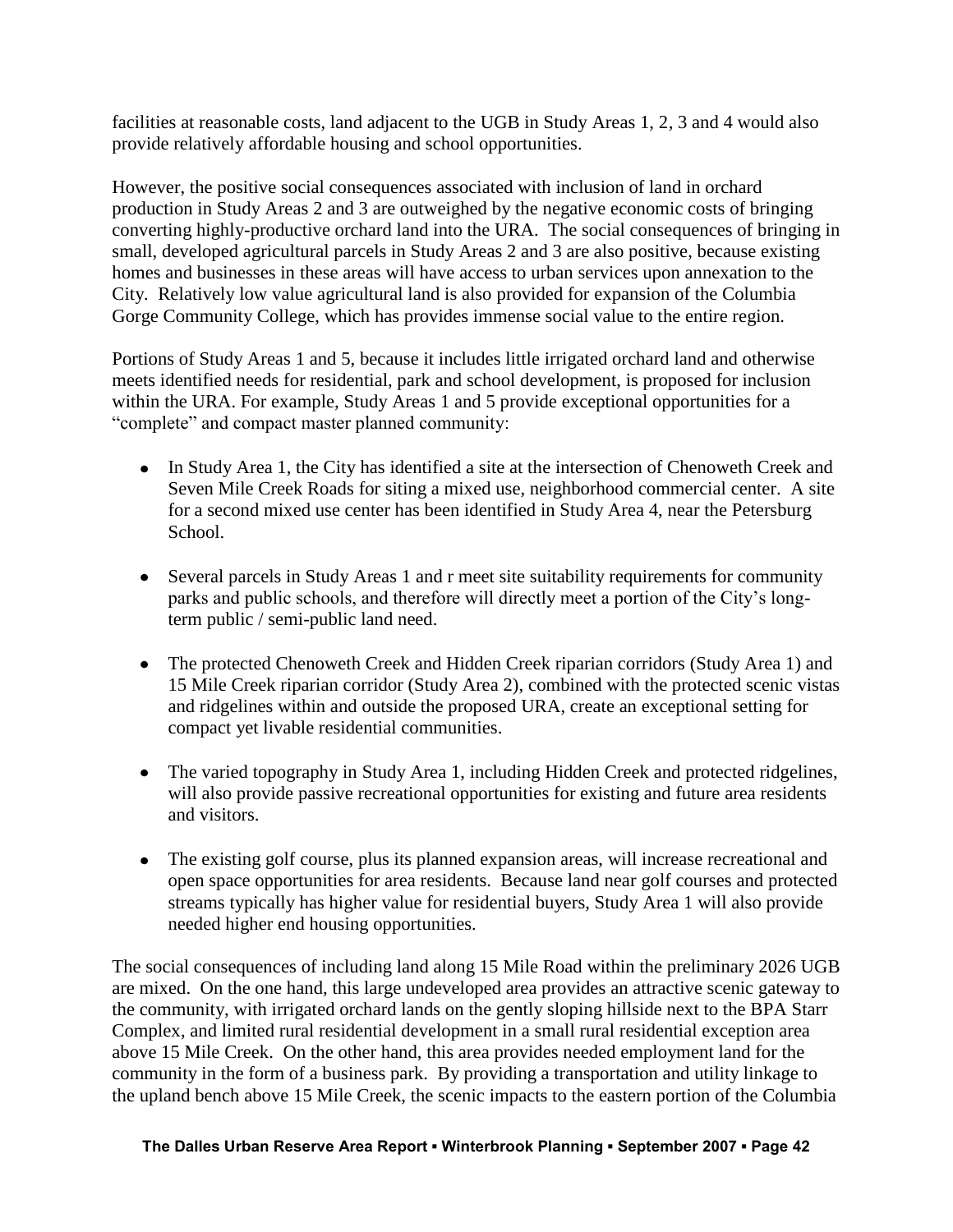facilities at reasonable costs, land adjacent to the UGB in Study Areas 1, 2, 3 and 4 would also provide relatively affordable housing and school opportunities.

However, the positive social consequences associated with inclusion of land in orchard production in Study Areas 2 and 3 are outweighed by the negative economic costs of bringing converting highly-productive orchard land into the URA. The social consequences of bringing in small, developed agricultural parcels in Study Areas 2 and 3 are also positive, because existing homes and businesses in these areas will have access to urban services upon annexation to the City. Relatively low value agricultural land is also provided for expansion of the Columbia Gorge Community College, which has provides immense social value to the entire region.

Portions of Study Areas 1 and 5, because it includes little irrigated orchard land and otherwise meets identified needs for residential, park and school development, is proposed for inclusion within the URA. For example, Study Areas 1 and 5 provide exceptional opportunities for a "complete" and compact master planned community:

- In Study Area 1, the City has identified a site at the intersection of Chenoweth Creek and Seven Mile Creek Roads for siting a mixed use, neighborhood commercial center. A site for a second mixed use center has been identified in Study Area 4, near the Petersburg School.
- Several parcels in Study Areas 1 and r meet site suitability requirements for community parks and public schools, and therefore will directly meet a portion of the City's longterm public / semi-public land need.
- The protected Chenoweth Creek and Hidden Creek riparian corridors (Study Area 1) and 15 Mile Creek riparian corridor (Study Area 2), combined with the protected scenic vistas and ridgelines within and outside the proposed URA, create an exceptional setting for compact yet livable residential communities.
- The varied topography in Study Area 1, including Hidden Creek and protected ridgelines, will also provide passive recreational opportunities for existing and future area residents and visitors.
- The existing golf course, plus its planned expansion areas, will increase recreational and open space opportunities for area residents. Because land near golf courses and protected streams typically has higher value for residential buyers, Study Area 1 will also provide needed higher end housing opportunities.

The social consequences of including land along 15 Mile Road within the preliminary 2026 UGB are mixed. On the one hand, this large undeveloped area provides an attractive scenic gateway to the community, with irrigated orchard lands on the gently sloping hillside next to the BPA Starr Complex, and limited rural residential development in a small rural residential exception area above 15 Mile Creek. On the other hand, this area provides needed employment land for the community in the form of a business park. By providing a transportation and utility linkage to the upland bench above 15 Mile Creek, the scenic impacts to the eastern portion of the Columbia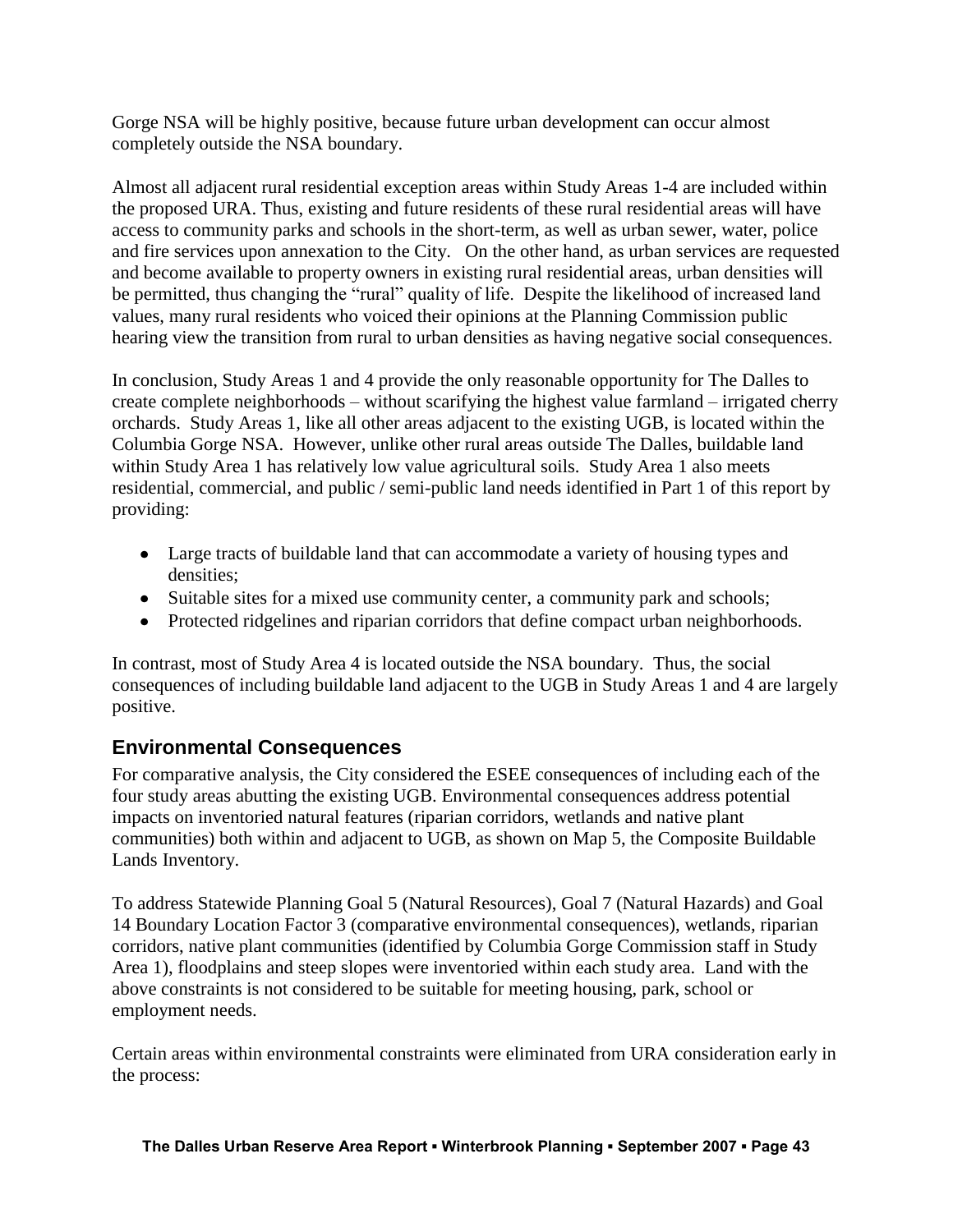Gorge NSA will be highly positive, because future urban development can occur almost completely outside the NSA boundary.

Almost all adjacent rural residential exception areas within Study Areas 1-4 are included within the proposed URA. Thus, existing and future residents of these rural residential areas will have access to community parks and schools in the short-term, as well as urban sewer, water, police and fire services upon annexation to the City. On the other hand, as urban services are requested and become available to property owners in existing rural residential areas, urban densities will be permitted, thus changing the "rural" quality of life. Despite the likelihood of increased land values, many rural residents who voiced their opinions at the Planning Commission public hearing view the transition from rural to urban densities as having negative social consequences.

In conclusion, Study Areas 1 and 4 provide the only reasonable opportunity for The Dalles to create complete neighborhoods – without scarifying the highest value farmland – irrigated cherry orchards. Study Areas 1, like all other areas adjacent to the existing UGB, is located within the Columbia Gorge NSA. However, unlike other rural areas outside The Dalles, buildable land within Study Area 1 has relatively low value agricultural soils. Study Area 1 also meets residential, commercial, and public / semi-public land needs identified in Part 1 of this report by providing:

- Large tracts of buildable land that can accommodate a variety of housing types and densities;
- Suitable sites for a mixed use community center, a community park and schools;
- Protected ridgelines and riparian corridors that define compact urban neighborhoods.

In contrast, most of Study Area 4 is located outside the NSA boundary. Thus, the social consequences of including buildable land adjacent to the UGB in Study Areas 1 and 4 are largely positive.

#### **Environmental Consequences**

For comparative analysis, the City considered the ESEE consequences of including each of the four study areas abutting the existing UGB. Environmental consequences address potential impacts on inventoried natural features (riparian corridors, wetlands and native plant communities) both within and adjacent to UGB, as shown on Map 5, the Composite Buildable Lands Inventory.

To address Statewide Planning Goal 5 (Natural Resources), Goal 7 (Natural Hazards) and Goal 14 Boundary Location Factor 3 (comparative environmental consequences), wetlands, riparian corridors, native plant communities (identified by Columbia Gorge Commission staff in Study Area 1), floodplains and steep slopes were inventoried within each study area. Land with the above constraints is not considered to be suitable for meeting housing, park, school or employment needs.

Certain areas within environmental constraints were eliminated from URA consideration early in the process: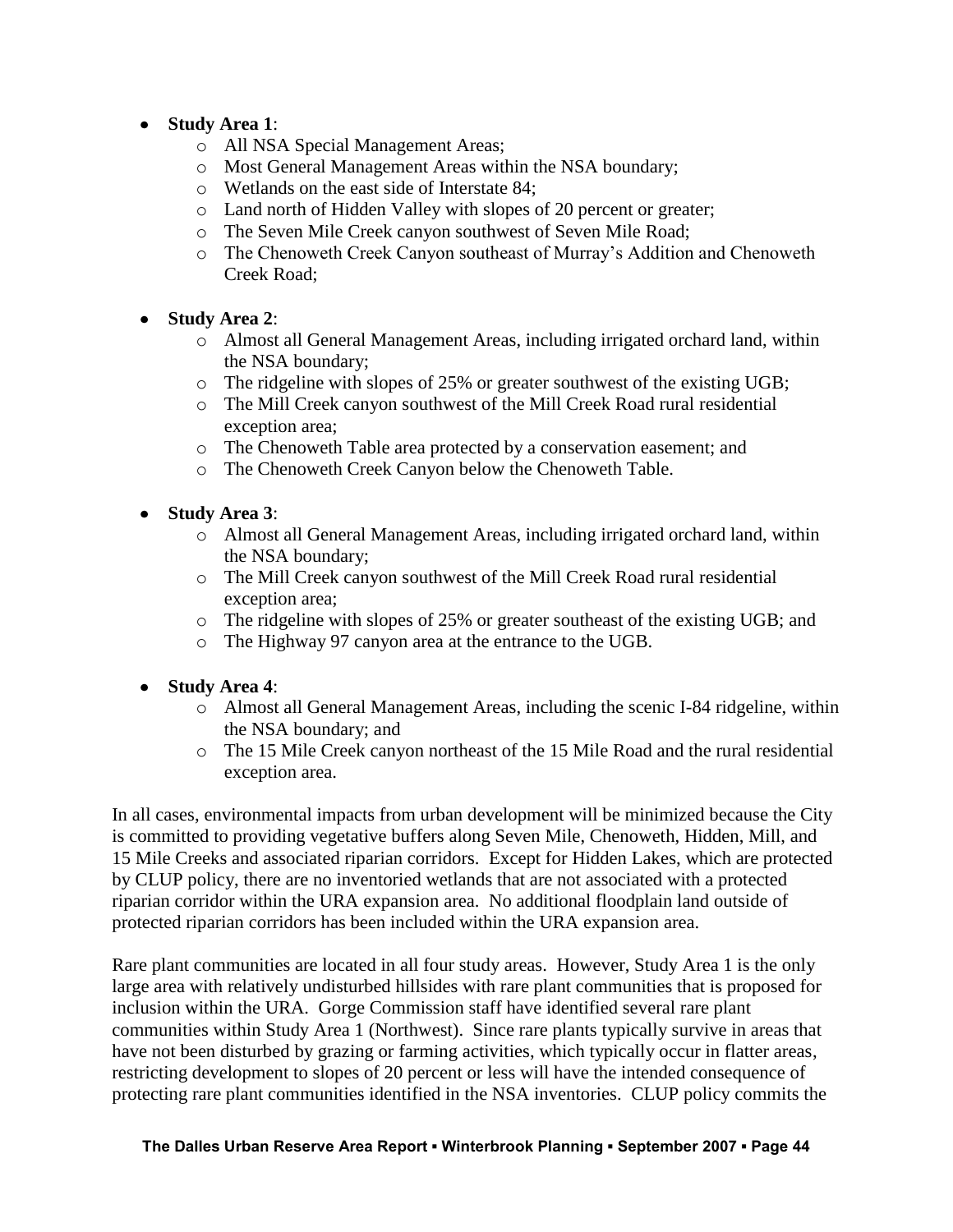- **Study Area 1**:
	- o All NSA Special Management Areas;
	- o Most General Management Areas within the NSA boundary;
	- o Wetlands on the east side of Interstate 84;
	- o Land north of Hidden Valley with slopes of 20 percent or greater;
	- o The Seven Mile Creek canyon southwest of Seven Mile Road;
	- o The Chenoweth Creek Canyon southeast of Murray's Addition and Chenoweth Creek Road;
- **Study Area 2**:
	- o Almost all General Management Areas, including irrigated orchard land, within the NSA boundary;
	- o The ridgeline with slopes of 25% or greater southwest of the existing UGB;
	- o The Mill Creek canyon southwest of the Mill Creek Road rural residential exception area;
	- o The Chenoweth Table area protected by a conservation easement; and
	- o The Chenoweth Creek Canyon below the Chenoweth Table.
- **Study Area 3**:
	- o Almost all General Management Areas, including irrigated orchard land, within the NSA boundary;
	- o The Mill Creek canyon southwest of the Mill Creek Road rural residential exception area;
	- $\circ$  The ridgeline with slopes of 25% or greater southeast of the existing UGB; and
	- o The Highway 97 canyon area at the entrance to the UGB.
- **Study Area 4**:
	- o Almost all General Management Areas, including the scenic I-84 ridgeline, within the NSA boundary; and
	- o The 15 Mile Creek canyon northeast of the 15 Mile Road and the rural residential exception area.

In all cases, environmental impacts from urban development will be minimized because the City is committed to providing vegetative buffers along Seven Mile, Chenoweth, Hidden, Mill, and 15 Mile Creeks and associated riparian corridors. Except for Hidden Lakes, which are protected by CLUP policy, there are no inventoried wetlands that are not associated with a protected riparian corridor within the URA expansion area. No additional floodplain land outside of protected riparian corridors has been included within the URA expansion area.

Rare plant communities are located in all four study areas. However, Study Area 1 is the only large area with relatively undisturbed hillsides with rare plant communities that is proposed for inclusion within the URA. Gorge Commission staff have identified several rare plant communities within Study Area 1 (Northwest). Since rare plants typically survive in areas that have not been disturbed by grazing or farming activities, which typically occur in flatter areas, restricting development to slopes of 20 percent or less will have the intended consequence of protecting rare plant communities identified in the NSA inventories. CLUP policy commits the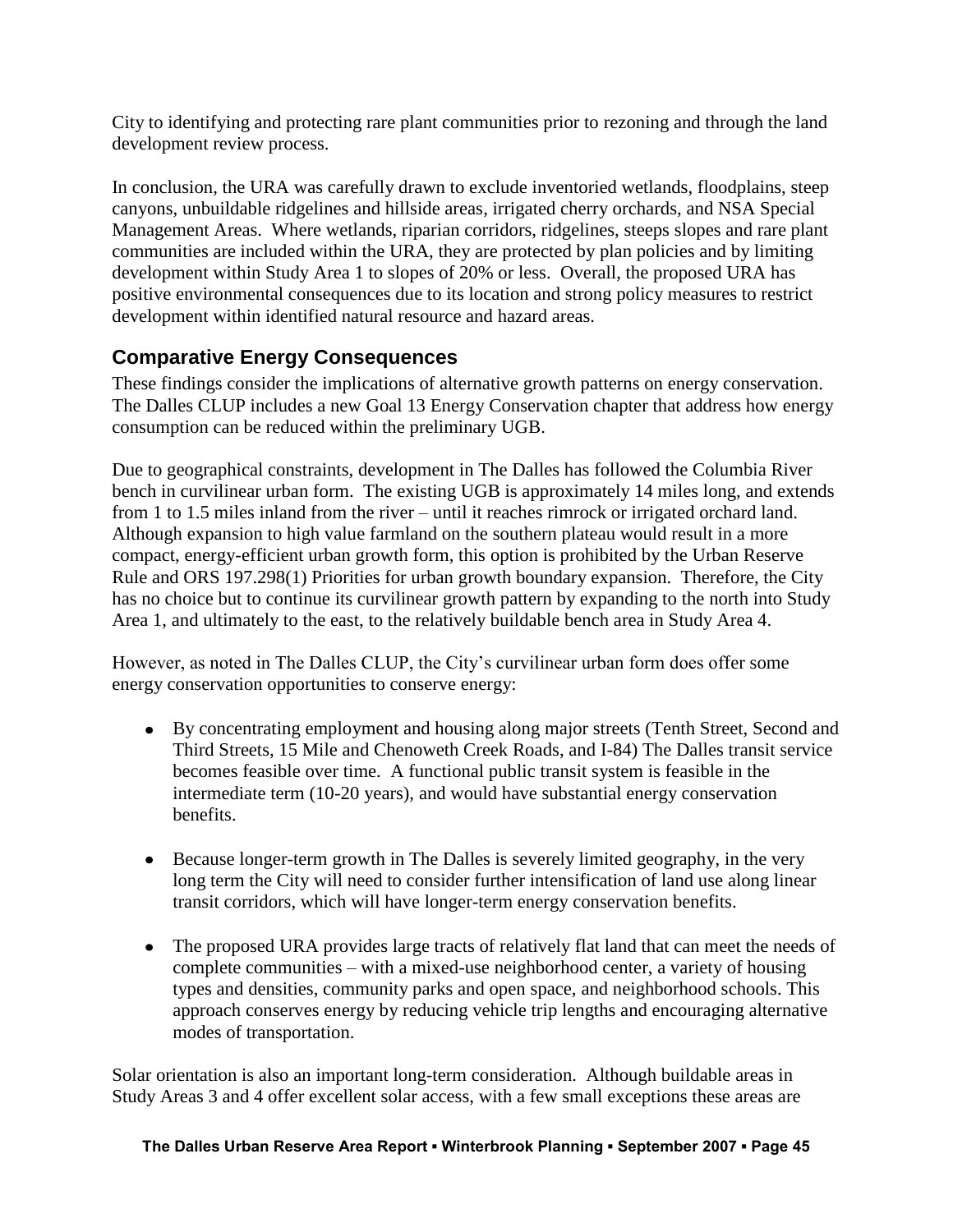City to identifying and protecting rare plant communities prior to rezoning and through the land development review process.

In conclusion, the URA was carefully drawn to exclude inventoried wetlands, floodplains, steep canyons, unbuildable ridgelines and hillside areas, irrigated cherry orchards, and NSA Special Management Areas. Where wetlands, riparian corridors, ridgelines, steeps slopes and rare plant communities are included within the URA, they are protected by plan policies and by limiting development within Study Area 1 to slopes of 20% or less. Overall, the proposed URA has positive environmental consequences due to its location and strong policy measures to restrict development within identified natural resource and hazard areas.

### **Comparative Energy Consequences**

These findings consider the implications of alternative growth patterns on energy conservation. The Dalles CLUP includes a new Goal 13 Energy Conservation chapter that address how energy consumption can be reduced within the preliminary UGB.

Due to geographical constraints, development in The Dalles has followed the Columbia River bench in curvilinear urban form. The existing UGB is approximately 14 miles long, and extends from 1 to 1.5 miles inland from the river – until it reaches rimrock or irrigated orchard land. Although expansion to high value farmland on the southern plateau would result in a more compact, energy-efficient urban growth form, this option is prohibited by the Urban Reserve Rule and ORS 197.298(1) Priorities for urban growth boundary expansion. Therefore, the City has no choice but to continue its curvilinear growth pattern by expanding to the north into Study Area 1, and ultimately to the east, to the relatively buildable bench area in Study Area 4.

However, as noted in The Dalles CLUP, the City's curvilinear urban form does offer some energy conservation opportunities to conserve energy:

- By concentrating employment and housing along major streets (Tenth Street, Second and Third Streets, 15 Mile and Chenoweth Creek Roads, and I-84) The Dalles transit service becomes feasible over time. A functional public transit system is feasible in the intermediate term (10-20 years), and would have substantial energy conservation benefits.
- Because longer-term growth in The Dalles is severely limited geography, in the very long term the City will need to consider further intensification of land use along linear transit corridors, which will have longer-term energy conservation benefits.
- The proposed URA provides large tracts of relatively flat land that can meet the needs of complete communities – with a mixed-use neighborhood center, a variety of housing types and densities, community parks and open space, and neighborhood schools. This approach conserves energy by reducing vehicle trip lengths and encouraging alternative modes of transportation.

Solar orientation is also an important long-term consideration. Although buildable areas in Study Areas 3 and 4 offer excellent solar access, with a few small exceptions these areas are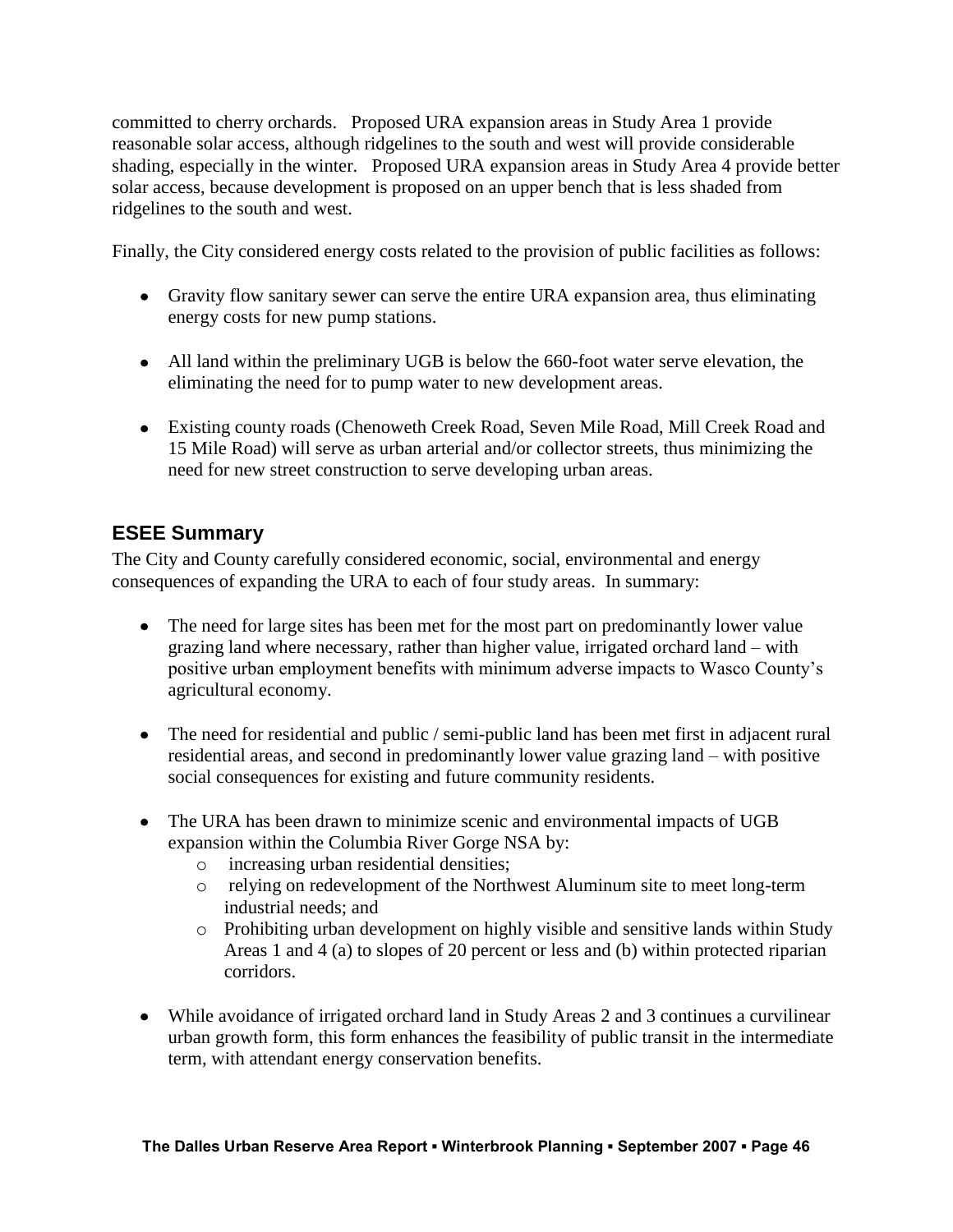committed to cherry orchards. Proposed URA expansion areas in Study Area 1 provide reasonable solar access, although ridgelines to the south and west will provide considerable shading, especially in the winter. Proposed URA expansion areas in Study Area 4 provide better solar access, because development is proposed on an upper bench that is less shaded from ridgelines to the south and west.

Finally, the City considered energy costs related to the provision of public facilities as follows:

- Gravity flow sanitary sewer can serve the entire URA expansion area, thus eliminating energy costs for new pump stations.
- All land within the preliminary UGB is below the 660-foot water serve elevation, the eliminating the need for to pump water to new development areas.
- Existing county roads (Chenoweth Creek Road, Seven Mile Road, Mill Creek Road and 15 Mile Road) will serve as urban arterial and/or collector streets, thus minimizing the need for new street construction to serve developing urban areas.

#### **ESEE Summary**

The City and County carefully considered economic, social, environmental and energy consequences of expanding the URA to each of four study areas. In summary:

- The need for large sites has been met for the most part on predominantly lower value grazing land where necessary, rather than higher value, irrigated orchard land – with positive urban employment benefits with minimum adverse impacts to Wasco County's agricultural economy.
- The need for residential and public / semi-public land has been met first in adjacent rural residential areas, and second in predominantly lower value grazing land – with positive social consequences for existing and future community residents.
- The URA has been drawn to minimize scenic and environmental impacts of UGB expansion within the Columbia River Gorge NSA by:
	- o increasing urban residential densities;
	- o relying on redevelopment of the Northwest Aluminum site to meet long-term industrial needs; and
	- o Prohibiting urban development on highly visible and sensitive lands within Study Areas 1 and 4 (a) to slopes of 20 percent or less and (b) within protected riparian corridors.
- While avoidance of irrigated orchard land in Study Areas 2 and 3 continues a curvilinear urban growth form, this form enhances the feasibility of public transit in the intermediate term, with attendant energy conservation benefits.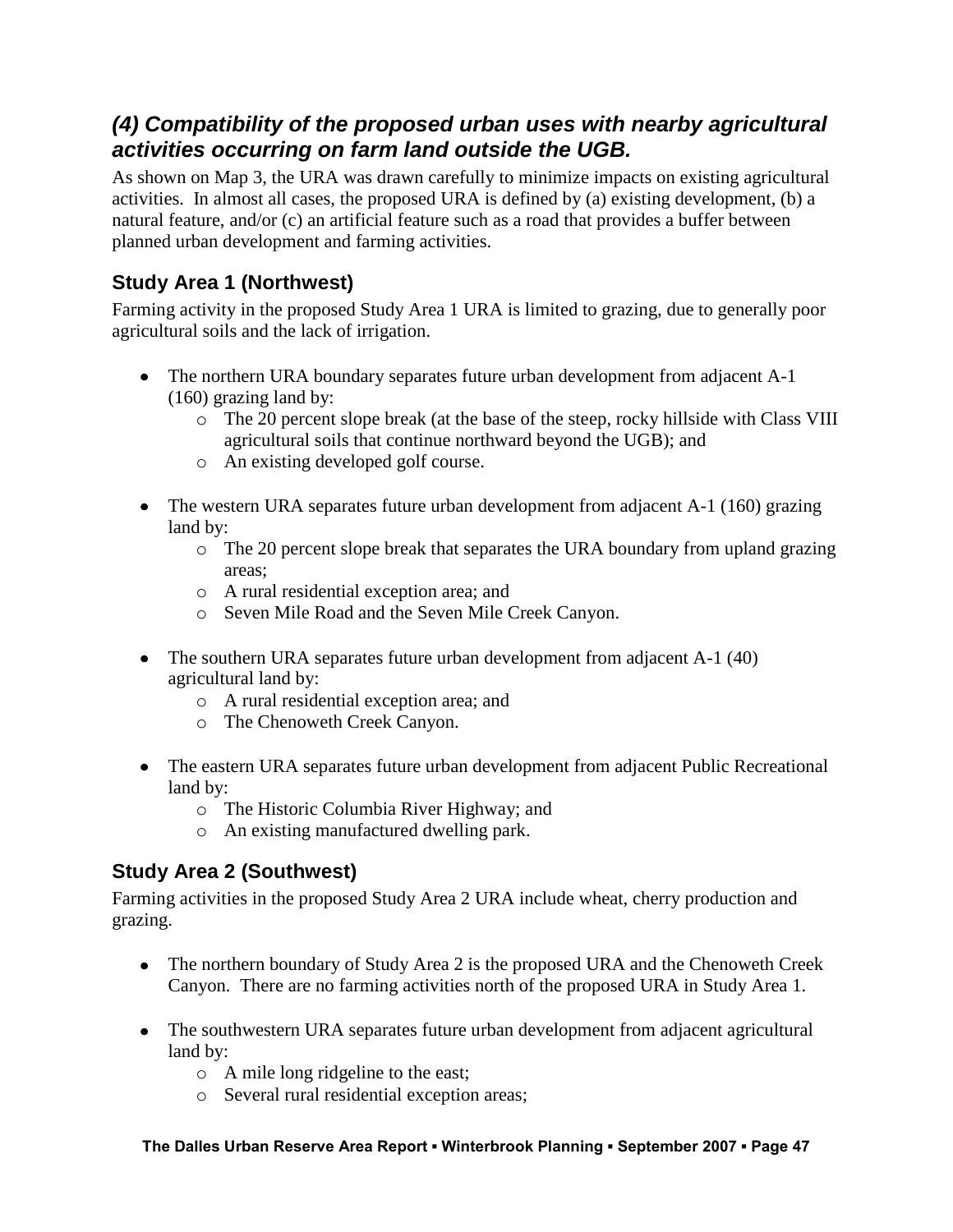### <span id="page-46-0"></span>*(4) Compatibility of the proposed urban uses with nearby agricultural activities occurring on farm land outside the UGB.*

As shown on Map 3, the URA was drawn carefully to minimize impacts on existing agricultural activities. In almost all cases, the proposed URA is defined by (a) existing development, (b) a natural feature, and/or (c) an artificial feature such as a road that provides a buffer between planned urban development and farming activities.

### **Study Area 1 (Northwest)**

Farming activity in the proposed Study Area 1 URA is limited to grazing, due to generally poor agricultural soils and the lack of irrigation.

- The northern URA boundary separates future urban development from adjacent A-1 (160) grazing land by:
	- o The 20 percent slope break (at the base of the steep, rocky hillside with Class VIII agricultural soils that continue northward beyond the UGB); and
	- o An existing developed golf course.
- The western URA separates future urban development from adjacent A-1 (160) grazing land by:
	- o The 20 percent slope break that separates the URA boundary from upland grazing areas;
	- o A rural residential exception area; and
	- o Seven Mile Road and the Seven Mile Creek Canyon.
- The southern URA separates future urban development from adjacent A-1 (40) agricultural land by:
	- o A rural residential exception area; and
	- o The Chenoweth Creek Canyon.
- The eastern URA separates future urban development from adjacent Public Recreational land by:
	- o The Historic Columbia River Highway; and
	- o An existing manufactured dwelling park.

### **Study Area 2 (Southwest)**

Farming activities in the proposed Study Area 2 URA include wheat, cherry production and grazing.

- The northern boundary of Study Area 2 is the proposed URA and the Chenoweth Creek Canyon. There are no farming activities north of the proposed URA in Study Area 1.
- The southwestern URA separates future urban development from adjacent agricultural land by:
	- o A mile long ridgeline to the east;
	- o Several rural residential exception areas;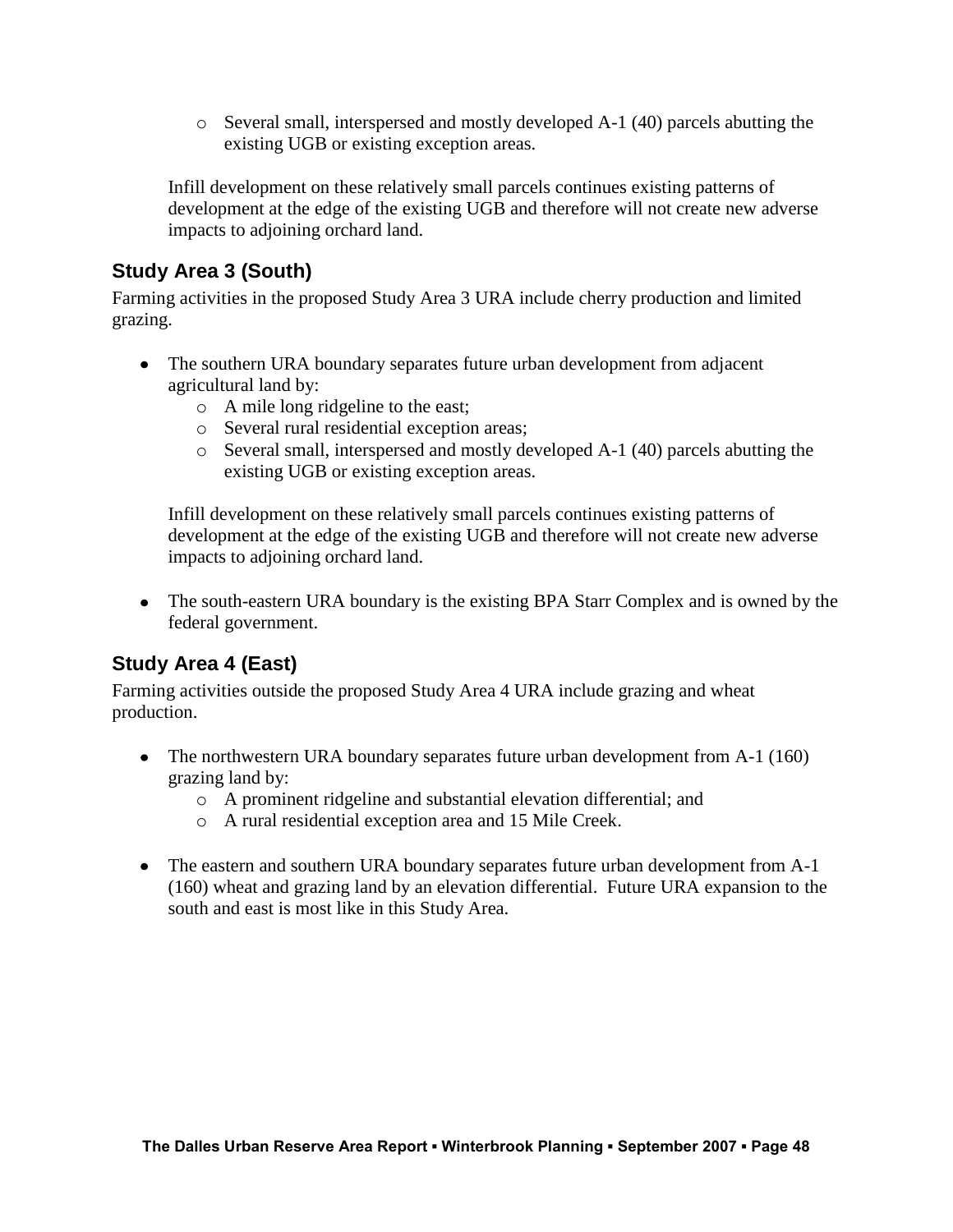$\circ$  Several small, interspersed and mostly developed A-1 (40) parcels abutting the existing UGB or existing exception areas.

Infill development on these relatively small parcels continues existing patterns of development at the edge of the existing UGB and therefore will not create new adverse impacts to adjoining orchard land.

### **Study Area 3 (South)**

Farming activities in the proposed Study Area 3 URA include cherry production and limited grazing.

- The southern URA boundary separates future urban development from adjacent agricultural land by:
	- o A mile long ridgeline to the east;
	- o Several rural residential exception areas;
	- o Several small, interspersed and mostly developed A-1 (40) parcels abutting the existing UGB or existing exception areas.

Infill development on these relatively small parcels continues existing patterns of development at the edge of the existing UGB and therefore will not create new adverse impacts to adjoining orchard land.

• The south-eastern URA boundary is the existing BPA Starr Complex and is owned by the federal government.

### **Study Area 4 (East)**

Farming activities outside the proposed Study Area 4 URA include grazing and wheat production.

- The northwestern URA boundary separates future urban development from A-1 (160) grazing land by:
	- o A prominent ridgeline and substantial elevation differential; and
	- o A rural residential exception area and 15 Mile Creek.
- The eastern and southern URA boundary separates future urban development from A-1 (160) wheat and grazing land by an elevation differential. Future URA expansion to the south and east is most like in this Study Area.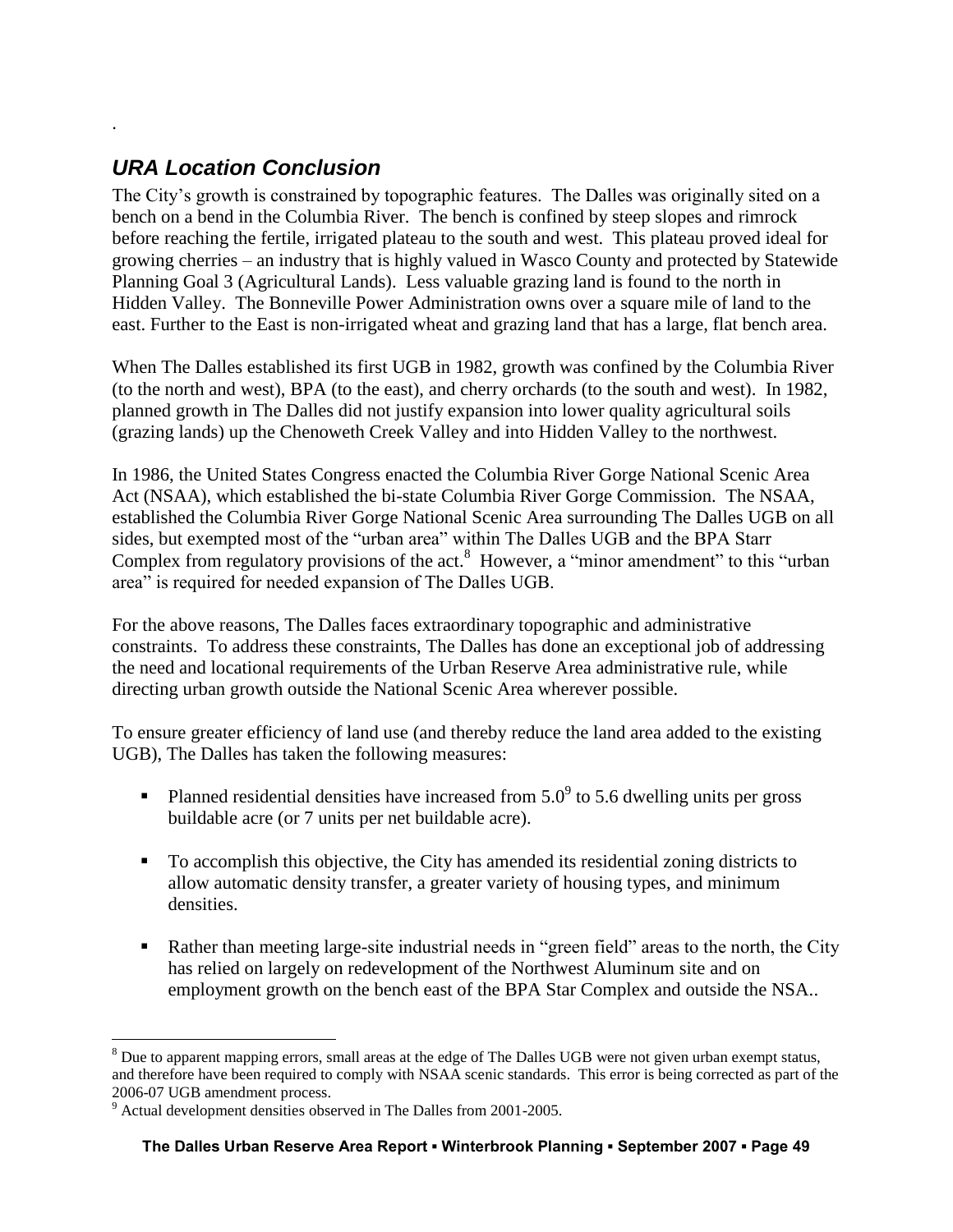### <span id="page-48-0"></span>*URA Location Conclusion*

.

The City's growth is constrained by topographic features. The Dalles was originally sited on a bench on a bend in the Columbia River. The bench is confined by steep slopes and rimrock before reaching the fertile, irrigated plateau to the south and west. This plateau proved ideal for growing cherries – an industry that is highly valued in Wasco County and protected by Statewide Planning Goal 3 (Agricultural Lands). Less valuable grazing land is found to the north in Hidden Valley. The Bonneville Power Administration owns over a square mile of land to the east. Further to the East is non-irrigated wheat and grazing land that has a large, flat bench area.

When The Dalles established its first UGB in 1982, growth was confined by the Columbia River (to the north and west), BPA (to the east), and cherry orchards (to the south and west). In 1982, planned growth in The Dalles did not justify expansion into lower quality agricultural soils (grazing lands) up the Chenoweth Creek Valley and into Hidden Valley to the northwest.

In 1986, the United States Congress enacted the Columbia River Gorge National Scenic Area Act (NSAA), which established the bi-state Columbia River Gorge Commission. The NSAA, established the Columbia River Gorge National Scenic Area surrounding The Dalles UGB on all sides, but exempted most of the "urban area" within The Dalles UGB and the BPA Starr Complex from regulatory provisions of the act. $8$  However, a "minor amendment" to this "urban area" is required for needed expansion of The Dalles UGB.

For the above reasons, The Dalles faces extraordinary topographic and administrative constraints. To address these constraints, The Dalles has done an exceptional job of addressing the need and locational requirements of the Urban Reserve Area administrative rule, while directing urban growth outside the National Scenic Area wherever possible.

To ensure greater efficiency of land use (and thereby reduce the land area added to the existing UGB), The Dalles has taken the following measures:

- Planned residential densities have increased from  $5.0^{\circ}$  to 5.6 dwelling units per gross buildable acre (or 7 units per net buildable acre).
- To accomplish this objective, the City has amended its residential zoning districts to allow automatic density transfer, a greater variety of housing types, and minimum densities.
- Rather than meeting large-site industrial needs in "green field" areas to the north, the City has relied on largely on redevelopment of the Northwest Aluminum site and on employment growth on the bench east of the BPA Star Complex and outside the NSA..

 $\overline{a}$ <sup>8</sup> Due to apparent mapping errors, small areas at the edge of The Dalles UGB were not given urban exempt status, and therefore have been required to comply with NSAA scenic standards. This error is being corrected as part of the 2006-07 UGB amendment process.

 $9$  Actual development densities observed in The Dalles from 2001-2005.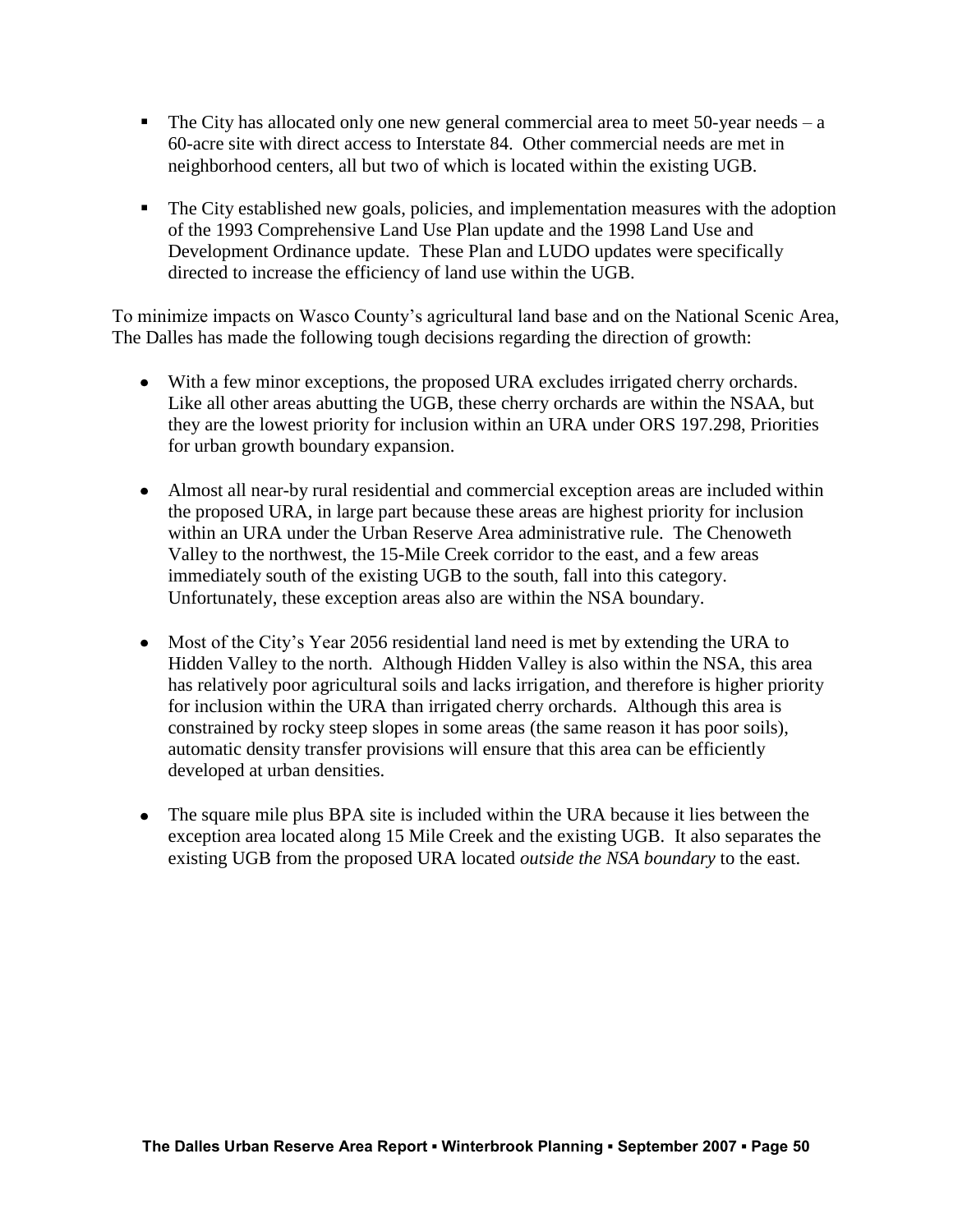- $\blacksquare$  The City has allocated only one new general commercial area to meet 50-year needs a 60-acre site with direct access to Interstate 84. Other commercial needs are met in neighborhood centers, all but two of which is located within the existing UGB.
- The City established new goals, policies, and implementation measures with the adoption of the 1993 Comprehensive Land Use Plan update and the 1998 Land Use and Development Ordinance update. These Plan and LUDO updates were specifically directed to increase the efficiency of land use within the UGB.

To minimize impacts on Wasco County's agricultural land base and on the National Scenic Area, The Dalles has made the following tough decisions regarding the direction of growth:

- With a few minor exceptions, the proposed URA excludes irrigated cherry orchards. Like all other areas abutting the UGB, these cherry orchards are within the NSAA, but they are the lowest priority for inclusion within an URA under ORS 197.298, Priorities for urban growth boundary expansion.
- Almost all near-by rural residential and commercial exception areas are included within the proposed URA, in large part because these areas are highest priority for inclusion within an URA under the Urban Reserve Area administrative rule. The Chenoweth Valley to the northwest, the 15-Mile Creek corridor to the east, and a few areas immediately south of the existing UGB to the south, fall into this category. Unfortunately, these exception areas also are within the NSA boundary.
- Most of the City's Year 2056 residential land need is met by extending the URA to Hidden Valley to the north. Although Hidden Valley is also within the NSA, this area has relatively poor agricultural soils and lacks irrigation, and therefore is higher priority for inclusion within the URA than irrigated cherry orchards. Although this area is constrained by rocky steep slopes in some areas (the same reason it has poor soils), automatic density transfer provisions will ensure that this area can be efficiently developed at urban densities.
- The square mile plus BPA site is included within the URA because it lies between the exception area located along 15 Mile Creek and the existing UGB. It also separates the existing UGB from the proposed URA located *outside the NSA boundary* to the east.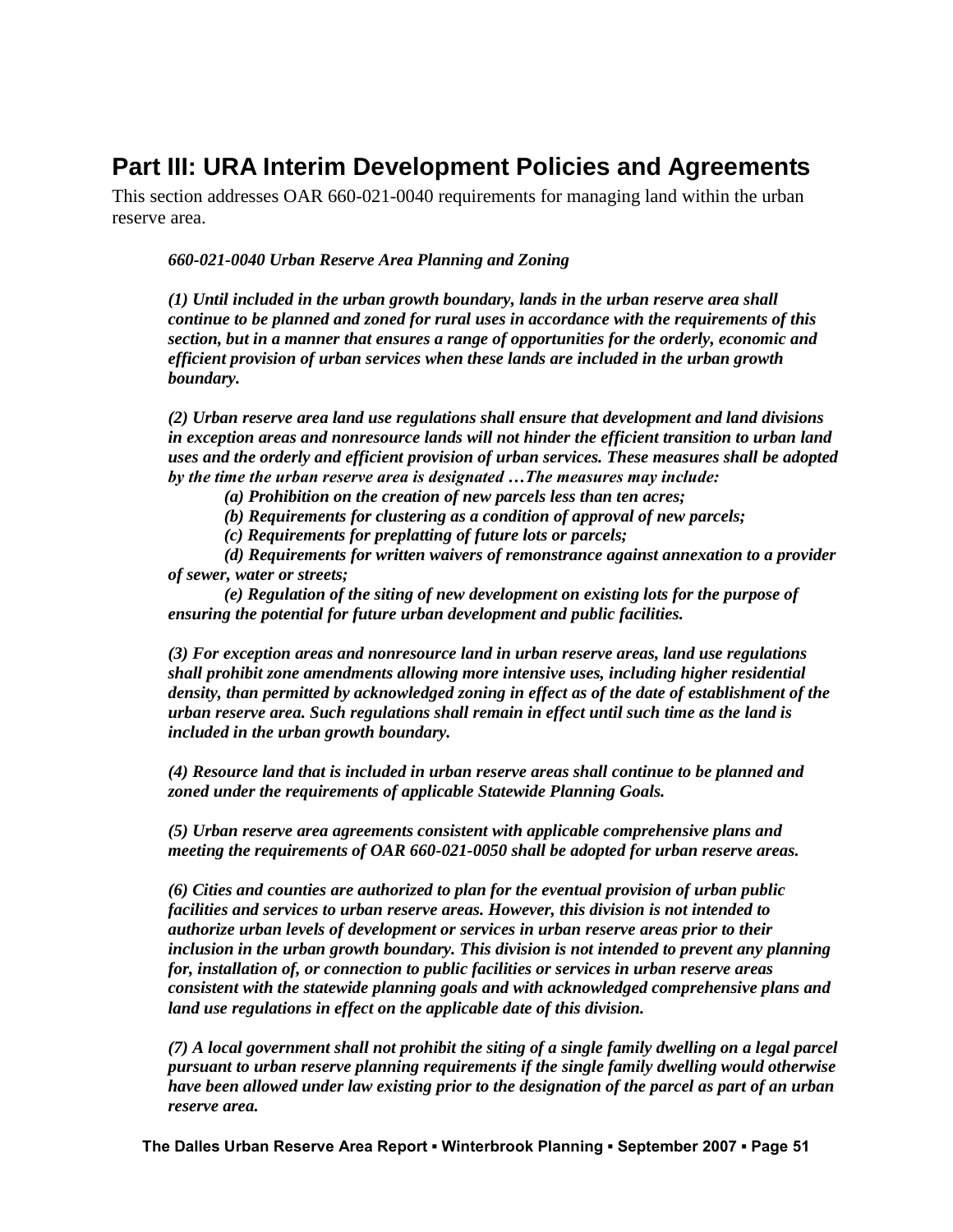## <span id="page-50-0"></span>**Part III: URA Interim Development Policies and Agreements**

This section addresses OAR 660-021-0040 requirements for managing land within the urban reserve area.

#### *660-021-0040 Urban Reserve Area Planning and Zoning*

*(1) Until included in the urban growth boundary, lands in the urban reserve area shall continue to be planned and zoned for rural uses in accordance with the requirements of this section, but in a manner that ensures a range of opportunities for the orderly, economic and efficient provision of urban services when these lands are included in the urban growth boundary.* 

*(2) Urban reserve area land use regulations shall ensure that development and land divisions in exception areas and nonresource lands will not hinder the efficient transition to urban land uses and the orderly and efficient provision of urban services. These measures shall be adopted by the time the urban reserve area is designated …The measures may include:* 

*(a) Prohibition on the creation of new parcels less than ten acres;* 

*(b) Requirements for clustering as a condition of approval of new parcels;* 

*(c) Requirements for preplatting of future lots or parcels;* 

*(d) Requirements for written waivers of remonstrance against annexation to a provider of sewer, water or streets;* 

*(e) Regulation of the siting of new development on existing lots for the purpose of ensuring the potential for future urban development and public facilities.* 

*(3) For exception areas and nonresource land in urban reserve areas, land use regulations shall prohibit zone amendments allowing more intensive uses, including higher residential density, than permitted by acknowledged zoning in effect as of the date of establishment of the urban reserve area. Such regulations shall remain in effect until such time as the land is included in the urban growth boundary.* 

*(4) Resource land that is included in urban reserve areas shall continue to be planned and zoned under the requirements of applicable Statewide Planning Goals.* 

*(5) Urban reserve area agreements consistent with applicable comprehensive plans and meeting the requirements of OAR 660-021-0050 shall be adopted for urban reserve areas.* 

*(6) Cities and counties are authorized to plan for the eventual provision of urban public facilities and services to urban reserve areas. However, this division is not intended to authorize urban levels of development or services in urban reserve areas prior to their inclusion in the urban growth boundary. This division is not intended to prevent any planning for, installation of, or connection to public facilities or services in urban reserve areas consistent with the statewide planning goals and with acknowledged comprehensive plans and land use regulations in effect on the applicable date of this division.* 

*(7) A local government shall not prohibit the siting of a single family dwelling on a legal parcel pursuant to urban reserve planning requirements if the single family dwelling would otherwise have been allowed under law existing prior to the designation of the parcel as part of an urban reserve area.*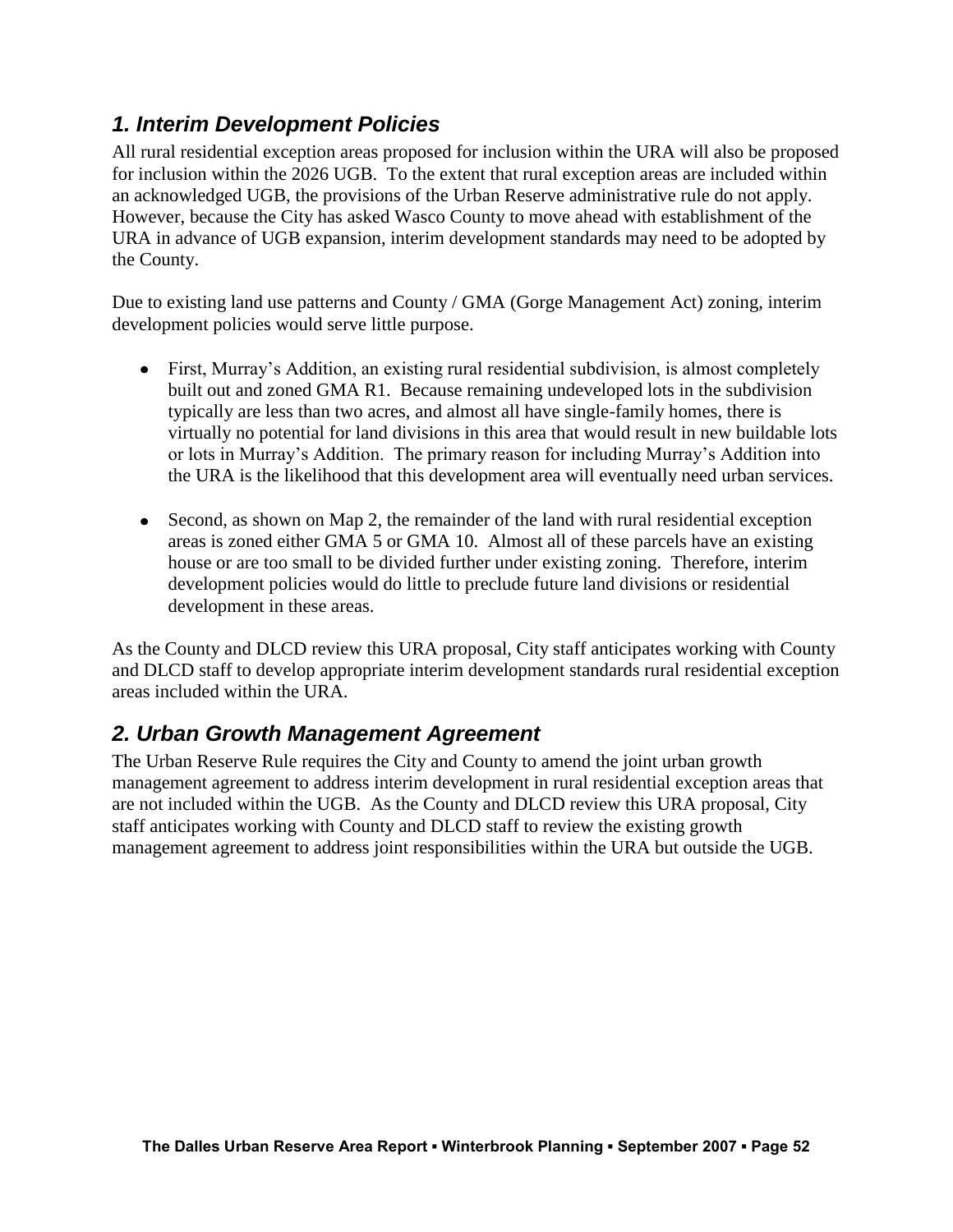### <span id="page-51-0"></span>*1. Interim Development Policies*

All rural residential exception areas proposed for inclusion within the URA will also be proposed for inclusion within the 2026 UGB. To the extent that rural exception areas are included within an acknowledged UGB, the provisions of the Urban Reserve administrative rule do not apply. However, because the City has asked Wasco County to move ahead with establishment of the URA in advance of UGB expansion, interim development standards may need to be adopted by the County.

Due to existing land use patterns and County / GMA (Gorge Management Act) zoning, interim development policies would serve little purpose.

- First, Murray's Addition, an existing rural residential subdivision, is almost completely built out and zoned GMA R1. Because remaining undeveloped lots in the subdivision typically are less than two acres, and almost all have single-family homes, there is virtually no potential for land divisions in this area that would result in new buildable lots or lots in Murray's Addition. The primary reason for including Murray's Addition into the URA is the likelihood that this development area will eventually need urban services.
- Second, as shown on Map 2, the remainder of the land with rural residential exception areas is zoned either GMA 5 or GMA 10. Almost all of these parcels have an existing house or are too small to be divided further under existing zoning. Therefore, interim development policies would do little to preclude future land divisions or residential development in these areas.

As the County and DLCD review this URA proposal, City staff anticipates working with County and DLCD staff to develop appropriate interim development standards rural residential exception areas included within the URA.

### <span id="page-51-1"></span>*2. Urban Growth Management Agreement*

The Urban Reserve Rule requires the City and County to amend the joint urban growth management agreement to address interim development in rural residential exception areas that are not included within the UGB. As the County and DLCD review this URA proposal, City staff anticipates working with County and DLCD staff to review the existing growth management agreement to address joint responsibilities within the URA but outside the UGB.